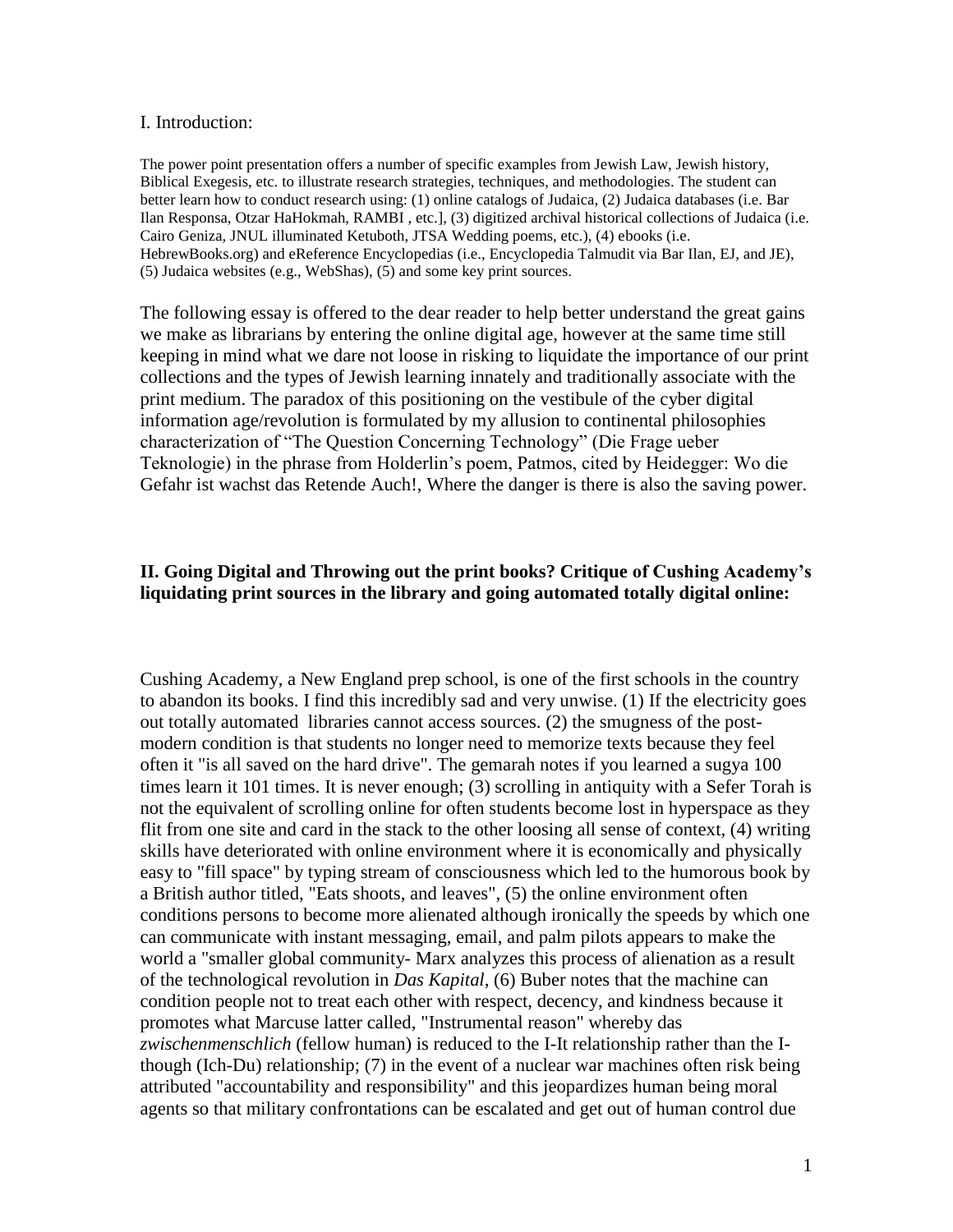### I. Introduction:

The power point presentation offers a number of specific examples from Jewish Law, Jewish history, Biblical Exegesis, etc. to illustrate research strategies, techniques, and methodologies. The student can better learn how to conduct research using: (1) online catalogs of Judaica, (2) Judaica databases (i.e. Bar Ilan Responsa, Otzar HaHokmah, RAMBI , etc.], (3) digitized archival historical collections of Judaica (i.e. Cairo Geniza, JNUL illuminated Ketuboth, JTSA Wedding poems, etc.), (4) ebooks (i.e. HebrewBooks.org) and eReference Encyclopedias (i.e., Encyclopedia Talmudit via Bar Ilan, EJ, and JE), (5) Judaica websites (e.g., WebShas), (5) and some key print sources.

The following essay is offered to the dear reader to help better understand the great gains we make as librarians by entering the online digital age, however at the same time still keeping in mind what we dare not loose in risking to liquidate the importance of our print collections and the types of Jewish learning innately and traditionally associate with the print medium. The paradox of this positioning on the vestibule of the cyber digital information age/revolution is formulated by my allusion to continental philosophies characterization of "The Question Concerning Technology" (Die Frage ueber Teknologie) in the phrase from Holderlin"s poem, Patmos, cited by Heidegger: Wo die Gefahr ist wachst das Retende Auch!, Where the danger is there is also the saving power.

# **II. Going Digital and Throwing out the print books? Critique of Cushing Academy's liquidating print sources in the library and going automated totally digital online:**

Cushing Academy, a New England prep school, is one of the first schools in the country to abandon its books. I find this incredibly sad and very unwise. (1) If the electricity goes out totally automated libraries cannot access sources. (2) the smugness of the postmodern condition is that students no longer need to memorize texts because they feel often it "is all saved on the hard drive". The gemarah notes if you learned a sugya 100 times learn it 101 times. It is never enough; (3) scrolling in antiquity with a Sefer Torah is not the equivalent of scrolling online for often students become lost in hyperspace as they flit from one site and card in the stack to the other loosing all sense of context, (4) writing skills have deteriorated with online environment where it is economically and physically easy to "fill space" by typing stream of consciousness which led to the humorous book by a British author titled, "Eats shoots, and leaves", (5) the online environment often conditions persons to become more alienated although ironically the speeds by which one can communicate with instant messaging, email, and palm pilots appears to make the world a "smaller global community- Marx analyzes this process of alienation as a result of the technological revolution in *Das Kapital*, (6) Buber notes that the machine can condition people not to treat each other with respect, decency, and kindness because it promotes what Marcuse latter called, "Instrumental reason" whereby das *zwischenmenschlich* (fellow human) is reduced to the I-It relationship rather than the Ithough (Ich-Du) relationship; (7) in the event of a nuclear war machines often risk being attributed "accountability and responsibility" and this jeopardizes human being moral agents so that military confrontations can be escalated and get out of human control due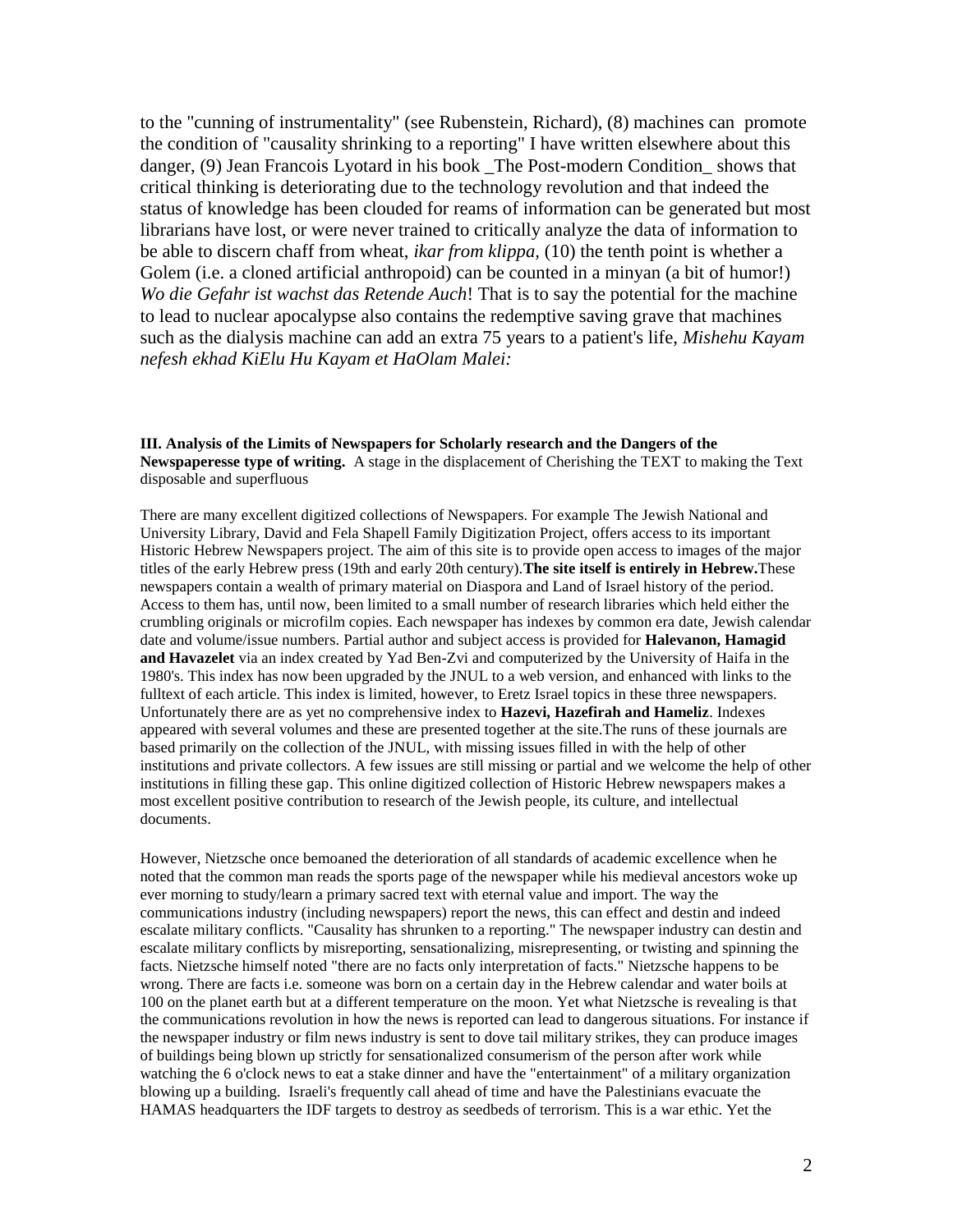to the "cunning of instrumentality" (see Rubenstein, Richard), (8) machines can promote the condition of "causality shrinking to a reporting" I have written elsewhere about this danger, (9) Jean Francois Lyotard in his book \_The Post-modern Condition\_ shows that critical thinking is deteriorating due to the technology revolution and that indeed the status of knowledge has been clouded for reams of information can be generated but most librarians have lost, or were never trained to critically analyze the data of information to be able to discern chaff from wheat, *ikar from klippa,* (10) the tenth point is whether a Golem (i.e. a cloned artificial anthropoid) can be counted in a minyan (a bit of humor!) *Wo die Gefahr ist wachst das Retende Auch*! That is to say the potential for the machine to lead to nuclear apocalypse also contains the redemptive saving grave that machines such as the dialysis machine can add an extra 75 years to a patient's life, *Mishehu Kayam nefesh ekhad KiElu Hu Kayam et HaOlam Malei:*

#### **III. Analysis of the Limits of Newspapers for Scholarly research and the Dangers of the Newspaperesse type of writing.** A stage in the displacement of Cherishing the TEXT to making the Text disposable and superfluous

There are many excellent digitized collections of Newspapers. For example The Jewish National and University Library, David and Fela Shapell Family Digitization Project, offers access to its important Historic Hebrew Newspapers project. The aim of this site is to provide open access to images of the major titles of the early Hebrew press (19th and early 20th century).**The site itself is entirely in Hebrew.**These newspapers contain a wealth of primary material on Diaspora and Land of Israel history of the period. Access to them has, until now, been limited to a small number of research libraries which held either the crumbling originals or microfilm copies. Each newspaper has indexes by common era date, Jewish calendar date and volume/issue numbers. Partial author and subject access is provided for **Halevanon, Hamagid and Havazelet** via an index created by Yad Ben-Zvi and computerized by the University of Haifa in the 1980's. This index has now been upgraded by the JNUL to a web version, and enhanced with links to the fulltext of each article. This index is limited, however, to Eretz Israel topics in these three newspapers. Unfortunately there are as yet no comprehensive index to **Hazevi, Hazefirah and Hameliz**. Indexes appeared with several volumes and these are presented together at the site.The runs of these journals are based primarily on the collection of the JNUL, with missing issues filled in with the help of other institutions and private collectors. A few issues are still missing or partial and we welcome the help of other institutions in filling these gap. This online digitized collection of Historic Hebrew newspapers makes a most excellent positive contribution to research of the Jewish people, its culture, and intellectual documents.

However, Nietzsche once bemoaned the deterioration of all standards of academic excellence when he noted that the common man reads the sports page of the newspaper while his medieval ancestors woke up ever morning to study/learn a primary sacred text with eternal value and import. The way the communications industry (including newspapers) report the news, this can effect and destin and indeed escalate military conflicts. "Causality has shrunken to a reporting." The newspaper industry can destin and escalate military conflicts by misreporting, sensationalizing, misrepresenting, or twisting and spinning the facts. Nietzsche himself noted "there are no facts only interpretation of facts." Nietzsche happens to be wrong. There are facts i.e. someone was born on a certain day in the Hebrew calendar and water boils at 100 on the planet earth but at a different temperature on the moon. Yet what Nietzsche is revealing is that the communications revolution in how the news is reported can lead to dangerous situations. For instance if the newspaper industry or film news industry is sent to dove tail military strikes, they can produce images of buildings being blown up strictly for sensationalized consumerism of the person after work while watching the 6 o'clock news to eat a stake dinner and have the "entertainment" of a military organization blowing up a building. Israeli's frequently call ahead of time and have the Palestinians evacuate the HAMAS headquarters the IDF targets to destroy as seedbeds of terrorism. This is a war ethic. Yet the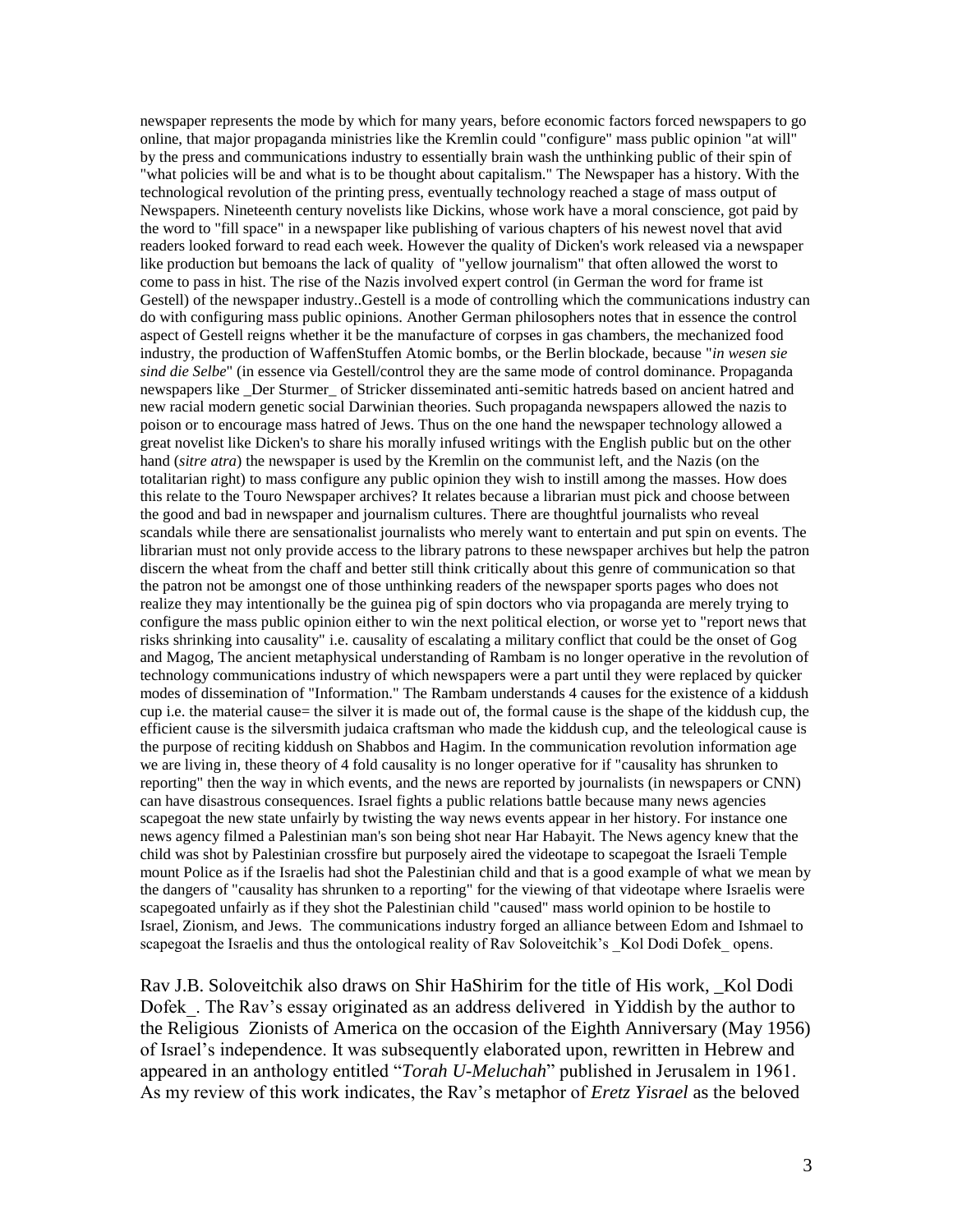newspaper represents the mode by which for many years, before economic factors forced newspapers to go online, that major propaganda ministries like the Kremlin could "configure" mass public opinion "at will" by the press and communications industry to essentially brain wash the unthinking public of their spin of "what policies will be and what is to be thought about capitalism." The Newspaper has a history. With the technological revolution of the printing press, eventually technology reached a stage of mass output of Newspapers. Nineteenth century novelists like Dickins, whose work have a moral conscience, got paid by the word to "fill space" in a newspaper like publishing of various chapters of his newest novel that avid readers looked forward to read each week. However the quality of Dicken's work released via a newspaper like production but bemoans the lack of quality of "yellow journalism" that often allowed the worst to come to pass in hist. The rise of the Nazis involved expert control (in German the word for frame ist Gestell) of the newspaper industry..Gestell is a mode of controlling which the communications industry can do with configuring mass public opinions. Another German philosophers notes that in essence the control aspect of Gestell reigns whether it be the manufacture of corpses in gas chambers, the mechanized food industry, the production of WaffenStuffen Atomic bombs, or the Berlin blockade, because "*in wesen sie sind die Selbe*" (in essence via Gestell/control they are the same mode of control dominance. Propaganda newspapers like Der Sturmer of Stricker disseminated anti-semitic hatreds based on ancient hatred and new racial modern genetic social Darwinian theories. Such propaganda newspapers allowed the nazis to poison or to encourage mass hatred of Jews. Thus on the one hand the newspaper technology allowed a great novelist like Dicken's to share his morally infused writings with the English public but on the other hand (*sitre atra*) the newspaper is used by the Kremlin on the communist left, and the Nazis (on the totalitarian right) to mass configure any public opinion they wish to instill among the masses. How does this relate to the Touro Newspaper archives? It relates because a librarian must pick and choose between the good and bad in newspaper and journalism cultures. There are thoughtful journalists who reveal scandals while there are sensationalist journalists who merely want to entertain and put spin on events. The librarian must not only provide access to the library patrons to these newspaper archives but help the patron discern the wheat from the chaff and better still think critically about this genre of communication so that the patron not be amongst one of those unthinking readers of the newspaper sports pages who does not realize they may intentionally be the guinea pig of spin doctors who via propaganda are merely trying to configure the mass public opinion either to win the next political election, or worse yet to "report news that risks shrinking into causality" i.e. causality of escalating a military conflict that could be the onset of Gog and Magog, The ancient metaphysical understanding of Rambam is no longer operative in the revolution of technology communications industry of which newspapers were a part until they were replaced by quicker modes of dissemination of "Information." The Rambam understands 4 causes for the existence of a kiddush cup i.e. the material cause= the silver it is made out of, the formal cause is the shape of the kiddush cup, the efficient cause is the silversmith judaica craftsman who made the kiddush cup, and the teleological cause is the purpose of reciting kiddush on Shabbos and Hagim. In the communication revolution information age we are living in, these theory of 4 fold causality is no longer operative for if "causality has shrunken to reporting" then the way in which events, and the news are reported by journalists (in newspapers or CNN) can have disastrous consequences. Israel fights a public relations battle because many news agencies scapegoat the new state unfairly by twisting the way news events appear in her history. For instance one news agency filmed a Palestinian man's son being shot near Har Habayit. The News agency knew that the child was shot by Palestinian crossfire but purposely aired the videotape to scapegoat the Israeli Temple mount Police as if the Israelis had shot the Palestinian child and that is a good example of what we mean by the dangers of "causality has shrunken to a reporting" for the viewing of that videotape where Israelis were scapegoated unfairly as if they shot the Palestinian child "caused" mass world opinion to be hostile to Israel, Zionism, and Jews. The communications industry forged an alliance between Edom and Ishmael to scapegoat the Israelis and thus the ontological reality of Ray Soloveitchik's Kol Dodi Dofek opens.

Rav J.B. Soloveitchik also draws on Shir HaShirim for the title of His work, \_Kol Dodi Dofek. The Rav's essay originated as an address delivered in Yiddish by the author to the Religious Zionists of America on the occasion of the Eighth Anniversary (May 1956) of Israel"s independence. It was subsequently elaborated upon, rewritten in Hebrew and appeared in an anthology entitled "*Torah U-Meluchah*" published in Jerusalem in 1961. As my review of this work indicates, the Rav"s metaphor of *Eretz Yisrael* as the beloved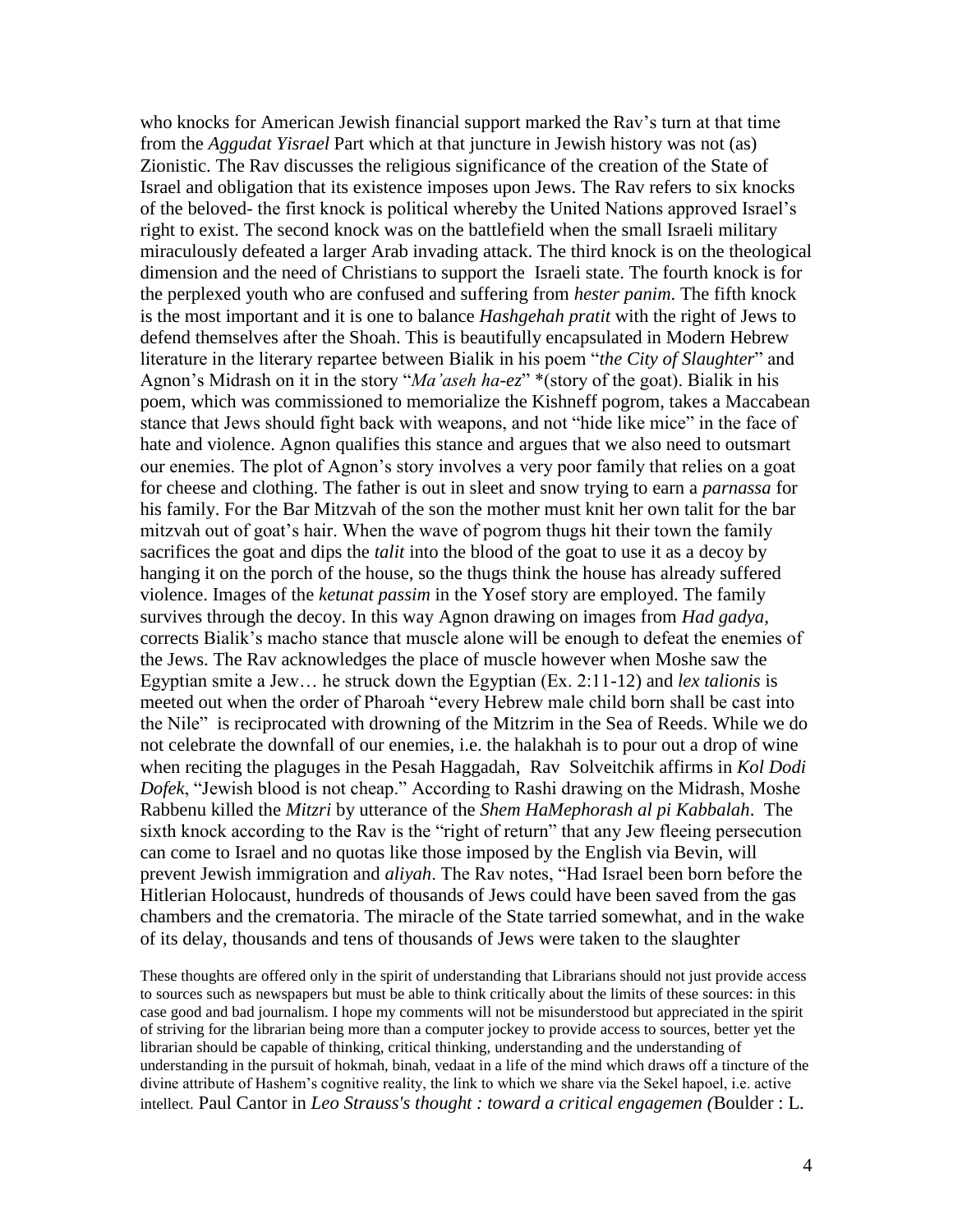who knocks for American Jewish financial support marked the Rav"s turn at that time from the *Aggudat Yisrael* Part which at that juncture in Jewish history was not (as) Zionistic. The Rav discusses the religious significance of the creation of the State of Israel and obligation that its existence imposes upon Jews. The Rav refers to six knocks of the beloved- the first knock is political whereby the United Nations approved Israel"s right to exist. The second knock was on the battlefield when the small Israeli military miraculously defeated a larger Arab invading attack. The third knock is on the theological dimension and the need of Christians to support the Israeli state. The fourth knock is for the perplexed youth who are confused and suffering from *hester panim*. The fifth knock is the most important and it is one to balance *Hashgehah pratit* with the right of Jews to defend themselves after the Shoah. This is beautifully encapsulated in Modern Hebrew literature in the literary repartee between Bialik in his poem "*the City of Slaughter*" and Agnon"s Midrash on it in the story "*Ma'aseh ha-ez*" \*(story of the goat). Bialik in his poem, which was commissioned to memorialize the Kishneff pogrom, takes a Maccabean stance that Jews should fight back with weapons, and not "hide like mice" in the face of hate and violence. Agnon qualifies this stance and argues that we also need to outsmart our enemies. The plot of Agnon"s story involves a very poor family that relies on a goat for cheese and clothing. The father is out in sleet and snow trying to earn a *parnassa* for his family. For the Bar Mitzvah of the son the mother must knit her own talit for the bar mitzvah out of goat's hair. When the wave of pogrom thugs hit their town the family sacrifices the goat and dips the *talit* into the blood of the goat to use it as a decoy by hanging it on the porch of the house, so the thugs think the house has already suffered violence. Images of the *ketunat passim* in the Yosef story are employed. The family survives through the decoy. In this way Agnon drawing on images from *Had gadya*, corrects Bialik"s macho stance that muscle alone will be enough to defeat the enemies of the Jews. The Rav acknowledges the place of muscle however when Moshe saw the Egyptian smite a Jew… he struck down the Egyptian (Ex. 2:11-12) and *lex talionis* is meeted out when the order of Pharoah "every Hebrew male child born shall be cast into the Nile" is reciprocated with drowning of the Mitzrim in the Sea of Reeds. While we do not celebrate the downfall of our enemies, i.e. the halakhah is to pour out a drop of wine when reciting the plaguges in the Pesah Haggadah, Rav Solveitchik affirms in *Kol Dodi Dofek*, "Jewish blood is not cheap." According to Rashi drawing on the Midrash, Moshe Rabbenu killed the *Mitzri* by utterance of the *Shem HaMephorash al pi Kabbalah*. The sixth knock according to the Rav is the "right of return" that any Jew fleeing persecution can come to Israel and no quotas like those imposed by the English via Bevin, will prevent Jewish immigration and *aliyah*. The Rav notes, "Had Israel been born before the Hitlerian Holocaust, hundreds of thousands of Jews could have been saved from the gas chambers and the crematoria. The miracle of the State tarried somewhat, and in the wake of its delay, thousands and tens of thousands of Jews were taken to the slaughter

These thoughts are offered only in the spirit of understanding that Librarians should not just provide access to sources such as newspapers but must be able to think critically about the limits of these sources: in this case good and bad journalism. I hope my comments will not be misunderstood but appreciated in the spirit of striving for the librarian being more than a computer jockey to provide access to sources, better yet the librarian should be capable of thinking, critical thinking, understanding and the understanding of understanding in the pursuit of hokmah, binah, vedaat in a life of the mind which draws off a tincture of the divine attribute of Hashem"s cognitive reality, the link to which we share via the Sekel hapoel, i.e. active intellect. Paul Cantor in *Leo Strauss's thought : toward a critical engagemen (*Boulder : L.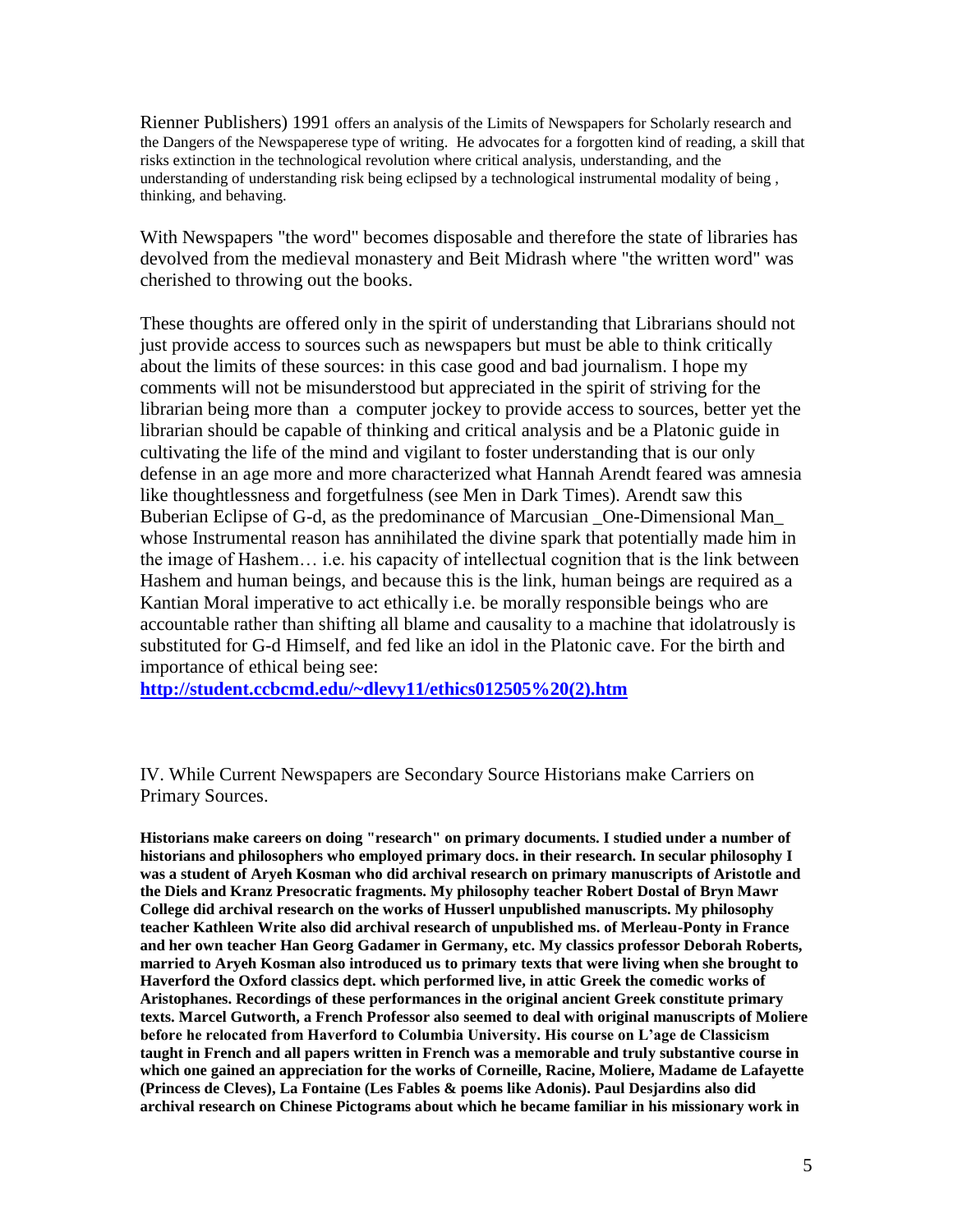Rienner Publishers) 1991 offers an analysis of the Limits of Newspapers for Scholarly research and the Dangers of the Newspaperese type of writing. He advocates for a forgotten kind of reading, a skill that risks extinction in the technological revolution where critical analysis, understanding, and the understanding of understanding risk being eclipsed by a technological instrumental modality of being , thinking, and behaving.

With Newspapers "the word" becomes disposable and therefore the state of libraries has devolved from the medieval monastery and Beit Midrash where "the written word" was cherished to throwing out the books.

These thoughts are offered only in the spirit of understanding that Librarians should not just provide access to sources such as newspapers but must be able to think critically about the limits of these sources: in this case good and bad journalism. I hope my comments will not be misunderstood but appreciated in the spirit of striving for the librarian being more than a computer jockey to provide access to sources, better yet the librarian should be capable of thinking and critical analysis and be a Platonic guide in cultivating the life of the mind and vigilant to foster understanding that is our only defense in an age more and more characterized what Hannah Arendt feared was amnesia like thoughtlessness and forgetfulness (see Men in Dark Times). Arendt saw this Buberian Eclipse of G-d, as the predominance of Marcusian One-Dimensional Man whose Instrumental reason has annihilated the divine spark that potentially made him in the image of Hashem… i.e. his capacity of intellectual cognition that is the link between Hashem and human beings, and because this is the link, human beings are required as a Kantian Moral imperative to act ethically i.e. be morally responsible beings who are accountable rather than shifting all blame and causality to a machine that idolatrously is substituted for G-d Himself, and fed like an idol in the Platonic cave. For the birth and importance of ethical being see:

**[http://student.ccbcmd.edu/~dlevy11/ethics012505%20\(2\).htm](http://student.ccbcmd.edu/~dlevy11/ethics012505%20(2).htm)**

IV. While Current Newspapers are Secondary Source Historians make Carriers on Primary Sources.

**Historians make careers on doing "research" on primary documents. I studied under a number of historians and philosophers who employed primary docs. in their research. In secular philosophy I was a student of Aryeh Kosman who did archival research on primary manuscripts of Aristotle and the Diels and Kranz Presocratic fragments. My philosophy teacher Robert Dostal of Bryn Mawr College did archival research on the works of Husserl unpublished manuscripts. My philosophy teacher Kathleen Write also did archival research of unpublished ms. of Merleau-Ponty in France and her own teacher Han Georg Gadamer in Germany, etc. My classics professor Deborah Roberts, married to Aryeh Kosman also introduced us to primary texts that were living when she brought to Haverford the Oxford classics dept. which performed live, in attic Greek the comedic works of Aristophanes. Recordings of these performances in the original ancient Greek constitute primary texts. Marcel Gutworth, a French Professor also seemed to deal with original manuscripts of Moliere before he relocated from Haverford to Columbia University. His course on L'age de Classicism taught in French and all papers written in French was a memorable and truly substantive course in which one gained an appreciation for the works of Corneille, Racine, Moliere, Madame de Lafayette (Princess de Cleves), La Fontaine (Les Fables & poems like Adonis). Paul Desjardins also did archival research on Chinese Pictograms about which he became familiar in his missionary work in**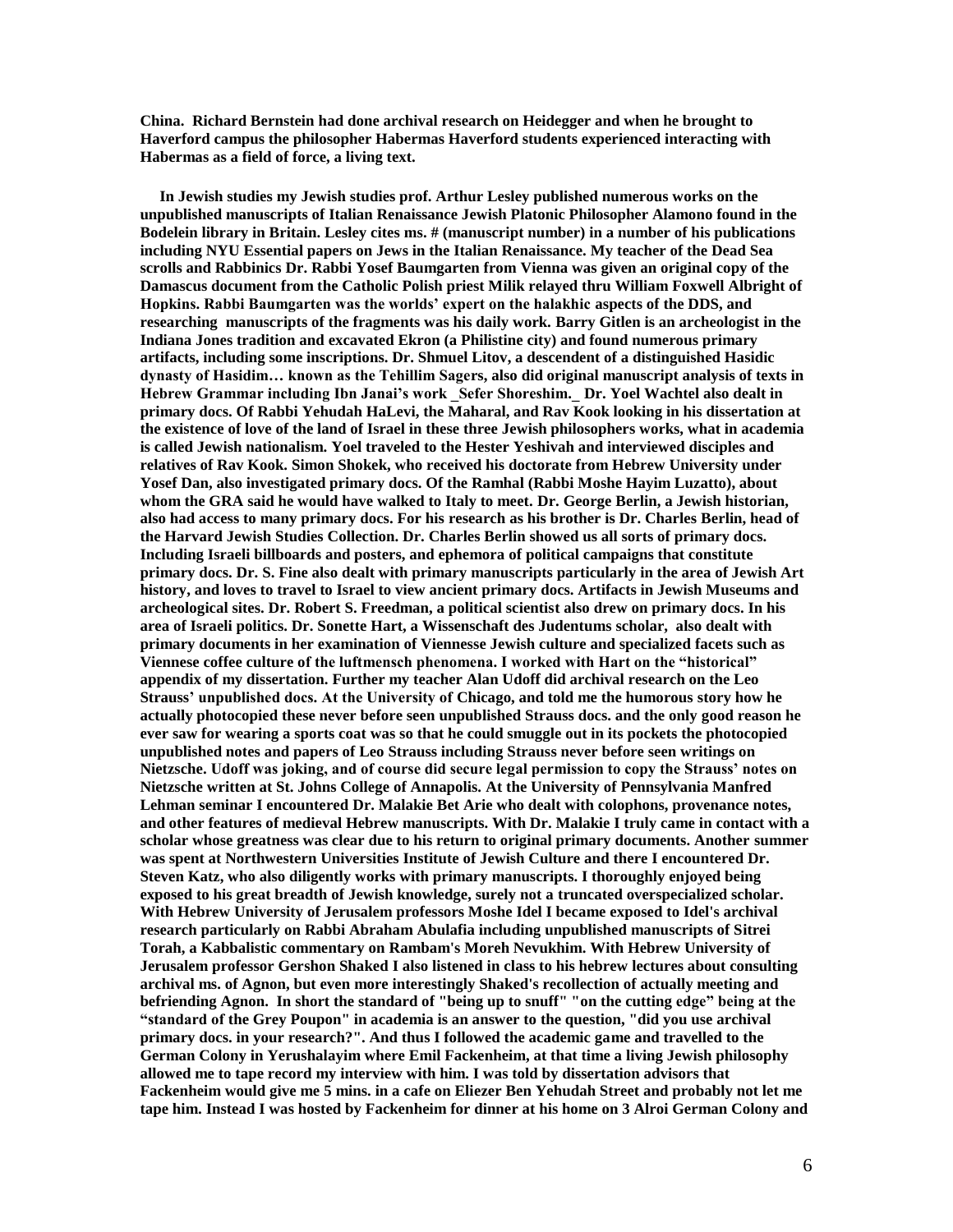**China. Richard Bernstein had done archival research on Heidegger and when he brought to Haverford campus the philosopher Habermas Haverford students experienced interacting with Habermas as a field of force, a living text.**

 **In Jewish studies my Jewish studies prof. Arthur Lesley published numerous works on the unpublished manuscripts of Italian Renaissance Jewish Platonic Philosopher Alamono found in the Bodelein library in Britain. Lesley cites ms. # (manuscript number) in a number of his publications including NYU Essential papers on Jews in the Italian Renaissance. My teacher of the Dead Sea scrolls and Rabbinics Dr. Rabbi Yosef Baumgarten from Vienna was given an original copy of the Damascus document from the Catholic Polish priest Milik relayed thru William Foxwell Albright of Hopkins. Rabbi Baumgarten was the worlds' expert on the halakhic aspects of the DDS, and researching manuscripts of the fragments was his daily work. Barry Gitlen is an archeologist in the Indiana Jones tradition and excavated Ekron (a Philistine city) and found numerous primary artifacts, including some inscriptions. Dr. Shmuel Litov, a descendent of a distinguished Hasidic dynasty of Hasidim… known as the Tehillim Sagers, also did original manuscript analysis of texts in Hebrew Grammar including Ibn Janai's work \_Sefer Shoreshim.\_ Dr. Yoel Wachtel also dealt in primary docs. Of Rabbi Yehudah HaLevi, the Maharal, and Rav Kook looking in his dissertation at the existence of love of the land of Israel in these three Jewish philosophers works, what in academia is called Jewish nationalism. Yoel traveled to the Hester Yeshivah and interviewed disciples and relatives of Rav Kook. Simon Shokek, who received his doctorate from Hebrew University under Yosef Dan, also investigated primary docs. Of the Ramhal (Rabbi Moshe Hayim Luzatto), about whom the GRA said he would have walked to Italy to meet. Dr. George Berlin, a Jewish historian, also had access to many primary docs. For his research as his brother is Dr. Charles Berlin, head of the Harvard Jewish Studies Collection. Dr. Charles Berlin showed us all sorts of primary docs. Including Israeli billboards and posters, and ephemora of political campaigns that constitute primary docs. Dr. S. Fine also dealt with primary manuscripts particularly in the area of Jewish Art history, and loves to travel to Israel to view ancient primary docs. Artifacts in Jewish Museums and archeological sites. Dr. Robert S. Freedman, a political scientist also drew on primary docs. In his area of Israeli politics. Dr. Sonette Hart, a Wissenschaft des Judentums scholar, also dealt with primary documents in her examination of Viennesse Jewish culture and specialized facets such as Viennese coffee culture of the luftmensch phenomena. I worked with Hart on the "historical" appendix of my dissertation. Further my teacher Alan Udoff did archival research on the Leo Strauss' unpublished docs. At the University of Chicago, and told me the humorous story how he actually photocopied these never before seen unpublished Strauss docs. and the only good reason he ever saw for wearing a sports coat was so that he could smuggle out in its pockets the photocopied unpublished notes and papers of Leo Strauss including Strauss never before seen writings on Nietzsche. Udoff was joking, and of course did secure legal permission to copy the Strauss' notes on Nietzsche written at St. Johns College of Annapolis. At the University of Pennsylvania Manfred Lehman seminar I encountered Dr. Malakie Bet Arie who dealt with colophons, provenance notes, and other features of medieval Hebrew manuscripts. With Dr. Malakie I truly came in contact with a scholar whose greatness was clear due to his return to original primary documents. Another summer was spent at Northwestern Universities Institute of Jewish Culture and there I encountered Dr. Steven Katz, who also diligently works with primary manuscripts. I thoroughly enjoyed being exposed to his great breadth of Jewish knowledge, surely not a truncated overspecialized scholar. With Hebrew University of Jerusalem professors Moshe Idel I became exposed to Idel's archival research particularly on Rabbi Abraham Abulafia including unpublished manuscripts of Sitrei Torah, a Kabbalistic commentary on Rambam's Moreh Nevukhim. With Hebrew University of Jerusalem professor Gershon Shaked I also listened in class to his hebrew lectures about consulting archival ms. of Agnon, but even more interestingly Shaked's recollection of actually meeting and befriending Agnon. In short the standard of "being up to snuff" "on the cutting edge" being at the "standard of the Grey Poupon" in academia is an answer to the question, "did you use archival primary docs. in your research?". And thus I followed the academic game and travelled to the German Colony in Yerushalayim where Emil Fackenheim, at that time a living Jewish philosophy allowed me to tape record my interview with him. I was told by dissertation advisors that Fackenheim would give me 5 mins. in a cafe on Eliezer Ben Yehudah Street and probably not let me tape him. Instead I was hosted by Fackenheim for dinner at his home on 3 Alroi German Colony and**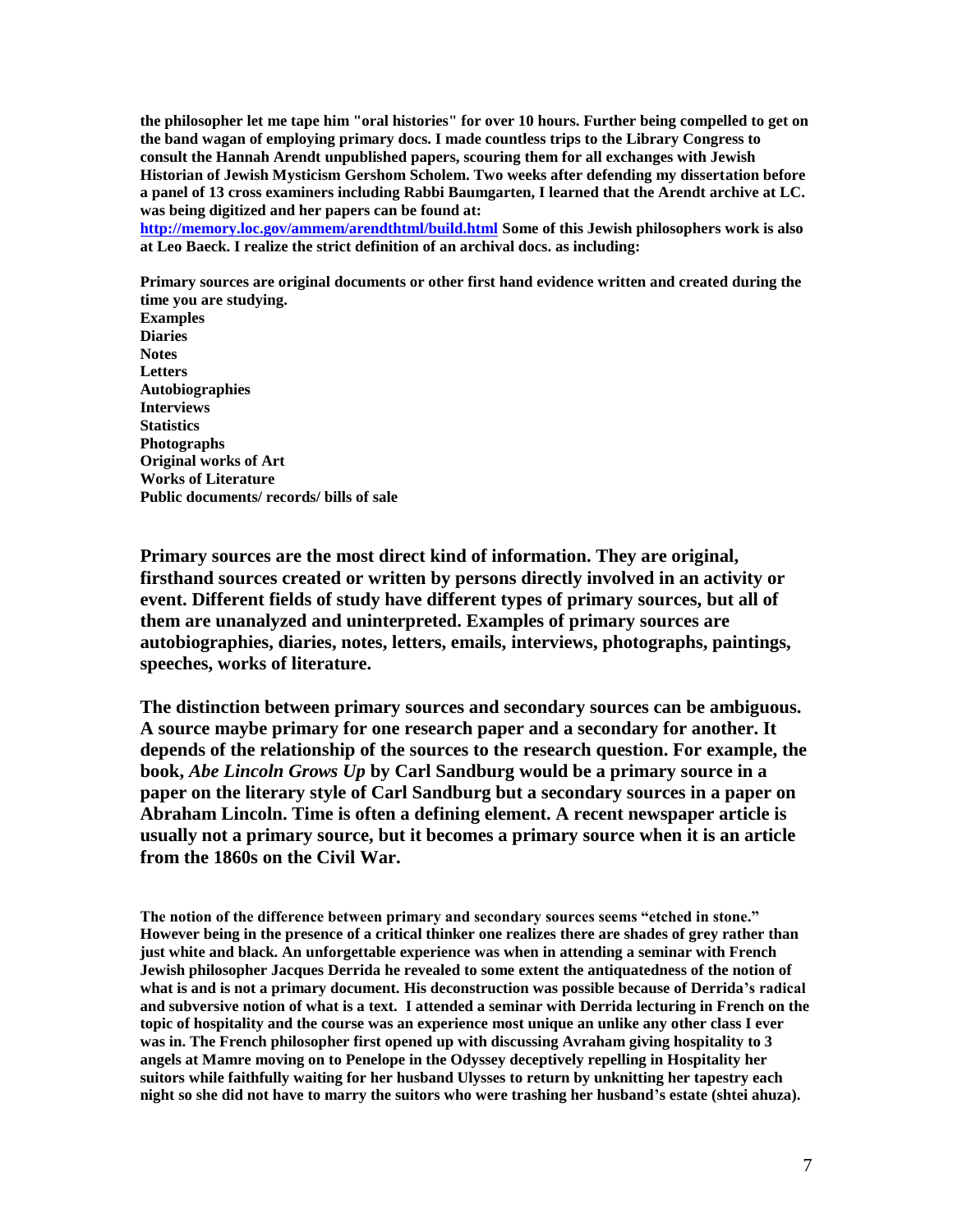**the philosopher let me tape him "oral histories" for over 10 hours. Further being compelled to get on the band wagan of employing primary docs. I made countless trips to the Library Congress to consult the Hannah Arendt unpublished papers, scouring them for all exchanges with Jewish Historian of Jewish Mysticism Gershom Scholem. Two weeks after defending my dissertation before a panel of 13 cross examiners including Rabbi Baumgarten, I learned that the Arendt archive at LC. was being digitized and her papers can be found at:**

**[http://memory.loc.gov/ammem/arendthtml/build.html](https://owa.touro.edu/owa/redir.aspx?C=46c38acecc494c52bfda949d2bfaf5f8&URL=http%3a%2f%2fmemory.loc.gov%2fammem%2farendthtml%2fbuild.html) Some of this Jewish philosophers work is also at Leo Baeck. I realize the strict definition of an archival docs. as including:**

**Primary sources are original documents or other first hand evidence written and created during the time you are studying. Examples Diaries Notes Letters Autobiographies Interviews Statistics Photographs**

**Original works of Art Works of Literature Public documents/ records/ bills of sale**

**Primary sources are the most direct kind of information. They are original, firsthand sources created or written by persons directly involved in an activity or event. Different fields of study have different types of primary sources, but all of them are unanalyzed and uninterpreted. Examples of primary sources are autobiographies, diaries, notes, letters, emails, interviews, photographs, paintings, speeches, works of literature.**

**The distinction between primary sources and secondary sources can be ambiguous. A source maybe primary for one research paper and a secondary for another. It depends of the relationship of the sources to the research question. For example, the book,** *Abe Lincoln Grows Up* **by Carl Sandburg would be a primary source in a paper on the literary style of Carl Sandburg but a secondary sources in a paper on Abraham Lincoln. Time is often a defining element. A recent newspaper article is usually not a primary source, but it becomes a primary source when it is an article from the 1860s on the Civil War.**

**The notion of the difference between primary and secondary sources seems "etched in stone." However being in the presence of a critical thinker one realizes there are shades of grey rather than just white and black. An unforgettable experience was when in attending a seminar with French Jewish philosopher Jacques Derrida he revealed to some extent the antiquatedness of the notion of what is and is not a primary document. His deconstruction was possible because of Derrida's radical and subversive notion of what is a text. I attended a seminar with Derrida lecturing in French on the topic of hospitality and the course was an experience most unique an unlike any other class I ever was in. The French philosopher first opened up with discussing Avraham giving hospitality to 3 angels at Mamre moving on to Penelope in the Odyssey deceptively repelling in Hospitality her suitors while faithfully waiting for her husband Ulysses to return by unknitting her tapestry each night so she did not have to marry the suitors who were trashing her husband's estate (shtei ahuza).**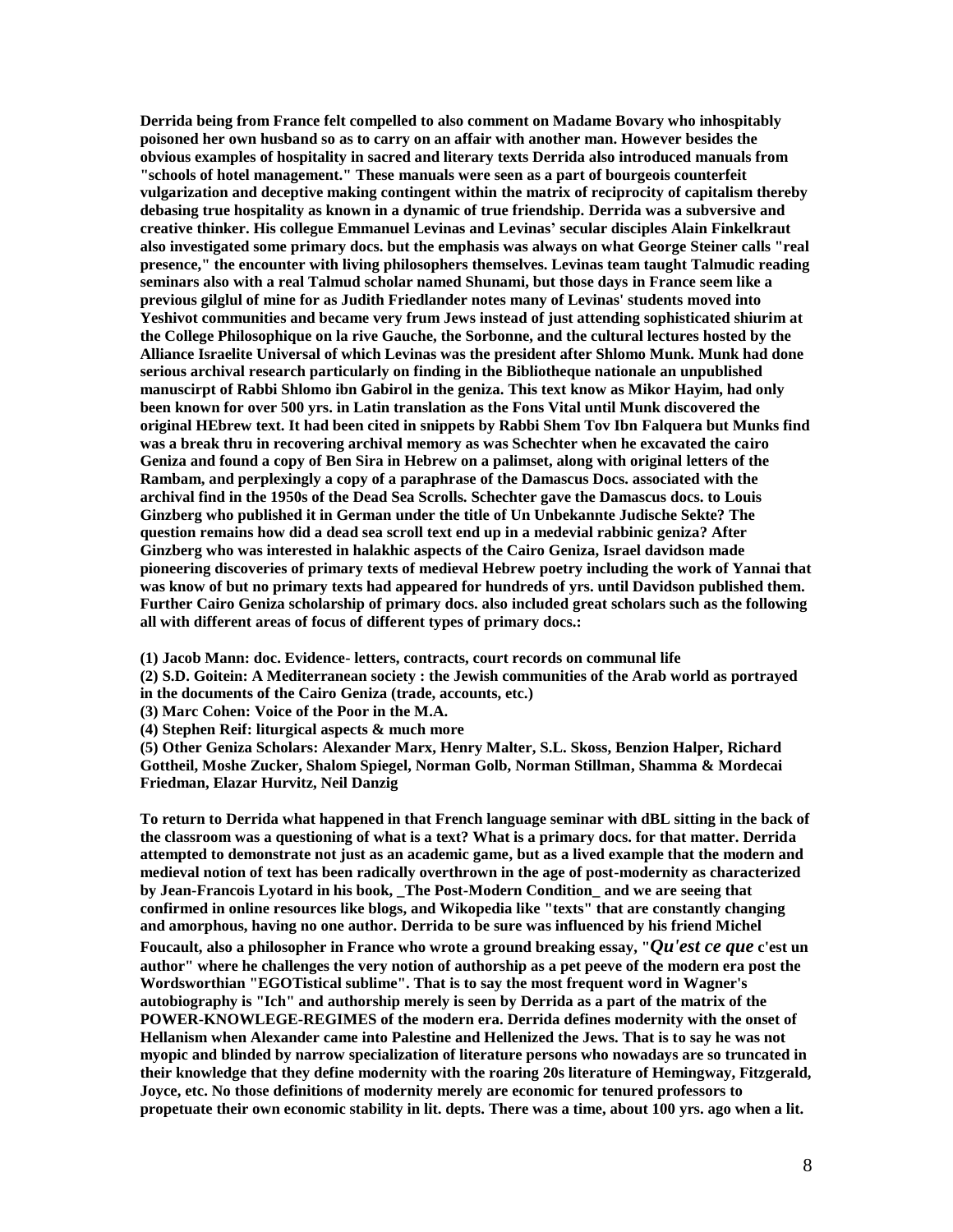**Derrida being from France felt compelled to also comment on Madame Bovary who inhospitably poisoned her own husband so as to carry on an affair with another man. However besides the obvious examples of hospitality in sacred and literary texts Derrida also introduced manuals from "schools of hotel management." These manuals were seen as a part of bourgeois counterfeit vulgarization and deceptive making contingent within the matrix of reciprocity of capitalism thereby debasing true hospitality as known in a dynamic of true friendship. Derrida was a subversive and creative thinker. His collegue Emmanuel Levinas and Levinas' secular disciples Alain Finkelkraut also investigated some primary docs. but the emphasis was always on what George Steiner calls "real presence," the encounter with living philosophers themselves. Levinas team taught Talmudic reading seminars also with a real Talmud scholar named Shunami, but those days in France seem like a previous gilglul of mine for as Judith Friedlander notes many of Levinas' students moved into Yeshivot communities and became very frum Jews instead of just attending sophisticated shiurim at the College Philosophique on la rive Gauche, the Sorbonne, and the cultural lectures hosted by the Alliance Israelite Universal of which Levinas was the president after Shlomo Munk. Munk had done serious archival research particularly on finding in the Bibliotheque nationale an unpublished manuscirpt of Rabbi Shlomo ibn Gabirol in the geniza. This text know as Mikor Hayim, had only been known for over 500 yrs. in Latin translation as the Fons Vital until Munk discovered the original HEbrew text. It had been cited in snippets by Rabbi Shem Tov Ibn Falquera but Munks find was a break thru in recovering archival memory as was Schechter when he excavated the cairo Geniza and found a copy of Ben Sira in Hebrew on a palimset, along with original letters of the Rambam, and perplexingly a copy of a paraphrase of the Damascus Docs. associated with the archival find in the 1950s of the Dead Sea Scrolls. Schechter gave the Damascus docs. to Louis Ginzberg who published it in German under the title of Un Unbekannte Judische Sekte? The question remains how did a dead sea scroll text end up in a medevial rabbinic geniza? After Ginzberg who was interested in halakhic aspects of the Cairo Geniza, Israel davidson made pioneering discoveries of primary texts of medieval Hebrew poetry including the work of Yannai that was know of but no primary texts had appeared for hundreds of yrs. until Davidson published them. Further Cairo Geniza scholarship of primary docs. also included great scholars such as the following all with different areas of focus of different types of primary docs.:**

**(1) Jacob Mann: doc. Evidence- letters, contracts, court records on communal life**

**(2) S.D. Goitein: A Mediterranean society : the Jewish communities of the Arab world as portrayed in the documents of the Cairo Geniza (trade, accounts, etc.)**

**(3) Marc Cohen: Voice of the Poor in the M.A.**

**(4) Stephen Reif: liturgical aspects & much more**

**(5) Other Geniza Scholars: Alexander Marx, Henry Malter, S.L. Skoss, Benzion Halper, Richard Gottheil, Moshe Zucker, Shalom Spiegel, Norman Golb, Norman Stillman, Shamma & Mordecai Friedman, Elazar Hurvitz, Neil Danzig**

**To return to Derrida what happened in that French language seminar with dBL sitting in the back of the classroom was a questioning of what is a text? What is a primary docs. for that matter. Derrida attempted to demonstrate not just as an academic game, but as a lived example that the modern and medieval notion of text has been radically overthrown in the age of post-modernity as characterized by Jean-Francois Lyotard in his book, \_The Post-Modern Condition\_ and we are seeing that confirmed in online resources like blogs, and Wikopedia like "texts" that are constantly changing and amorphous, having no one author. Derrida to be sure was influenced by his friend Michel Foucault, also a philosopher in France who wrote a ground breaking essay, "***Qu'est ce que* **c'est un author" where he challenges the very notion of authorship as a pet peeve of the modern era post the Wordsworthian "EGOTistical sublime". That is to say the most frequent word in Wagner's autobiography is "Ich" and authorship merely is seen by Derrida as a part of the matrix of the POWER-KNOWLEGE-REGIMES of the modern era. Derrida defines modernity with the onset of Hellanism when Alexander came into Palestine and Hellenized the Jews. That is to say he was not myopic and blinded by narrow specialization of literature persons who nowadays are so truncated in their knowledge that they define modernity with the roaring 20s literature of Hemingway, Fitzgerald, Joyce, etc. No those definitions of modernity merely are economic for tenured professors to propetuate their own economic stability in lit. depts. There was a time, about 100 yrs. ago when a lit.**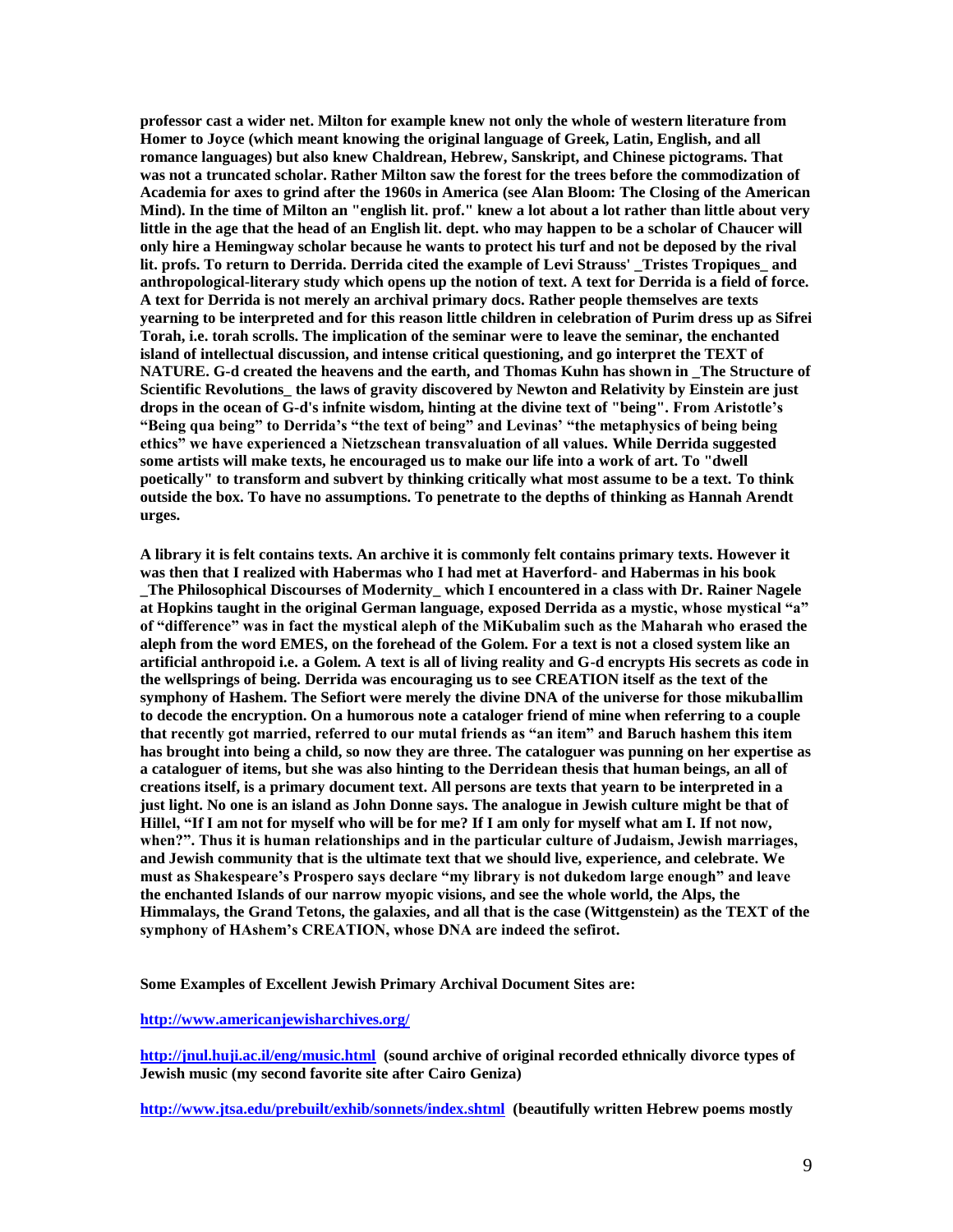**professor cast a wider net. Milton for example knew not only the whole of western literature from Homer to Joyce (which meant knowing the original language of Greek, Latin, English, and all romance languages) but also knew Chaldrean, Hebrew, Sanskript, and Chinese pictograms. That was not a truncated scholar. Rather Milton saw the forest for the trees before the commodization of Academia for axes to grind after the 1960s in America (see Alan Bloom: The Closing of the American Mind). In the time of Milton an "english lit. prof." knew a lot about a lot rather than little about very little in the age that the head of an English lit. dept. who may happen to be a scholar of Chaucer will only hire a Hemingway scholar because he wants to protect his turf and not be deposed by the rival lit. profs. To return to Derrida. Derrida cited the example of Levi Strauss' \_Tristes Tropiques\_ and anthropological-literary study which opens up the notion of text. A text for Derrida is a field of force. A text for Derrida is not merely an archival primary docs. Rather people themselves are texts yearning to be interpreted and for this reason little children in celebration of Purim dress up as Sifrei Torah, i.e. torah scrolls. The implication of the seminar were to leave the seminar, the enchanted island of intellectual discussion, and intense critical questioning, and go interpret the TEXT of NATURE. G-d created the heavens and the earth, and Thomas Kuhn has shown in \_The Structure of Scientific Revolutions\_ the laws of gravity discovered by Newton and Relativity by Einstein are just drops in the ocean of G-d's infnite wisdom, hinting at the divine text of "being". From Aristotle's "Being qua being" to Derrida's "the text of being" and Levinas' "the metaphysics of being being ethics" we have experienced a Nietzschean transvaluation of all values. While Derrida suggested some artists will make texts, he encouraged us to make our life into a work of art. To "dwell poetically" to transform and subvert by thinking critically what most assume to be a text. To think outside the box. To have no assumptions. To penetrate to the depths of thinking as Hannah Arendt urges.**

**A library it is felt contains texts. An archive it is commonly felt contains primary texts. However it was then that I realized with Habermas who I had met at Haverford- and Habermas in his book \_The Philosophical Discourses of Modernity\_ which I encountered in a class with Dr. Rainer Nagele at Hopkins taught in the original German language, exposed Derrida as a mystic, whose mystical "a" of "difference" was in fact the mystical aleph of the MiKubalim such as the Maharah who erased the aleph from the word EMES, on the forehead of the Golem. For a text is not a closed system like an artificial anthropoid i.e. a Golem. A text is all of living reality and G-d encrypts His secrets as code in the wellsprings of being. Derrida was encouraging us to see CREATION itself as the text of the symphony of Hashem. The Sefiort were merely the divine DNA of the universe for those mikuballim to decode the encryption. On a humorous note a cataloger friend of mine when referring to a couple that recently got married, referred to our mutal friends as "an item" and Baruch hashem this item has brought into being a child, so now they are three. The cataloguer was punning on her expertise as a cataloguer of items, but she was also hinting to the Derridean thesis that human beings, an all of creations itself, is a primary document text. All persons are texts that yearn to be interpreted in a just light. No one is an island as John Donne says. The analogue in Jewish culture might be that of Hillel, "If I am not for myself who will be for me? If I am only for myself what am I. If not now, when?". Thus it is human relationships and in the particular culture of Judaism, Jewish marriages, and Jewish community that is the ultimate text that we should live, experience, and celebrate. We must as Shakespeare's Prospero says declare "my library is not dukedom large enough" and leave the enchanted Islands of our narrow myopic visions, and see the whole world, the Alps, the Himmalays, the Grand Tetons, the galaxies, and all that is the case (Wittgenstein) as the TEXT of the symphony of HAshem's CREATION, whose DNA are indeed the sefirot.**

**Some Examples of Excellent Jewish Primary Archival Document Sites are:**

#### **[http://www.americanjewisharchives.org/](https://owa.touro.edu/owa/redir.aspx?C=46c38acecc494c52bfda949d2bfaf5f8&URL=http%3a%2f%2fwww.americanjewisharchives.org%2f)**

**[http://jnul.huji.ac.il/eng/music.html](https://owa.touro.edu/owa/redir.aspx?C=46c38acecc494c52bfda949d2bfaf5f8&URL=http%3a%2f%2fjnul.huji.ac.il%2feng%2fmusic.html) (sound archive of original recorded ethnically divorce types of Jewish music (my second favorite site after Cairo Geniza)**

**[http://www.jtsa.edu/prebuilt/exhib/sonnets/index.shtml](https://owa.touro.edu/owa/redir.aspx?C=46c38acecc494c52bfda949d2bfaf5f8&URL=http%3a%2f%2fwww.jtsa.edu%2fprebuilt%2fexhib%2fsonnets%2findex.shtml) (beautifully written Hebrew poems mostly**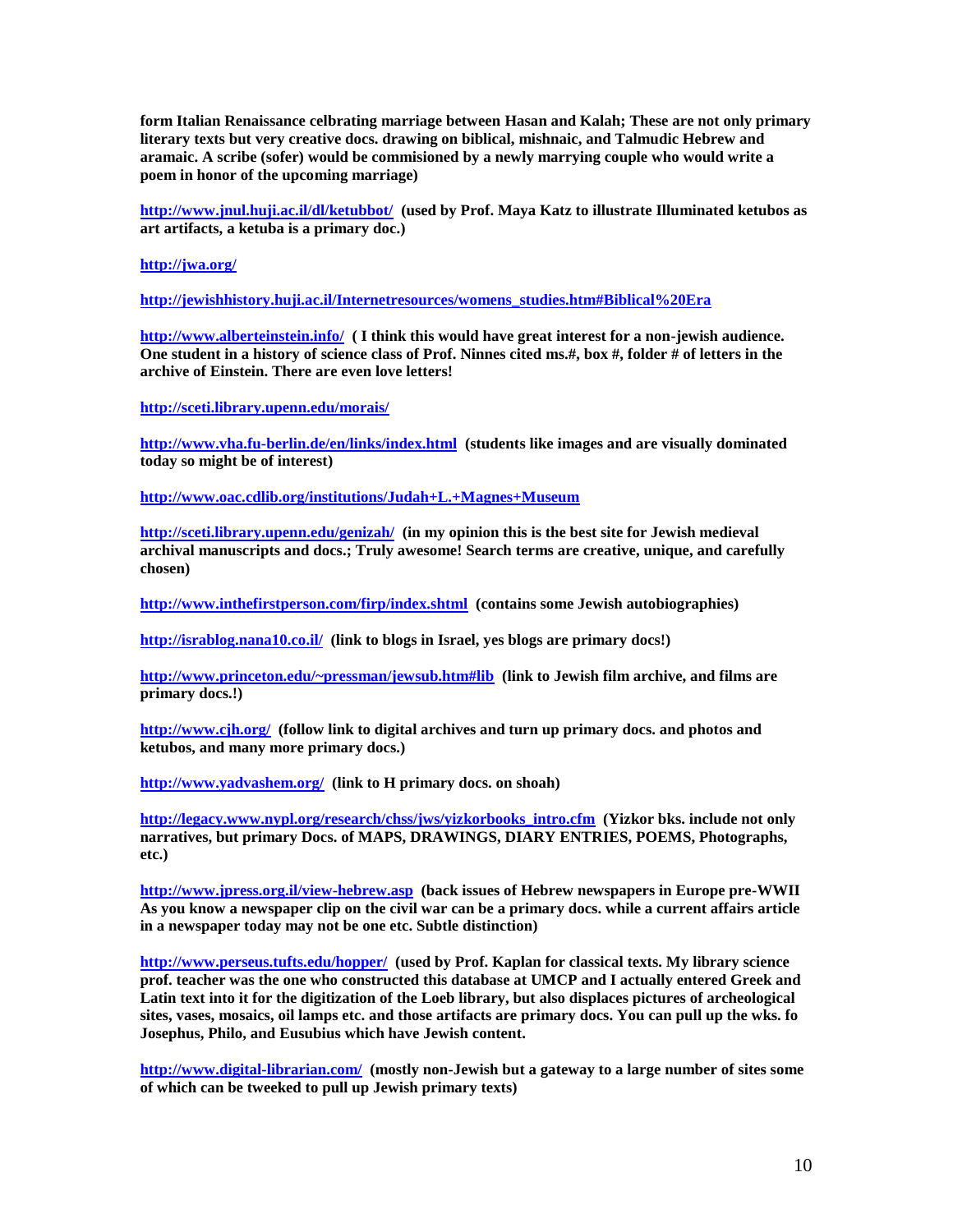**form Italian Renaissance celbrating marriage between Hasan and Kalah; These are not only primary literary texts but very creative docs. drawing on biblical, mishnaic, and Talmudic Hebrew and aramaic. A scribe (sofer) would be commisioned by a newly marrying couple who would write a poem in honor of the upcoming marriage)**

**[http://www.jnul.huji.ac.il/dl/ketubbot/](https://owa.touro.edu/owa/redir.aspx?C=46c38acecc494c52bfda949d2bfaf5f8&URL=http%3a%2f%2fwww.jnul.huji.ac.il%2fdl%2fketubbot%2f) (used by Prof. Maya Katz to illustrate Illuminated ketubos as art artifacts, a ketuba is a primary doc.)**

**[http://jwa.org/](https://owa.touro.edu/owa/redir.aspx?C=46c38acecc494c52bfda949d2bfaf5f8&URL=http%3a%2f%2fjwa.org%2f)**

**[http://jewishhistory.huji.ac.il/Internetresources/womens\\_studies.htm#Biblical%20Era](https://owa.touro.edu/owa/redir.aspx?C=46c38acecc494c52bfda949d2bfaf5f8&URL=http%3a%2f%2fjewishhistory.huji.ac.il%2fInternetresources%2fwomens_studies.htm%23Biblical%2520Era)**

**[http://www.alberteinstein.info/](https://owa.touro.edu/owa/redir.aspx?C=46c38acecc494c52bfda949d2bfaf5f8&URL=http%3a%2f%2fwww.alberteinstein.info%2f) ( I think this would have great interest for a non-jewish audience. One student in a history of science class of Prof. Ninnes cited ms.#, box #, folder # of letters in the archive of Einstein. There are even love letters!**

**[http://sceti.library.upenn.edu/morais/](https://owa.touro.edu/owa/redir.aspx?C=46c38acecc494c52bfda949d2bfaf5f8&URL=http%3a%2f%2fsceti.library.upenn.edu%2fmorais%2f)**

**[http://www.vha.fu-berlin.de/en/links/index.html](https://owa.touro.edu/owa/redir.aspx?C=46c38acecc494c52bfda949d2bfaf5f8&URL=http%3a%2f%2fwww.vha.fu-berlin.de%2fen%2flinks%2findex.html) (students like images and are visually dominated today so might be of interest)**

**[http://www.oac.cdlib.org/institutions/Judah+L.+Magnes+Museum](https://owa.touro.edu/owa/redir.aspx?C=46c38acecc494c52bfda949d2bfaf5f8&URL=http%3a%2f%2fwww.oac.cdlib.org%2finstitutions%2fJudah%2bL.%2bMagnes%2bMuseum)**

**[http://sceti.library.upenn.edu/genizah/](https://owa.touro.edu/owa/redir.aspx?C=46c38acecc494c52bfda949d2bfaf5f8&URL=http%3a%2f%2fsceti.library.upenn.edu%2fgenizah%2f) (in my opinion this is the best site for Jewish medieval archival manuscripts and docs.; Truly awesome! Search terms are creative, unique, and carefully chosen)**

**[http://www.inthefirstperson.com/firp/index.shtml](https://owa.touro.edu/owa/redir.aspx?C=46c38acecc494c52bfda949d2bfaf5f8&URL=http%3a%2f%2fwww.inthefirstperson.com%2ffirp%2findex.shtml) (contains some Jewish autobiographies)**

**[http://israblog.nana10.co.il/](https://owa.touro.edu/owa/redir.aspx?C=46c38acecc494c52bfda949d2bfaf5f8&URL=http%3a%2f%2fisrablog.nana10.co.il%2f) (link to blogs in Israel, yes blogs are primary docs!)**

**[http://www.princeton.edu/~pressman/jewsub.htm#lib](https://owa.touro.edu/owa/redir.aspx?C=46c38acecc494c52bfda949d2bfaf5f8&URL=http%3a%2f%2fwww.princeton.edu%2f%7epressman%2fjewsub.htm%23lib) (link to Jewish film archive, and films are primary docs.!)**

**[http://www.cjh.org/](https://owa.touro.edu/owa/redir.aspx?C=46c38acecc494c52bfda949d2bfaf5f8&URL=http%3a%2f%2fwww.cjh.org%2f) (follow link to digital archives and turn up primary docs. and photos and ketubos, and many more primary docs.)**

**[http://www.yadvashem.org/](https://owa.touro.edu/owa/redir.aspx?C=46c38acecc494c52bfda949d2bfaf5f8&URL=http%3a%2f%2fwww.yadvashem.org%2f) (link to H primary docs. on shoah)**

**[http://legacy.www.nypl.org/research/chss/jws/yizkorbooks\\_intro.cfm](https://owa.touro.edu/owa/redir.aspx?C=46c38acecc494c52bfda949d2bfaf5f8&URL=http%3a%2f%2flegacy.www.nypl.org%2fresearch%2fchss%2fjws%2fyizkorbooks_intro.cfm) (Yizkor bks. include not only narratives, but primary Docs. of MAPS, DRAWINGS, DIARY ENTRIES, POEMS, Photographs, etc.)**

**[http://www.jpress.org.il/view-hebrew.asp](https://owa.touro.edu/owa/redir.aspx?C=46c38acecc494c52bfda949d2bfaf5f8&URL=http%3a%2f%2fwww.jpress.org.il%2fview-hebrew.asp) (back issues of Hebrew newspapers in Europe pre-WWII As you know a newspaper clip on the civil war can be a primary docs. while a current affairs article in a newspaper today may not be one etc. Subtle distinction)**

**[http://www.perseus.tufts.edu/hopper/](https://owa.touro.edu/owa/redir.aspx?C=46c38acecc494c52bfda949d2bfaf5f8&URL=http%3a%2f%2fwww.perseus.tufts.edu%2fhopper%2f) (used by Prof. Kaplan for classical texts. My library science prof. teacher was the one who constructed this database at UMCP and I actually entered Greek and Latin text into it for the digitization of the Loeb library, but also displaces pictures of archeological sites, vases, mosaics, oil lamps etc. and those artifacts are primary docs. You can pull up the wks. fo Josephus, Philo, and Eusubius which have Jewish content.**

**[http://www.digital-librarian.com/](https://owa.touro.edu/owa/redir.aspx?C=46c38acecc494c52bfda949d2bfaf5f8&URL=http%3a%2f%2fwww.digital-librarian.com%2f) (mostly non-Jewish but a gateway to a large number of sites some of which can be tweeked to pull up Jewish primary texts)**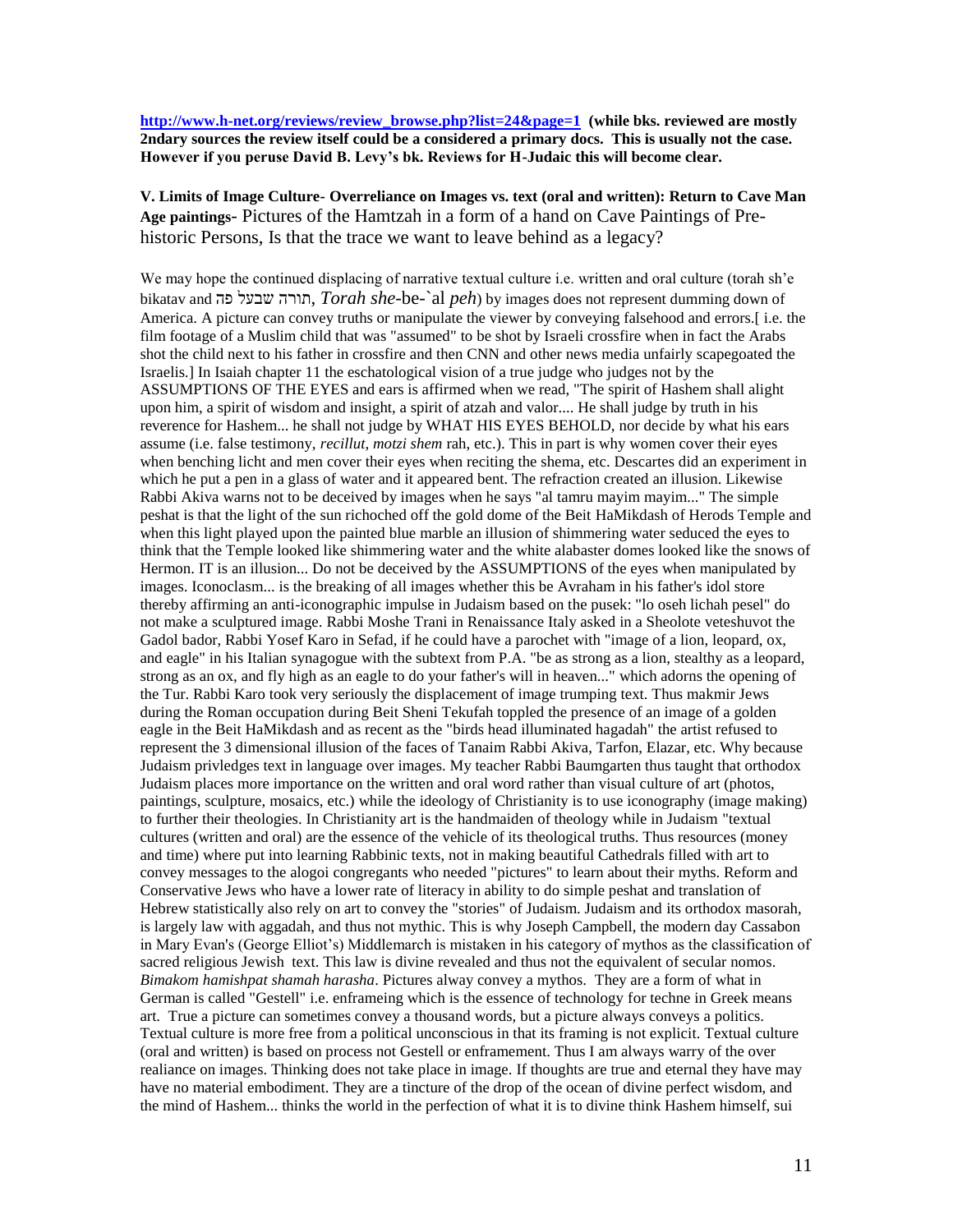**[http://www.h-net.org/reviews/review\\_browse.php?list=24&page=1](https://owa.touro.edu/owa/redir.aspx?C=46c38acecc494c52bfda949d2bfaf5f8&URL=http%3a%2f%2fwww.h-net.org%2freviews%2freview_browse.php%3flist%3d24%26page%3d1) (while bks. reviewed are mostly 2ndary sources the review itself could be a considered a primary docs. This is usually not the case. However if you peruse David B. Levy's bk. Reviews for H-Judaic this will become clear.**

**V. Limits of Image Culture- Overreliance on Images vs. text (oral and written): Return to Cave Man Age paintings**- Pictures of the Hamtzah in a form of a hand on Cave Paintings of Prehistoric Persons, Is that the trace we want to leave behind as a legacy?

We may hope the continued displacing of narrative textual culture i.e. written and oral culture (torah sh'e bikatav and פה שבעל תורה, *Torah she*-be-`al *peh*) by images does not represent dumming down of America. A picture can convey truths or manipulate the viewer by conveying falsehood and errors.[ i.e. the film footage of a Muslim child that was "assumed" to be shot by Israeli crossfire when in fact the Arabs shot the child next to his father in crossfire and then CNN and other news media unfairly scapegoated the Israelis.] In Isaiah chapter 11 the eschatological vision of a true judge who judges not by the ASSUMPTIONS OF THE EYES and ears is affirmed when we read, "The spirit of Hashem shall alight upon him, a spirit of wisdom and insight, a spirit of atzah and valor.... He shall judge by truth in his reverence for Hashem... he shall not judge by WHAT HIS EYES BEHOLD, nor decide by what his ears assume (i.e. false testimony, *recillut, motzi shem* rah, etc.). This in part is why women cover their eyes when benching licht and men cover their eyes when reciting the shema, etc. Descartes did an experiment in which he put a pen in a glass of water and it appeared bent. The refraction created an illusion. Likewise Rabbi Akiva warns not to be deceived by images when he says "al tamru mayim mayim..." The simple peshat is that the light of the sun richoched off the gold dome of the Beit HaMikdash of Herods Temple and when this light played upon the painted blue marble an illusion of shimmering water seduced the eyes to think that the Temple looked like shimmering water and the white alabaster domes looked like the snows of Hermon. IT is an illusion... Do not be deceived by the ASSUMPTIONS of the eyes when manipulated by images. Iconoclasm... is the breaking of all images whether this be Avraham in his father's idol store thereby affirming an anti-iconographic impulse in Judaism based on the pusek: "lo oseh lichah pesel" do not make a sculptured image. Rabbi Moshe Trani in Renaissance Italy asked in a Sheolote veteshuvot the Gadol bador, Rabbi Yosef Karo in Sefad, if he could have a parochet with "image of a lion, leopard, ox, and eagle" in his Italian synagogue with the subtext from P.A. "be as strong as a lion, stealthy as a leopard, strong as an ox, and fly high as an eagle to do your father's will in heaven..." which adorns the opening of the Tur. Rabbi Karo took very seriously the displacement of image trumping text. Thus makmir Jews during the Roman occupation during Beit Sheni Tekufah toppled the presence of an image of a golden eagle in the Beit HaMikdash and as recent as the "birds head illuminated hagadah" the artist refused to represent the 3 dimensional illusion of the faces of Tanaim Rabbi Akiva, Tarfon, Elazar, etc. Why because Judaism privledges text in language over images. My teacher Rabbi Baumgarten thus taught that orthodox Judaism places more importance on the written and oral word rather than visual culture of art (photos, paintings, sculpture, mosaics, etc.) while the ideology of Christianity is to use iconography (image making) to further their theologies. In Christianity art is the handmaiden of theology while in Judaism "textual cultures (written and oral) are the essence of the vehicle of its theological truths. Thus resources (money and time) where put into learning Rabbinic texts, not in making beautiful Cathedrals filled with art to convey messages to the alogoi congregants who needed "pictures" to learn about their myths. Reform and Conservative Jews who have a lower rate of literacy in ability to do simple peshat and translation of Hebrew statistically also rely on art to convey the "stories" of Judaism. Judaism and its orthodox masorah, is largely law with aggadah, and thus not mythic. This is why Joseph Campbell, the modern day Cassabon in Mary Evan's (George Elliot"s) Middlemarch is mistaken in his category of mythos as the classification of sacred religious Jewish text. This law is divine revealed and thus not the equivalent of secular nomos. *Bimakom hamishpat shamah harasha*. Pictures alway convey a mythos. They are a form of what in German is called "Gestell" i.e. enframeing which is the essence of technology for techne in Greek means art. True a picture can sometimes convey a thousand words, but a picture always conveys a politics. Textual culture is more free from a political unconscious in that its framing is not explicit. Textual culture (oral and written) is based on process not Gestell or enframement. Thus I am always warry of the over realiance on images. Thinking does not take place in image. If thoughts are true and eternal they have may have no material embodiment. They are a tincture of the drop of the ocean of divine perfect wisdom, and the mind of Hashem... thinks the world in the perfection of what it is to divine think Hashem himself, sui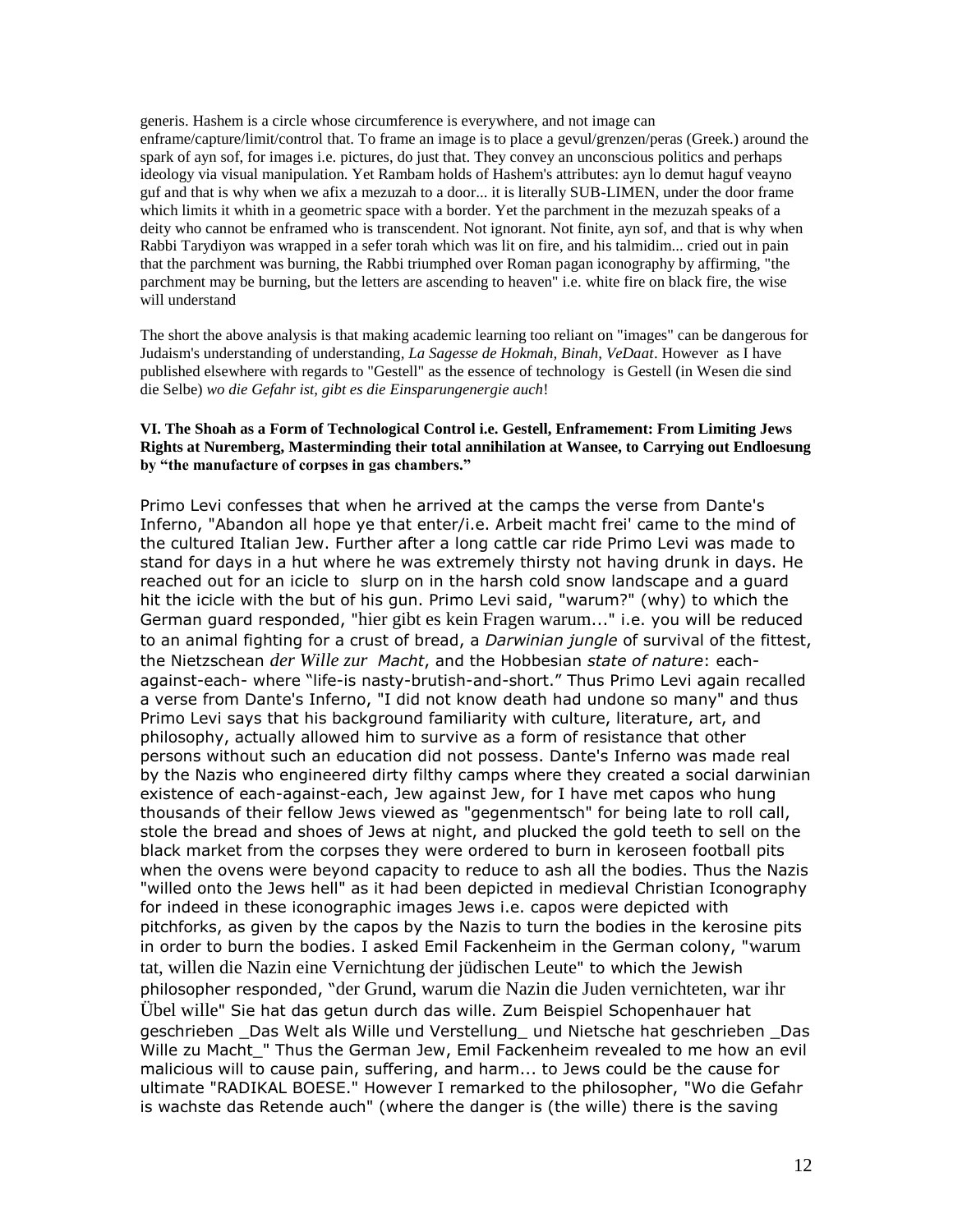generis. Hashem is a circle whose circumference is everywhere, and not image can enframe/capture/limit/control that. To frame an image is to place a gevul/grenzen/peras (Greek.) around the spark of ayn sof, for images i.e. pictures, do just that. They convey an unconscious politics and perhaps ideology via visual manipulation. Yet Rambam holds of Hashem's attributes: ayn lo demut haguf veayno guf and that is why when we afix a mezuzah to a door... it is literally SUB-LIMEN, under the door frame which limits it whith in a geometric space with a border. Yet the parchment in the mezuzah speaks of a deity who cannot be enframed who is transcendent. Not ignorant. Not finite, ayn sof, and that is why when Rabbi Tarydiyon was wrapped in a sefer torah which was lit on fire, and his talmidim... cried out in pain that the parchment was burning, the Rabbi triumphed over Roman pagan iconography by affirming, "the parchment may be burning, but the letters are ascending to heaven" i.e. white fire on black fire, the wise will understand

The short the above analysis is that making academic learning too reliant on "images" can be dangerous for Judaism's understanding of understanding*, La Sagesse de Hokmah, Binah, VeDaat*. However as I have published elsewhere with regards to "Gestell" as the essence of technology is Gestell (in Wesen die sind die Selbe) *wo die Gefahr ist, gibt es die Einsparungenergie auch*!

#### **VI. The Shoah as a Form of Technological Control i.e. Gestell, Enframement: From Limiting Jews Rights at Nuremberg, Masterminding their total annihilation at Wansee, to Carrying out Endloesung by "the manufacture of corpses in gas chambers."**

Primo Levi confesses that when he arrived at the camps the verse from Dante's Inferno, "Abandon all hope ye that enter/i.e. Arbeit macht frei' came to the mind of the cultured Italian Jew. Further after a long cattle car ride Primo Levi was made to stand for days in a hut where he was extremely thirsty not having drunk in days. He reached out for an icicle to slurp on in the harsh cold snow landscape and a guard hit the icicle with the but of his gun. Primo Levi said, "warum?" (why) to which the German guard responded, "hier gibt es kein Fragen warum..." i.e. you will be reduced to an animal fighting for a crust of bread, a *Darwinian jungle* of survival of the fittest, the Nietzschean *der Wille zur Macht*, and the Hobbesian *state of nature*: eachagainst-each- where "life-is nasty-brutish-and-short." Thus Primo Levi again recalled a verse from Dante's Inferno, "I did not know death had undone so many" and thus Primo Levi says that his background familiarity with culture, literature, art, and philosophy, actually allowed him to survive as a form of resistance that other persons without such an education did not possess. Dante's Inferno was made real by the Nazis who engineered dirty filthy camps where they created a social darwinian existence of each-against-each, Jew against Jew, for I have met capos who hung thousands of their fellow Jews viewed as "gegenmentsch" for being late to roll call, stole the bread and shoes of Jews at night, and plucked the gold teeth to sell on the black market from the corpses they were ordered to burn in keroseen football pits when the ovens were beyond capacity to reduce to ash all the bodies. Thus the Nazis "willed onto the Jews hell" as it had been depicted in medieval Christian Iconography for indeed in these iconographic images Jews i.e. capos were depicted with pitchforks, as given by the capos by the Nazis to turn the bodies in the kerosine pits in order to burn the bodies. I asked Emil Fackenheim in the German colony, "warum tat, willen die Nazin eine Vernichtung der jüdischen Leute" to which the Jewish philosopher responded, "der Grund, warum die Nazin die Juden vernichteten, war ihr Übel wille" Sie hat das getun durch das wille. Zum Beispiel Schopenhauer hat geschrieben \_Das Welt als Wille und Verstellung\_ und Nietsche hat geschrieben \_Das Wille zu Macht\_" Thus the German Jew, Emil Fackenheim revealed to me how an evil malicious will to cause pain, suffering, and harm... to Jews could be the cause for ultimate "RADIKAL BOESE." However I remarked to the philosopher, "Wo die Gefahr is wachste das Retende auch" (where the danger is (the wille) there is the saving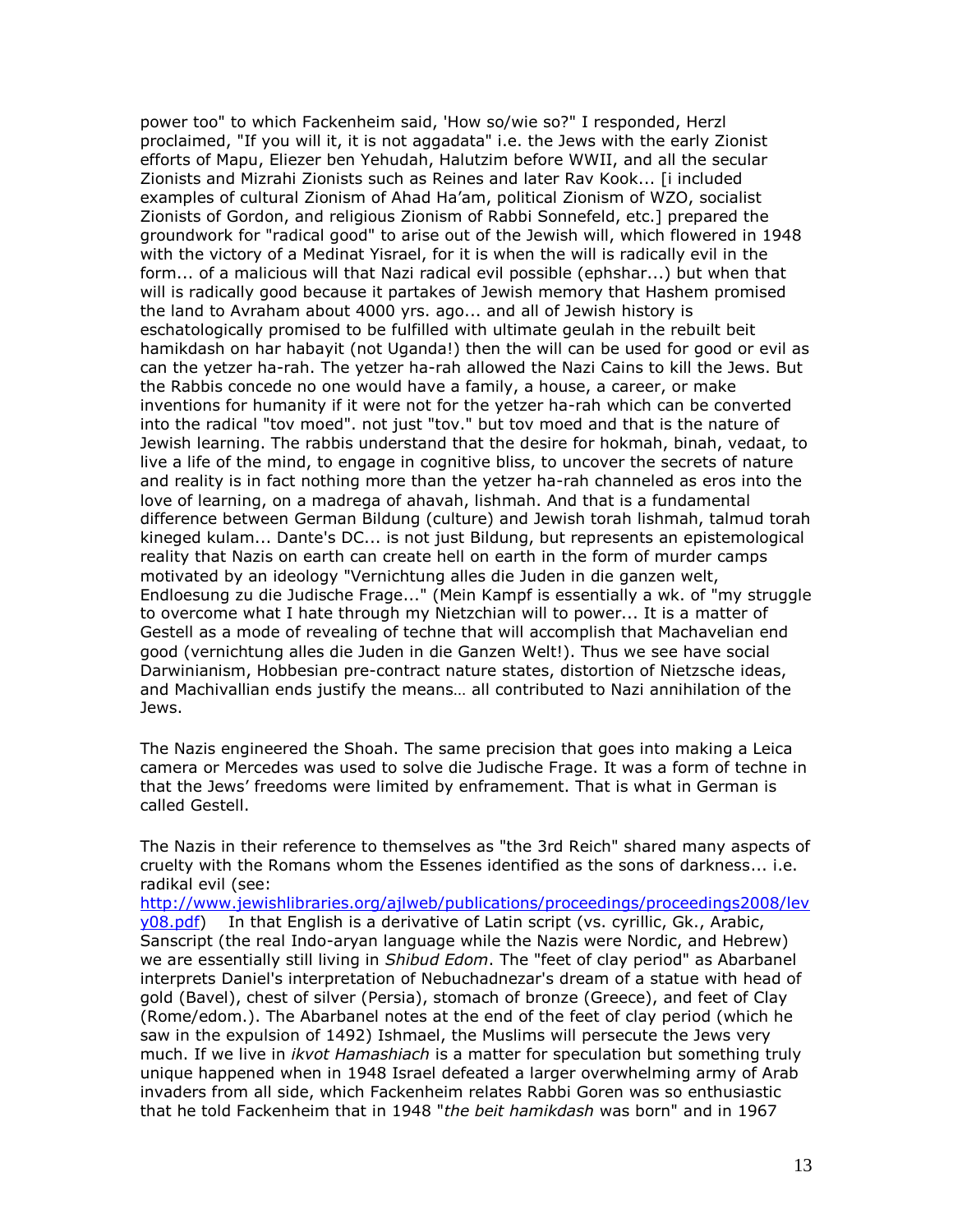power too" to which Fackenheim said, 'How so/wie so?" I responded, Herzl proclaimed, "If you will it, it is not aggadata" i.e. the Jews with the early Zionist efforts of Mapu, Eliezer ben Yehudah, Halutzim before WWII, and all the secular Zionists and Mizrahi Zionists such as Reines and later Rav Kook... [i included examples of cultural Zionism of Ahad Ha'am, political Zionism of WZO, socialist Zionists of Gordon, and religious Zionism of Rabbi Sonnefeld, etc.] prepared the groundwork for "radical good" to arise out of the Jewish will, which flowered in 1948 with the victory of a Medinat Yisrael, for it is when the will is radically evil in the form... of a malicious will that Nazi radical evil possible (ephshar...) but when that will is radically good because it partakes of Jewish memory that Hashem promised the land to Avraham about 4000 yrs. ago... and all of Jewish history is eschatologically promised to be fulfilled with ultimate geulah in the rebuilt beit hamikdash on har habayit (not Uganda!) then the will can be used for good or evil as can the yetzer ha-rah. The yetzer ha-rah allowed the Nazi Cains to kill the Jews. But the Rabbis concede no one would have a family, a house, a career, or make inventions for humanity if it were not for the yetzer ha-rah which can be converted into the radical "tov moed". not just "tov." but tov moed and that is the nature of Jewish learning. The rabbis understand that the desire for hokmah, binah, vedaat, to live a life of the mind, to engage in cognitive bliss, to uncover the secrets of nature and reality is in fact nothing more than the yetzer ha-rah channeled as eros into the love of learning, on a madrega of ahavah, lishmah. And that is a fundamental difference between German Bildung (culture) and Jewish torah lishmah, talmud torah kineged kulam... Dante's DC... is not just Bildung, but represents an epistemological reality that Nazis on earth can create hell on earth in the form of murder camps motivated by an ideology "Vernichtung alles die Juden in die ganzen welt, Endloesung zu die Judische Frage..." (Mein Kampf is essentially a wk. of "my struggle to overcome what I hate through my Nietzchian will to power... It is a matter of Gestell as a mode of revealing of techne that will accomplish that Machavelian end good (vernichtung alles die Juden in die Ganzen Welt!). Thus we see have social Darwinianism, Hobbesian pre-contract nature states, distortion of Nietzsche ideas, and Machivallian ends justify the means… all contributed to Nazi annihilation of the Jews.

The Nazis engineered the Shoah. The same precision that goes into making a Leica camera or Mercedes was used to solve die Judische Frage. It was a form of techne in that the Jews' freedoms were limited by enframement. That is what in German is called Gestell.

The Nazis in their reference to themselves as "the 3rd Reich" shared many aspects of cruelty with the Romans whom the Essenes identified as the sons of darkness... i.e. radikal evil (see:

[http://www.jewishlibraries.org/ajlweb/publications/proceedings/proceedings2008/lev](http://www.jewishlibraries.org/ajlweb/publications/proceedings/proceedings2008/levy08.pdf) [y08.pdf\)](http://www.jewishlibraries.org/ajlweb/publications/proceedings/proceedings2008/levy08.pdf) In that English is a derivative of Latin script (vs. cyrillic, Gk., Arabic, Sanscript (the real Indo-aryan language while the Nazis were Nordic, and Hebrew) we are essentially still living in *Shibud Edom*. The "feet of clay period" as Abarbanel interprets Daniel's interpretation of Nebuchadnezar's dream of a statue with head of gold (Bavel), chest of silver (Persia), stomach of bronze (Greece), and feet of Clay (Rome/edom.). The Abarbanel notes at the end of the feet of clay period (which he saw in the expulsion of 1492) Ishmael, the Muslims will persecute the Jews very much. If we live in *ikvot Hamashiach* is a matter for speculation but something truly unique happened when in 1948 Israel defeated a larger overwhelming army of Arab invaders from all side, which Fackenheim relates Rabbi Goren was so enthusiastic that he told Fackenheim that in 1948 "*the beit hamikdash* was born" and in 1967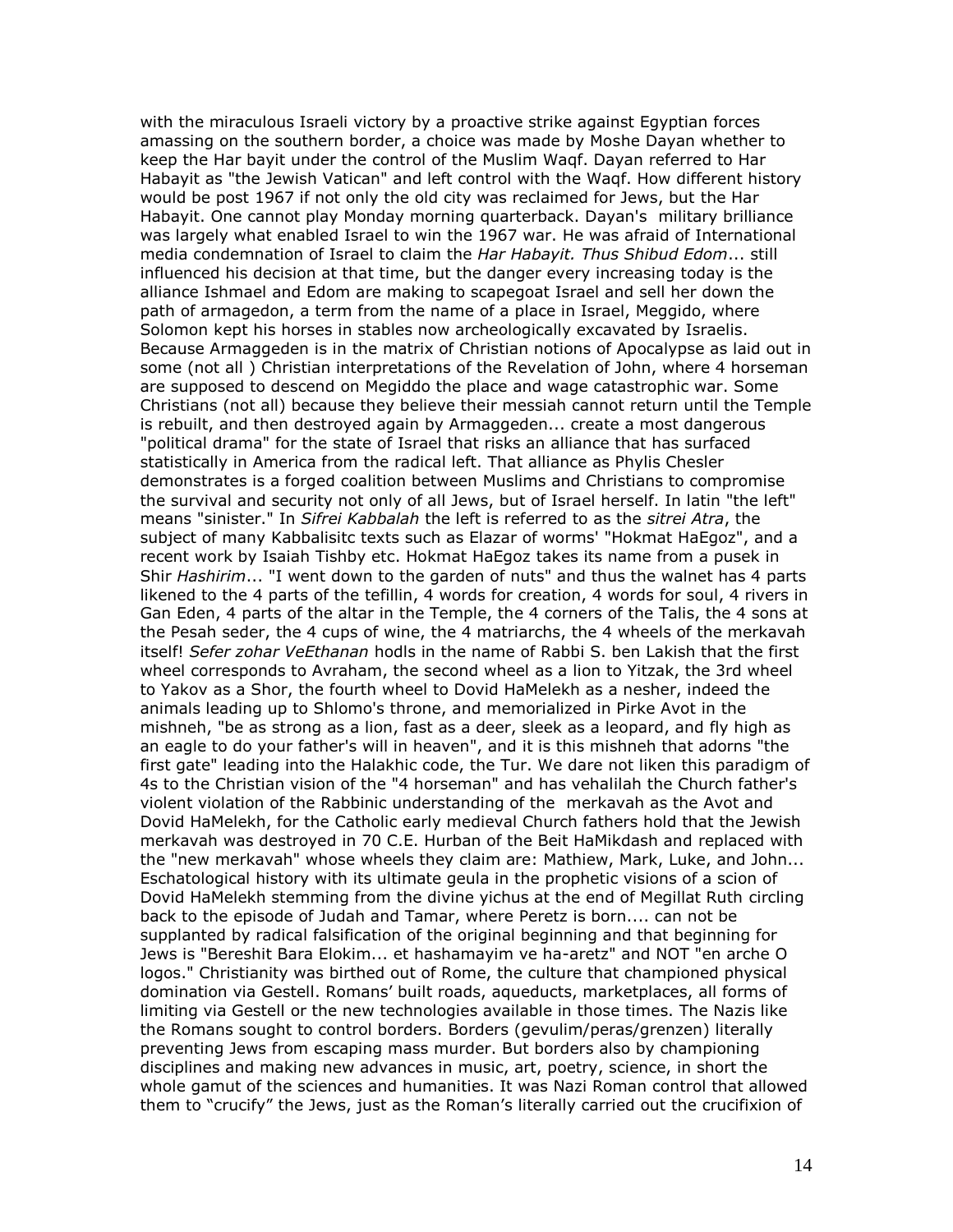with the miraculous Israeli victory by a proactive strike against Egyptian forces amassing on the southern border, a choice was made by Moshe Dayan whether to keep the Har bayit under the control of the Muslim Waqf. Dayan referred to Har Habayit as "the Jewish Vatican" and left control with the Waqf. How different history would be post 1967 if not only the old city was reclaimed for Jews, but the Har Habayit. One cannot play Monday morning quarterback. Dayan's military brilliance was largely what enabled Israel to win the 1967 war. He was afraid of International media condemnation of Israel to claim the *Har Habayit. Thus Shibud Edom*... still influenced his decision at that time, but the danger every increasing today is the alliance Ishmael and Edom are making to scapegoat Israel and sell her down the path of armagedon, a term from the name of a place in Israel, Meggido, where Solomon kept his horses in stables now archeologically excavated by Israelis. Because Armaggeden is in the matrix of Christian notions of Apocalypse as laid out in some (not all ) Christian interpretations of the Revelation of John, where 4 horseman are supposed to descend on Megiddo the place and wage catastrophic war. Some Christians (not all) because they believe their messiah cannot return until the Temple is rebuilt, and then destroyed again by Armaggeden... create a most dangerous "political drama" for the state of Israel that risks an alliance that has surfaced statistically in America from the radical left. That alliance as Phylis Chesler demonstrates is a forged coalition between Muslims and Christians to compromise the survival and security not only of all Jews, but of Israel herself. In latin "the left" means "sinister." In *Sifrei Kabbalah* the left is referred to as the *sitrei Atra*, the subject of many Kabbalisitc texts such as Elazar of worms' "Hokmat HaEgoz", and a recent work by Isaiah Tishby etc. Hokmat HaEgoz takes its name from a pusek in Shir *Hashirim*... "I went down to the garden of nuts" and thus the walnet has 4 parts likened to the 4 parts of the tefillin, 4 words for creation, 4 words for soul, 4 rivers in Gan Eden, 4 parts of the altar in the Temple, the 4 corners of the Talis, the 4 sons at the Pesah seder, the 4 cups of wine, the 4 matriarchs, the 4 wheels of the merkavah itself! *Sefer zohar VeEthanan* hodls in the name of Rabbi S. ben Lakish that the first wheel corresponds to Avraham, the second wheel as a lion to Yitzak, the 3rd wheel to Yakov as a Shor, the fourth wheel to Dovid HaMelekh as a nesher, indeed the animals leading up to Shlomo's throne, and memorialized in Pirke Avot in the mishneh, "be as strong as a lion, fast as a deer, sleek as a leopard, and fly high as an eagle to do your father's will in heaven", and it is this mishneh that adorns "the first gate" leading into the Halakhic code, the Tur. We dare not liken this paradigm of 4s to the Christian vision of the "4 horseman" and has vehalilah the Church father's violent violation of the Rabbinic understanding of the merkavah as the Avot and Dovid HaMelekh, for the Catholic early medieval Church fathers hold that the Jewish merkavah was destroyed in 70 C.E. Hurban of the Beit HaMikdash and replaced with the "new merkavah" whose wheels they claim are: Mathiew, Mark, Luke, and John... Eschatological history with its ultimate geula in the prophetic visions of a scion of Dovid HaMelekh stemming from the divine yichus at the end of Megillat Ruth circling back to the episode of Judah and Tamar, where Peretz is born.... can not be supplanted by radical falsification of the original beginning and that beginning for Jews is "Bereshit Bara Elokim... et hashamayim ve ha-aretz" and NOT "en arche O logos." Christianity was birthed out of Rome, the culture that championed physical domination via Gestell. Romans' built roads, aqueducts, marketplaces, all forms of limiting via Gestell or the new technologies available in those times. The Nazis like the Romans sought to control borders. Borders (gevulim/peras/grenzen) literally preventing Jews from escaping mass murder. But borders also by championing disciplines and making new advances in music, art, poetry, science, in short the whole gamut of the sciences and humanities. It was Nazi Roman control that allowed them to "crucify" the Jews, just as the Roman's literally carried out the crucifixion of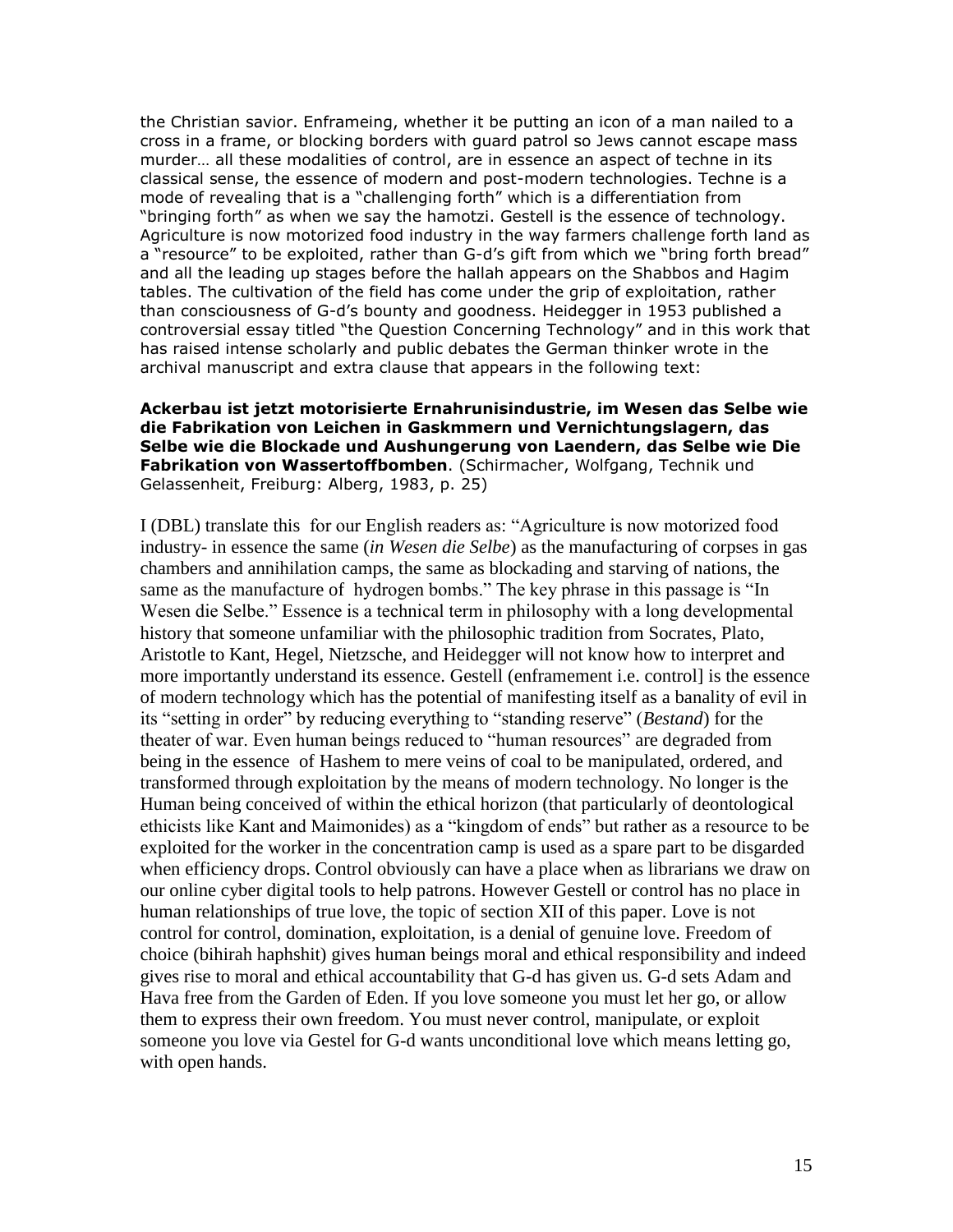the Christian savior. Enframeing, whether it be putting an icon of a man nailed to a cross in a frame, or blocking borders with guard patrol so Jews cannot escape mass murder… all these modalities of control, are in essence an aspect of techne in its classical sense, the essence of modern and post-modern technologies. Techne is a mode of revealing that is a "challenging forth" which is a differentiation from "bringing forth" as when we say the hamotzi. Gestell is the essence of technology. Agriculture is now motorized food industry in the way farmers challenge forth land as a "resource" to be exploited, rather than G-d's gift from which we "bring forth bread" and all the leading up stages before the hallah appears on the Shabbos and Hagim tables. The cultivation of the field has come under the grip of exploitation, rather than consciousness of G-d's bounty and goodness. Heidegger in 1953 published a controversial essay titled "the Question Concerning Technology" and in this work that has raised intense scholarly and public debates the German thinker wrote in the archival manuscript and extra clause that appears in the following text:

### **Ackerbau ist jetzt motorisierte Ernahrunisindustrie, im Wesen das Selbe wie die Fabrikation von Leichen in Gaskmmern und Vernichtungslagern, das Selbe wie die Blockade und Aushungerung von Laendern, das Selbe wie Die Fabrikation von Wassertoffbomben**. (Schirmacher, Wolfgang, Technik und Gelassenheit, Freiburg: Alberg, 1983, p. 25)

I (DBL) translate this for our English readers as: "Agriculture is now motorized food industry- in essence the same (*in Wesen die Selbe*) as the manufacturing of corpses in gas chambers and annihilation camps, the same as blockading and starving of nations, the same as the manufacture of hydrogen bombs." The key phrase in this passage is "In Wesen die Selbe." Essence is a technical term in philosophy with a long developmental history that someone unfamiliar with the philosophic tradition from Socrates, Plato, Aristotle to Kant, Hegel, Nietzsche, and Heidegger will not know how to interpret and more importantly understand its essence. Gestell (enframement i.e. control] is the essence of modern technology which has the potential of manifesting itself as a banality of evil in its "setting in order" by reducing everything to "standing reserve" (*Bestand*) for the theater of war. Even human beings reduced to "human resources" are degraded from being in the essence of Hashem to mere veins of coal to be manipulated, ordered, and transformed through exploitation by the means of modern technology. No longer is the Human being conceived of within the ethical horizon (that particularly of deontological ethicists like Kant and Maimonides) as a "kingdom of ends" but rather as a resource to be exploited for the worker in the concentration camp is used as a spare part to be disgarded when efficiency drops. Control obviously can have a place when as librarians we draw on our online cyber digital tools to help patrons. However Gestell or control has no place in human relationships of true love, the topic of section XII of this paper. Love is not control for control, domination, exploitation, is a denial of genuine love. Freedom of choice (bihirah haphshit) gives human beings moral and ethical responsibility and indeed gives rise to moral and ethical accountability that G-d has given us. G-d sets Adam and Hava free from the Garden of Eden. If you love someone you must let her go, or allow them to express their own freedom. You must never control, manipulate, or exploit someone you love via Gestel for G-d wants unconditional love which means letting go, with open hands.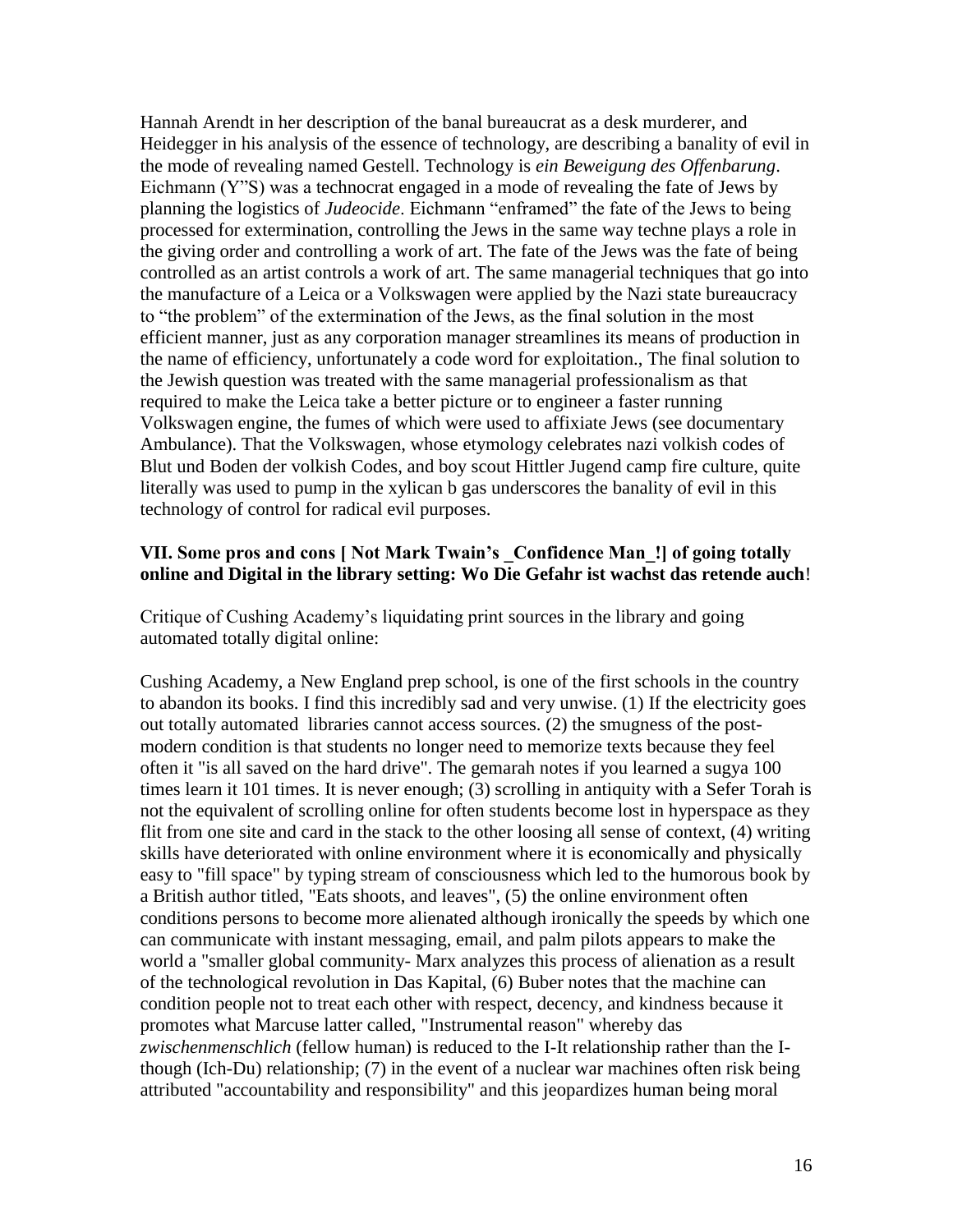Hannah Arendt in her description of the banal bureaucrat as a desk murderer, and Heidegger in his analysis of the essence of technology, are describing a banality of evil in the mode of revealing named Gestell. Technology is *ein Beweigung des Offenbarung*. Eichmann (Y"S) was a technocrat engaged in a mode of revealing the fate of Jews by planning the logistics of *Judeocide*. Eichmann "enframed" the fate of the Jews to being processed for extermination, controlling the Jews in the same way techne plays a role in the giving order and controlling a work of art. The fate of the Jews was the fate of being controlled as an artist controls a work of art. The same managerial techniques that go into the manufacture of a Leica or a Volkswagen were applied by the Nazi state bureaucracy to "the problem" of the extermination of the Jews, as the final solution in the most efficient manner, just as any corporation manager streamlines its means of production in the name of efficiency, unfortunately a code word for exploitation., The final solution to the Jewish question was treated with the same managerial professionalism as that required to make the Leica take a better picture or to engineer a faster running Volkswagen engine, the fumes of which were used to affixiate Jews (see documentary Ambulance). That the Volkswagen, whose etymology celebrates nazi volkish codes of Blut und Boden der volkish Codes, and boy scout Hittler Jugend camp fire culture, quite literally was used to pump in the xylican b gas underscores the banality of evil in this technology of control for radical evil purposes.

## **VII. Some pros and cons [ Not Mark Twain's \_Confidence Man\_!] of going totally online and Digital in the library setting: Wo Die Gefahr ist wachst das retende auch**!

Critique of Cushing Academy"s liquidating print sources in the library and going automated totally digital online:

Cushing Academy, a New England prep school, is one of the first schools in the country to abandon its books. I find this incredibly sad and very unwise. (1) If the electricity goes out totally automated libraries cannot access sources. (2) the smugness of the postmodern condition is that students no longer need to memorize texts because they feel often it "is all saved on the hard drive". The gemarah notes if you learned a sugya 100 times learn it 101 times. It is never enough; (3) scrolling in antiquity with a Sefer Torah is not the equivalent of scrolling online for often students become lost in hyperspace as they flit from one site and card in the stack to the other loosing all sense of context, (4) writing skills have deteriorated with online environment where it is economically and physically easy to "fill space" by typing stream of consciousness which led to the humorous book by a British author titled, "Eats shoots, and leaves", (5) the online environment often conditions persons to become more alienated although ironically the speeds by which one can communicate with instant messaging, email, and palm pilots appears to make the world a "smaller global community- Marx analyzes this process of alienation as a result of the technological revolution in Das Kapital, (6) Buber notes that the machine can condition people not to treat each other with respect, decency, and kindness because it promotes what Marcuse latter called, "Instrumental reason" whereby das *zwischenmenschlich* (fellow human) is reduced to the I-It relationship rather than the Ithough (Ich-Du) relationship; (7) in the event of a nuclear war machines often risk being attributed "accountability and responsibility" and this jeopardizes human being moral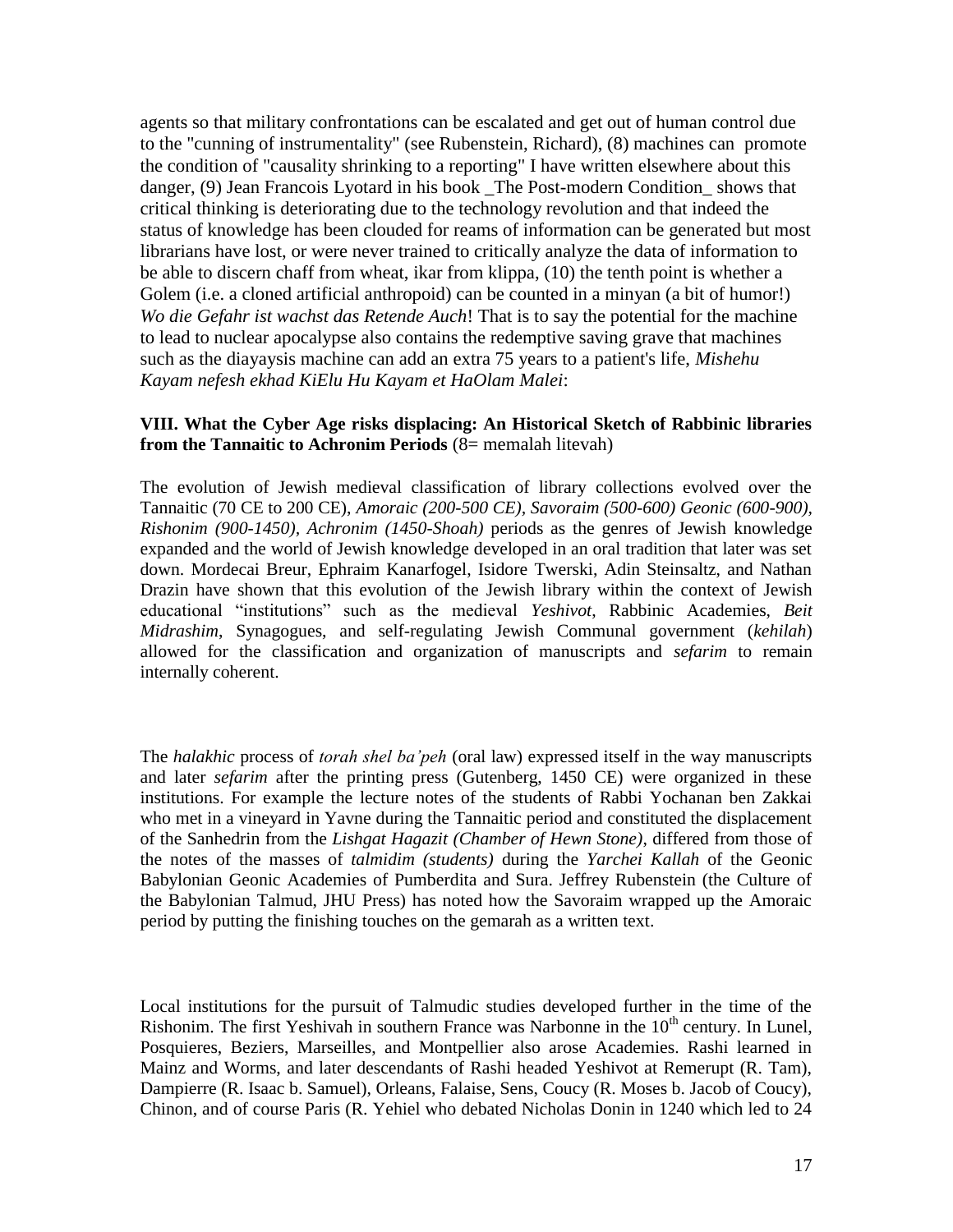agents so that military confrontations can be escalated and get out of human control due to the "cunning of instrumentality" (see Rubenstein, Richard), (8) machines can promote the condition of "causality shrinking to a reporting" I have written elsewhere about this danger, (9) Jean Francois Lyotard in his book \_The Post-modern Condition\_ shows that critical thinking is deteriorating due to the technology revolution and that indeed the status of knowledge has been clouded for reams of information can be generated but most librarians have lost, or were never trained to critically analyze the data of information to be able to discern chaff from wheat, ikar from klippa, (10) the tenth point is whether a Golem (*i.e. a cloned artificial anthropoid*) can be counted in a minyan (*a bit of humor!*) *Wo die Gefahr ist wachst das Retende Auch*! That is to say the potential for the machine to lead to nuclear apocalypse also contains the redemptive saving grave that machines such as the diayaysis machine can add an extra 75 years to a patient's life, *Mishehu Kayam nefesh ekhad KiElu Hu Kayam et HaOlam Malei*:

## **VIII. What the Cyber Age risks displacing: An Historical Sketch of Rabbinic libraries from the Tannaitic to Achronim Periods** (8= memalah litevah)

The evolution of Jewish medieval classification of library collections evolved over the Tannaitic (70 CE to 200 CE), *Amoraic (200-500 CE), Savoraim (500-600) Geonic (600-900), Rishonim (900-1450), Achronim (1450-Shoah)* periods as the genres of Jewish knowledge expanded and the world of Jewish knowledge developed in an oral tradition that later was set down. Mordecai Breur, Ephraim Kanarfogel, Isidore Twerski, Adin Steinsaltz, and Nathan Drazin have shown that this evolution of the Jewish library within the context of Jewish educational "institutions" such as the medieval *Yeshivot*, Rabbinic Academies, *Beit Midrashim*, Synagogues, and self-regulating Jewish Communal government (*kehilah*) allowed for the classification and organization of manuscripts and *sefarim* to remain internally coherent.

The *halakhic* process of *torah shel ba'peh* (oral law) expressed itself in the way manuscripts and later *sefarim* after the printing press (Gutenberg, 1450 CE) were organized in these institutions. For example the lecture notes of the students of Rabbi Yochanan ben Zakkai who met in a vineyard in Yavne during the Tannaitic period and constituted the displacement of the Sanhedrin from the *Lishgat Hagazit (Chamber of Hewn Stone)*, differed from those of the notes of the masses of *talmidim (students)* during the *Yarchei Kallah* of the Geonic Babylonian Geonic Academies of Pumberdita and Sura. Jeffrey Rubenstein (the Culture of the Babylonian Talmud, JHU Press) has noted how the Savoraim wrapped up the Amoraic period by putting the finishing touches on the gemarah as a written text.

Local institutions for the pursuit of Talmudic studies developed further in the time of the Rishonim. The first Yeshivah in southern France was Narbonne in the  $10<sup>th</sup>$  century. In Lunel, Posquieres, Beziers, Marseilles, and Montpellier also arose Academies. Rashi learned in Mainz and Worms, and later descendants of Rashi headed Yeshivot at Remerupt (R. Tam), Dampierre (R. Isaac b. Samuel), Orleans, Falaise, Sens, Coucy (R. Moses b. Jacob of Coucy), Chinon, and of course Paris (R. Yehiel who debated Nicholas Donin in 1240 which led to 24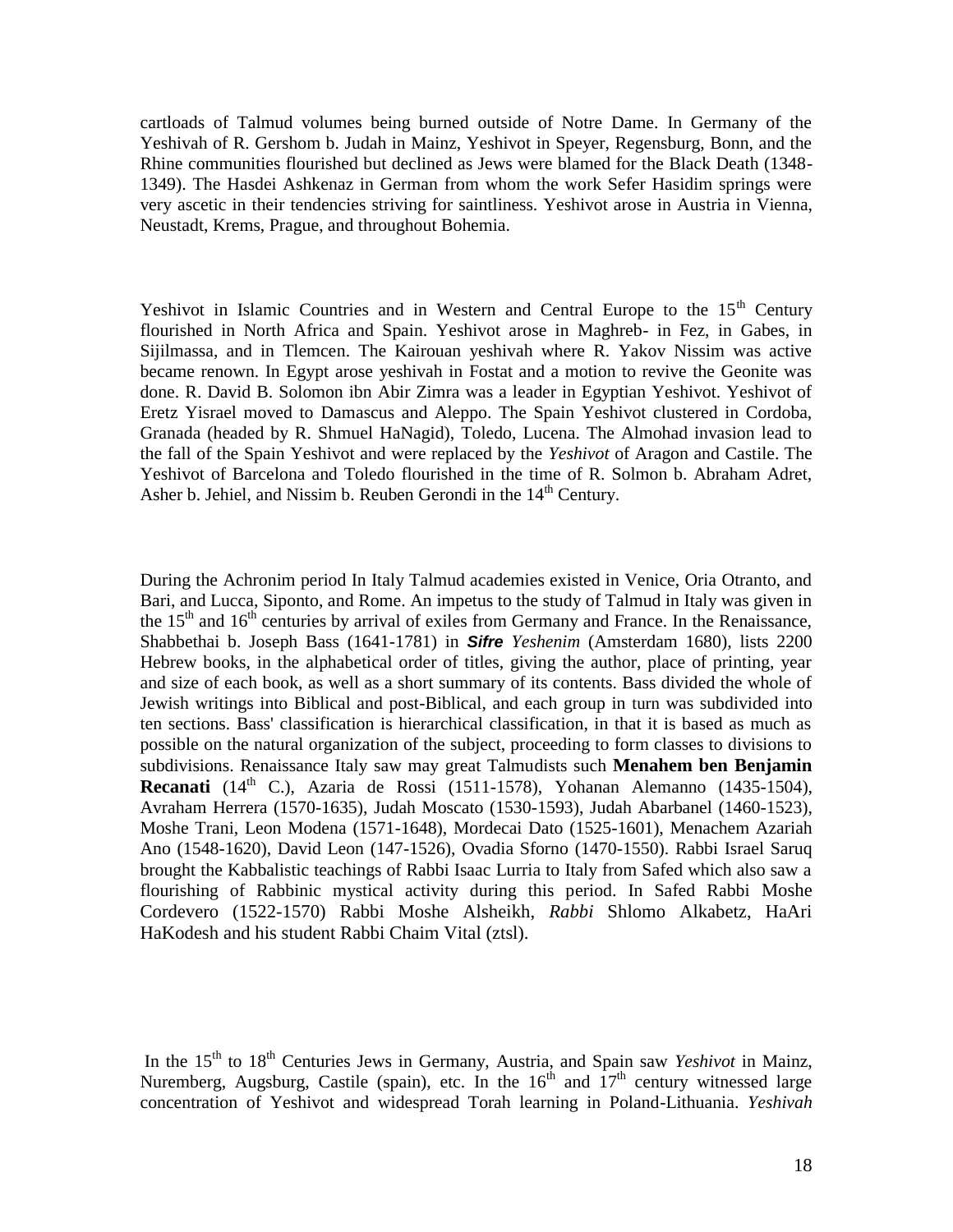cartloads of Talmud volumes being burned outside of Notre Dame. In Germany of the Yeshivah of R. Gershom b. Judah in Mainz, Yeshivot in Speyer, Regensburg, Bonn, and the Rhine communities flourished but declined as Jews were blamed for the Black Death (1348- 1349). The Hasdei Ashkenaz in German from whom the work Sefer Hasidim springs were very ascetic in their tendencies striving for saintliness. Yeshivot arose in Austria in Vienna, Neustadt, Krems, Prague, and throughout Bohemia.

Yeshivot in Islamic Countries and in Western and Central Europe to the  $15<sup>th</sup>$  Century flourished in North Africa and Spain. Yeshivot arose in Maghreb- in Fez, in Gabes, in Sijilmassa, and in Tlemcen. The Kairouan yeshivah where R. Yakov Nissim was active became renown. In Egypt arose yeshivah in Fostat and a motion to revive the Geonite was done. R. David B. Solomon ibn Abir Zimra was a leader in Egyptian Yeshivot. Yeshivot of Eretz Yisrael moved to Damascus and Aleppo. The Spain Yeshivot clustered in Cordoba, Granada (headed by R. Shmuel HaNagid), Toledo, Lucena. The Almohad invasion lead to the fall of the Spain Yeshivot and were replaced by the *Yeshivot* of Aragon and Castile. The Yeshivot of Barcelona and Toledo flourished in the time of R. Solmon b. Abraham Adret, Asher b. Jehiel, and Nissim b. Reuben Gerondi in the  $14<sup>th</sup>$  Century.

During the Achronim period In Italy Talmud academies existed in Venice, Oria Otranto, and Bari, and Lucca, Siponto, and Rome. An impetus to the study of Talmud in Italy was given in the  $15<sup>th</sup>$  and  $16<sup>th</sup>$  centuries by arrival of exiles from Germany and France. In the Renaissance, Shabbethai b. Joseph Bass (1641-1781) in *Sifre Yeshenim* (Amsterdam 1680), lists 2200 Hebrew books, in the alphabetical order of titles, giving the author, place of printing, year and size of each book, as well as a short summary of its contents. Bass divided the whole of Jewish writings into Biblical and post-Biblical, and each group in turn was subdivided into ten sections. Bass' classification is hierarchical classification, in that it is based as much as possible on the natural organization of the subject, proceeding to form classes to divisions to subdivisions. Renaissance Italy saw may great Talmudists such **Menahem ben Benjamin Recanati** (14<sup>th</sup> C.), Azaria de Rossi (1511-1578), Yohanan Alemanno (1435-1504), Avraham Herrera (1570-1635), Judah Moscato (1530-1593), Judah Abarbanel (1460-1523), Moshe Trani, Leon Modena (1571-1648), Mordecai Dato (1525-1601), Menachem Azariah Ano (1548-1620), David Leon (147-1526), Ovadia Sforno (1470-1550). Rabbi Israel Saruq brought the Kabbalistic teachings of Rabbi Isaac Lurria to Italy from Safed which also saw a flourishing of Rabbinic mystical activity during this period. In Safed Rabbi Moshe Cordevero (1522-1570) Rabbi Moshe Alsheikh, *Rabbi* Shlomo Alkabetz, HaAri HaKodesh and his student Rabbi Chaim Vital (ztsl).

In the 15<sup>th</sup> to 18<sup>th</sup> Centuries Jews in Germany, Austria, and Spain saw *Yeshivot* in Mainz, Nuremberg, Augsburg, Castile (spain), etc. In the  $16<sup>th</sup>$  and  $17<sup>th</sup>$  century witnessed large concentration of Yeshivot and widespread Torah learning in Poland-Lithuania. *Yeshivah*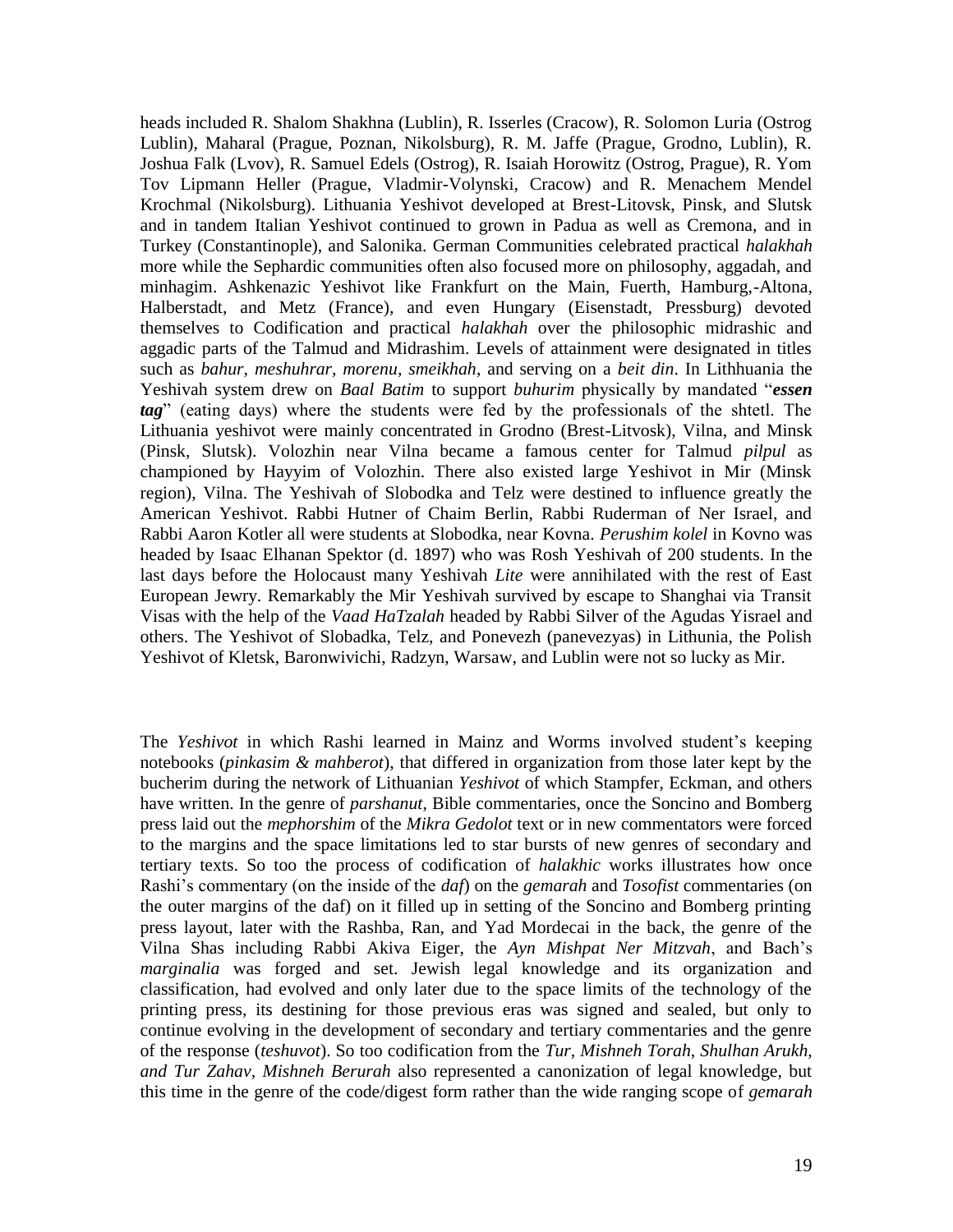heads included R. Shalom Shakhna (Lublin), R. Isserles (Cracow), R. Solomon Luria (Ostrog Lublin), Maharal (Prague, Poznan, Nikolsburg), R. M. Jaffe (Prague, Grodno, Lublin), R. Joshua Falk (Lvov), R. Samuel Edels (Ostrog), R. Isaiah Horowitz (Ostrog, Prague), R. Yom Tov Lipmann Heller (Prague, Vladmir-Volynski, Cracow) and R. Menachem Mendel Krochmal (Nikolsburg). Lithuania Yeshivot developed at Brest-Litovsk, Pinsk, and Slutsk and in tandem Italian Yeshivot continued to grown in Padua as well as Cremona, and in Turkey (Constantinople), and Salonika. German Communities celebrated practical *halakhah* more while the Sephardic communities often also focused more on philosophy, aggadah, and minhagim. Ashkenazic Yeshivot like Frankfurt on the Main, Fuerth, Hamburg,-Altona, Halberstadt, and Metz (France), and even Hungary (Eisenstadt, Pressburg) devoted themselves to Codification and practical *halakhah* over the philosophic midrashic and aggadic parts of the Talmud and Midrashim. Levels of attainment were designated in titles such as *bahur, meshuhrar, morenu, smeikhah*, and serving on a *beit din*. In Lithhuania the Yeshivah system drew on *Baal Batim* to support *buhurim* physically by mandated "*essen tag*" (eating days) where the students were fed by the professionals of the shtetl. The Lithuania yeshivot were mainly concentrated in Grodno (Brest-Litvosk), Vilna, and Minsk (Pinsk, Slutsk). Volozhin near Vilna became a famous center for Talmud *pilpul* as championed by Hayyim of Volozhin. There also existed large Yeshivot in Mir (Minsk region), Vilna. The Yeshivah of Slobodka and Telz were destined to influence greatly the American Yeshivot. Rabbi Hutner of Chaim Berlin, Rabbi Ruderman of Ner Israel, and Rabbi Aaron Kotler all were students at Slobodka, near Kovna. *Perushim kolel* in Kovno was headed by Isaac Elhanan Spektor (d. 1897) who was Rosh Yeshivah of 200 students. In the last days before the Holocaust many Yeshivah *Lite* were annihilated with the rest of East European Jewry. Remarkably the Mir Yeshivah survived by escape to Shanghai via Transit Visas with the help of the *Vaad HaTzalah* headed by Rabbi Silver of the Agudas Yisrael and others. The Yeshivot of Slobadka, Telz, and Ponevezh (panevezyas) in Lithunia, the Polish Yeshivot of Kletsk, Baronwivichi, Radzyn, Warsaw, and Lublin were not so lucky as Mir.

The *Yeshivot* in which Rashi learned in Mainz and Worms involved student"s keeping notebooks (*pinkasim & mahberot*), that differed in organization from those later kept by the bucherim during the network of Lithuanian *Yeshivot* of which Stampfer, Eckman, and others have written. In the genre of *parshanut*, Bible commentaries, once the Soncino and Bomberg press laid out the *mephorshim* of the *Mikra Gedolot* text or in new commentators were forced to the margins and the space limitations led to star bursts of new genres of secondary and tertiary texts. So too the process of codification of *halakhic* works illustrates how once Rashi"s commentary (on the inside of the *daf*) on the *gemarah* and *Tosofist* commentaries (on the outer margins of the daf) on it filled up in setting of the Soncino and Bomberg printing press layout, later with the Rashba, Ran, and Yad Mordecai in the back, the genre of the Vilna Shas including Rabbi Akiva Eiger, the *Ayn Mishpat Ner Mitzvah*, and Bach"s *marginalia* was forged and set. Jewish legal knowledge and its organization and classification, had evolved and only later due to the space limits of the technology of the printing press, its destining for those previous eras was signed and sealed, but only to continue evolving in the development of secondary and tertiary commentaries and the genre of the response (*teshuvot*). So too codification from the *Tur, Mishneh Torah, Shulhan Arukh, and Tur Zahav, Mishneh Berurah* also represented a canonization of legal knowledge, but this time in the genre of the code/digest form rather than the wide ranging scope of *gemarah*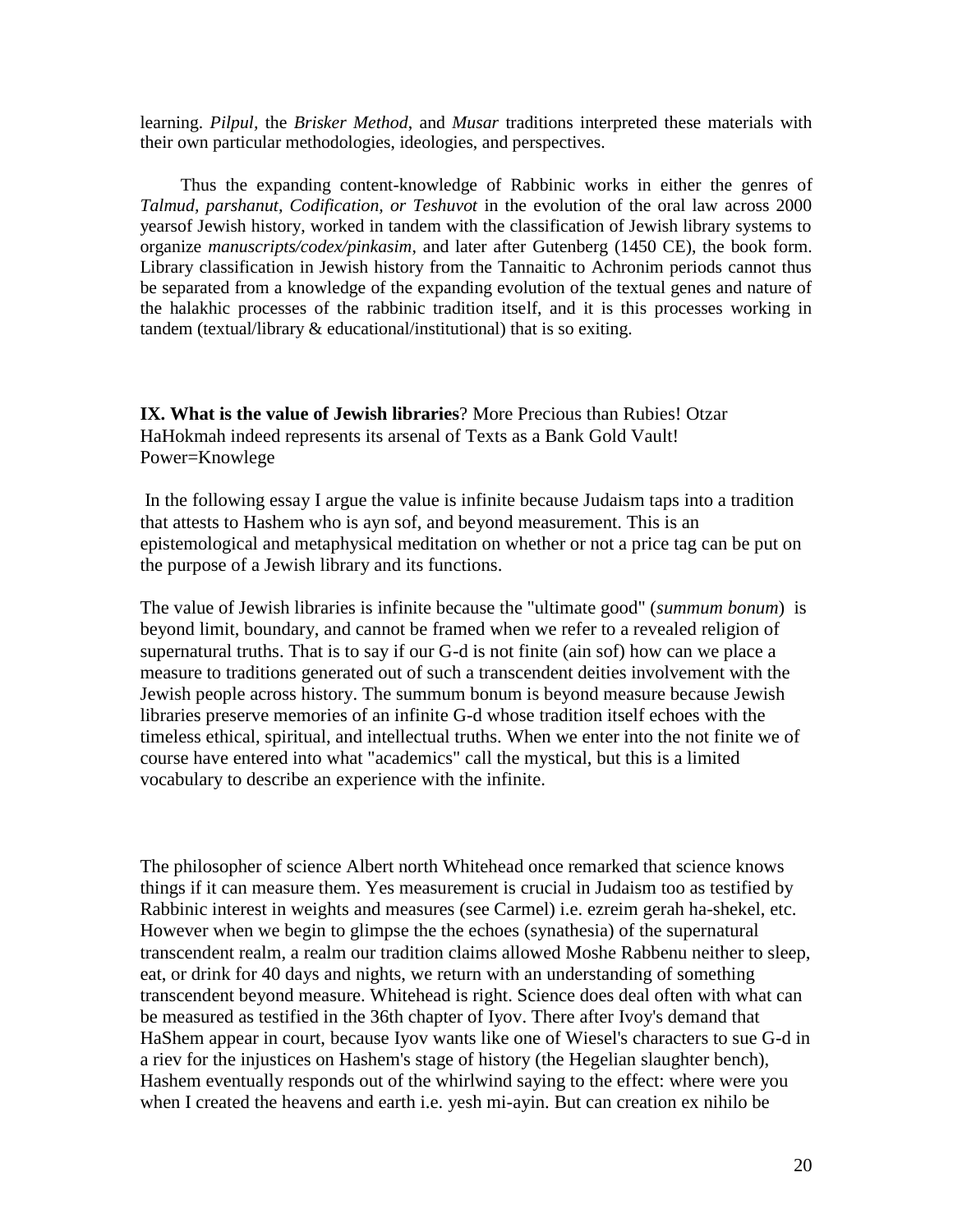learning. *Pilpul,* the *Brisker Method*, and *Musar* traditions interpreted these materials with their own particular methodologies, ideologies, and perspectives.

 Thus the expanding content-knowledge of Rabbinic works in either the genres of *Talmud, parshanut, Codification, or Teshuvot* in the evolution of the oral law across 2000 yearsof Jewish history, worked in tandem with the classification of Jewish library systems to organize *manuscripts/codex/pinkasim*, and later after Gutenberg (1450 CE), the book form. Library classification in Jewish history from the Tannaitic to Achronim periods cannot thus be separated from a knowledge of the expanding evolution of the textual genes and nature of the halakhic processes of the rabbinic tradition itself, and it is this processes working in tandem (textual/library & educational/institutional) that is so exiting.

**IX. What is the value of Jewish libraries**? More Precious than Rubies! Otzar HaHokmah indeed represents its arsenal of Texts as a Bank Gold Vault! Power=Knowlege

In the following essay I argue the value is infinite because Judaism taps into a tradition that attests to Hashem who is ayn sof, and beyond measurement. This is an epistemological and metaphysical meditation on whether or not a price tag can be put on the purpose of a Jewish library and its functions.

The value of Jewish libraries is infinite because the "ultimate good" (*summum bonum*) is beyond limit, boundary, and cannot be framed when we refer to a revealed religion of supernatural truths. That is to say if our G-d is not finite (ain sof) how can we place a measure to traditions generated out of such a transcendent deities involvement with the Jewish people across history. The summum bonum is beyond measure because Jewish libraries preserve memories of an infinite G-d whose tradition itself echoes with the timeless ethical, spiritual, and intellectual truths. When we enter into the not finite we of course have entered into what "academics" call the mystical, but this is a limited vocabulary to describe an experience with the infinite.

The philosopher of science Albert north Whitehead once remarked that science knows things if it can measure them. Yes measurement is crucial in Judaism too as testified by Rabbinic interest in weights and measures (see Carmel) i.e. ezreim gerah ha-shekel, etc. However when we begin to glimpse the the echoes (synathesia) of the supernatural transcendent realm, a realm our tradition claims allowed Moshe Rabbenu neither to sleep, eat, or drink for 40 days and nights, we return with an understanding of something transcendent beyond measure. Whitehead is right. Science does deal often with what can be measured as testified in the 36th chapter of Iyov. There after Ivoy's demand that HaShem appear in court, because Iyov wants like one of Wiesel's characters to sue G-d in a riev for the injustices on Hashem's stage of history (the Hegelian slaughter bench), Hashem eventually responds out of the whirlwind saying to the effect: where were you when I created the heavens and earth i.e. yesh mi-ayin. But can creation ex nihilo be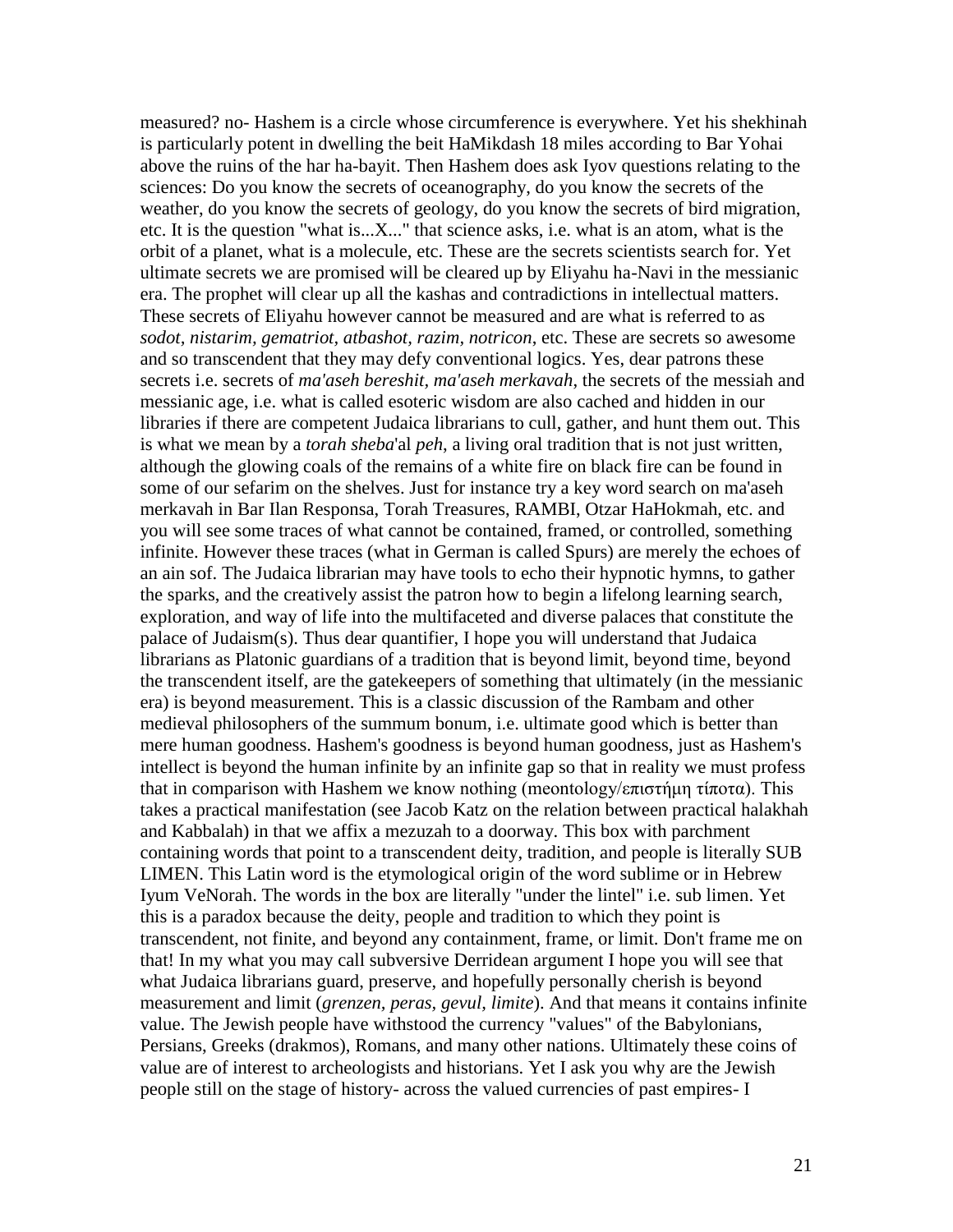measured? no- Hashem is a circle whose circumference is everywhere. Yet his shekhinah is particularly potent in dwelling the beit HaMikdash 18 miles according to Bar Yohai above the ruins of the har ha-bayit. Then Hashem does ask Iyov questions relating to the sciences: Do you know the secrets of oceanography, do you know the secrets of the weather, do you know the secrets of geology, do you know the secrets of bird migration, etc. It is the question "what is...X..." that science asks, i.e. what is an atom, what is the orbit of a planet, what is a molecule, etc. These are the secrets scientists search for. Yet ultimate secrets we are promised will be cleared up by Eliyahu ha-Navi in the messianic era. The prophet will clear up all the kashas and contradictions in intellectual matters. These secrets of Eliyahu however cannot be measured and are what is referred to as *sodot, nistarim, gematriot, atbashot, razim, notricon*, etc. These are secrets so awesome and so transcendent that they may defy conventional logics. Yes, dear patrons these secrets i.e. secrets of *ma'aseh bereshit, ma'aseh merkavah*, the secrets of the messiah and messianic age, i.e. what is called esoteric wisdom are also cached and hidden in our libraries if there are competent Judaica librarians to cull, gather, and hunt them out. This is what we mean by a *torah sheba*'al *peh*, a living oral tradition that is not just written, although the glowing coals of the remains of a white fire on black fire can be found in some of our sefarim on the shelves. Just for instance try a key word search on ma'aseh merkavah in Bar Ilan Responsa, Torah Treasures, RAMBI, Otzar HaHokmah, etc. and you will see some traces of what cannot be contained, framed, or controlled, something infinite. However these traces (what in German is called Spurs) are merely the echoes of an ain sof. The Judaica librarian may have tools to echo their hypnotic hymns, to gather the sparks, and the creatively assist the patron how to begin a lifelong learning search, exploration, and way of life into the multifaceted and diverse palaces that constitute the palace of Judaism(s). Thus dear quantifier, I hope you will understand that Judaica librarians as Platonic guardians of a tradition that is beyond limit, beyond time, beyond the transcendent itself, are the gatekeepers of something that ultimately (in the messianic era) is beyond measurement. This is a classic discussion of the Rambam and other medieval philosophers of the summum bonum, i.e. ultimate good which is better than mere human goodness. Hashem's goodness is beyond human goodness, just as Hashem's intellect is beyond the human infinite by an infinite gap so that in reality we must profess that in comparison with Hashem we know nothing (meontology/επιστήμη τίποτα). This takes a practical manifestation (see Jacob Katz on the relation between practical halakhah and Kabbalah) in that we affix a mezuzah to a doorway. This box with parchment containing words that point to a transcendent deity, tradition, and people is literally SUB LIMEN. This Latin word is the etymological origin of the word sublime or in Hebrew Iyum VeNorah. The words in the box are literally "under the lintel" i.e. sub limen. Yet this is a paradox because the deity, people and tradition to which they point is transcendent, not finite, and beyond any containment, frame, or limit. Don't frame me on that! In my what you may call subversive Derridean argument I hope you will see that what Judaica librarians guard, preserve, and hopefully personally cherish is beyond measurement and limit (*grenzen, peras, gevul, limite*). And that means it contains infinite value. The Jewish people have withstood the currency "values" of the Babylonians, Persians, Greeks (drakmos), Romans, and many other nations. Ultimately these coins of value are of interest to archeologists and historians. Yet I ask you why are the Jewish people still on the stage of history- across the valued currencies of past empires- I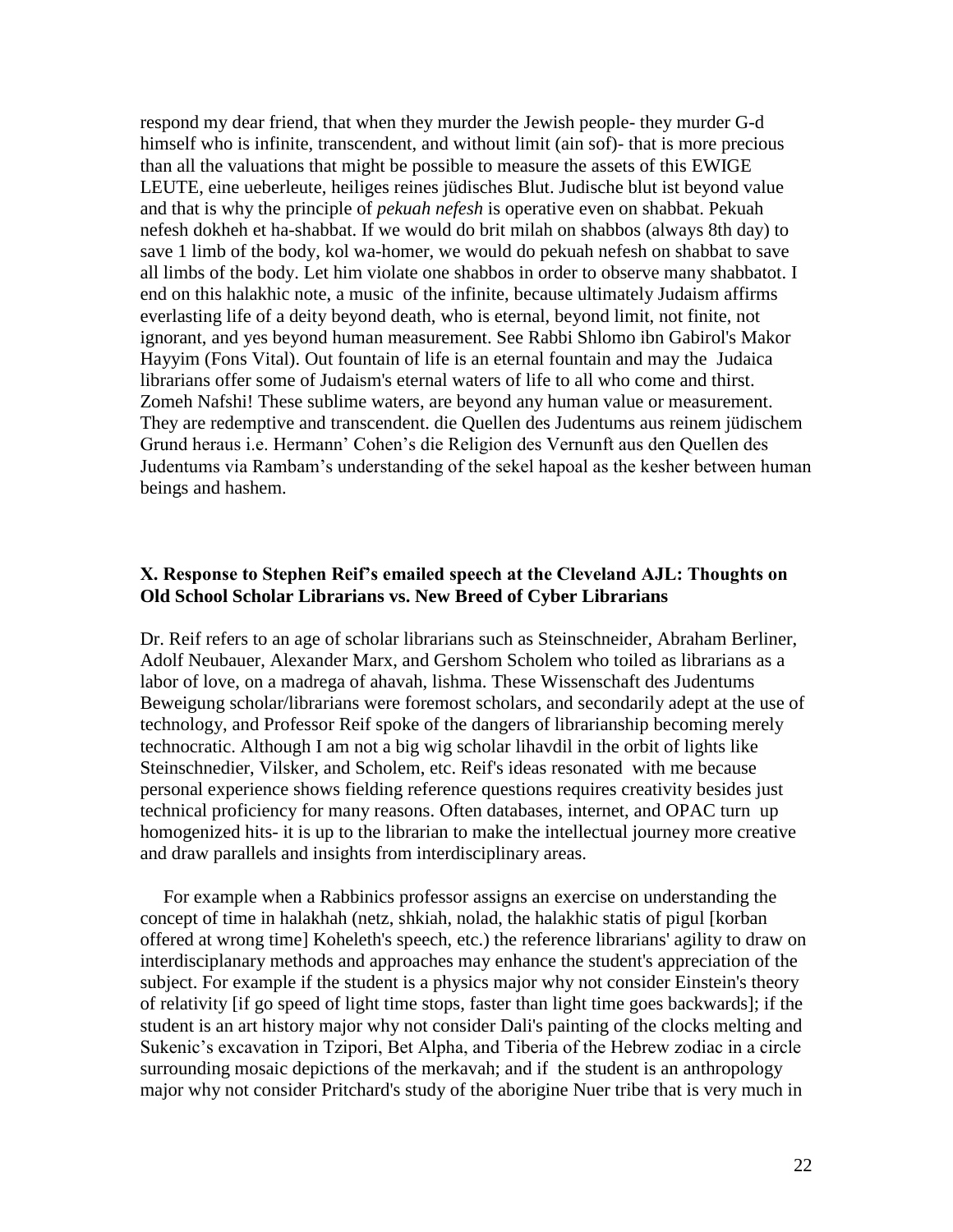respond my dear friend, that when they murder the Jewish people- they murder G-d himself who is infinite, transcendent, and without limit (ain sof)- that is more precious than all the valuations that might be possible to measure the assets of this EWIGE LEUTE, eine ueberleute, heiliges reines jüdisches Blut. Judische blut ist beyond value and that is why the principle of *pekuah nefesh* is operative even on shabbat. Pekuah nefesh dokheh et ha-shabbat. If we would do brit milah on shabbos (always 8th day) to save 1 limb of the body, kol wa-homer, we would do pekuah nefesh on shabbat to save all limbs of the body. Let him violate one shabbos in order to observe many shabbatot. I end on this halakhic note, a music of the infinite, because ultimately Judaism affirms everlasting life of a deity beyond death, who is eternal, beyond limit, not finite, not ignorant, and yes beyond human measurement. See Rabbi Shlomo ibn Gabirol's Makor Hayyim (Fons Vital). Out fountain of life is an eternal fountain and may the Judaica librarians offer some of Judaism's eternal waters of life to all who come and thirst. Zomeh Nafshi! These sublime waters, are beyond any human value or measurement. They are redemptive and transcendent. die Quellen des Judentums aus reinem jüdischem Grund heraus i.e. Hermann" Cohen"s die Religion des Vernunft aus den Quellen des Judentums via Rambam"s understanding of the sekel hapoal as the kesher between human beings and hashem.

## **X. Response to Stephen Reif's emailed speech at the Cleveland AJL: Thoughts on Old School Scholar Librarians vs. New Breed of Cyber Librarians**

Dr. Reif refers to an age of scholar librarians such as Steinschneider, Abraham Berliner, Adolf Neubauer, Alexander Marx, and Gershom Scholem who toiled as librarians as a labor of love, on a madrega of ahavah, lishma. These Wissenschaft des Judentums Beweigung scholar/librarians were foremost scholars, and secondarily adept at the use of technology, and Professor Reif spoke of the dangers of librarianship becoming merely technocratic. Although I am not a big wig scholar lihavdil in the orbit of lights like Steinschnedier, Vilsker, and Scholem, etc. Reif's ideas resonated with me because personal experience shows fielding reference questions requires creativity besides just technical proficiency for many reasons. Often databases, internet, and OPAC turn up homogenized hits- it is up to the librarian to make the intellectual journey more creative and draw parallels and insights from interdisciplinary areas.

 For example when a Rabbinics professor assigns an exercise on understanding the concept of time in halakhah (netz, shkiah, nolad, the halakhic statis of pigul [korban offered at wrong time] Koheleth's speech, etc.) the reference librarians' agility to draw on interdisciplanary methods and approaches may enhance the student's appreciation of the subject. For example if the student is a physics major why not consider Einstein's theory of relativity [if go speed of light time stops, faster than light time goes backwards]; if the student is an art history major why not consider Dali's painting of the clocks melting and Sukenic's excavation in Tzipori, Bet Alpha, and Tiberia of the Hebrew zodiac in a circle surrounding mosaic depictions of the merkavah; and if the student is an anthropology major why not consider Pritchard's study of the aborigine Nuer tribe that is very much in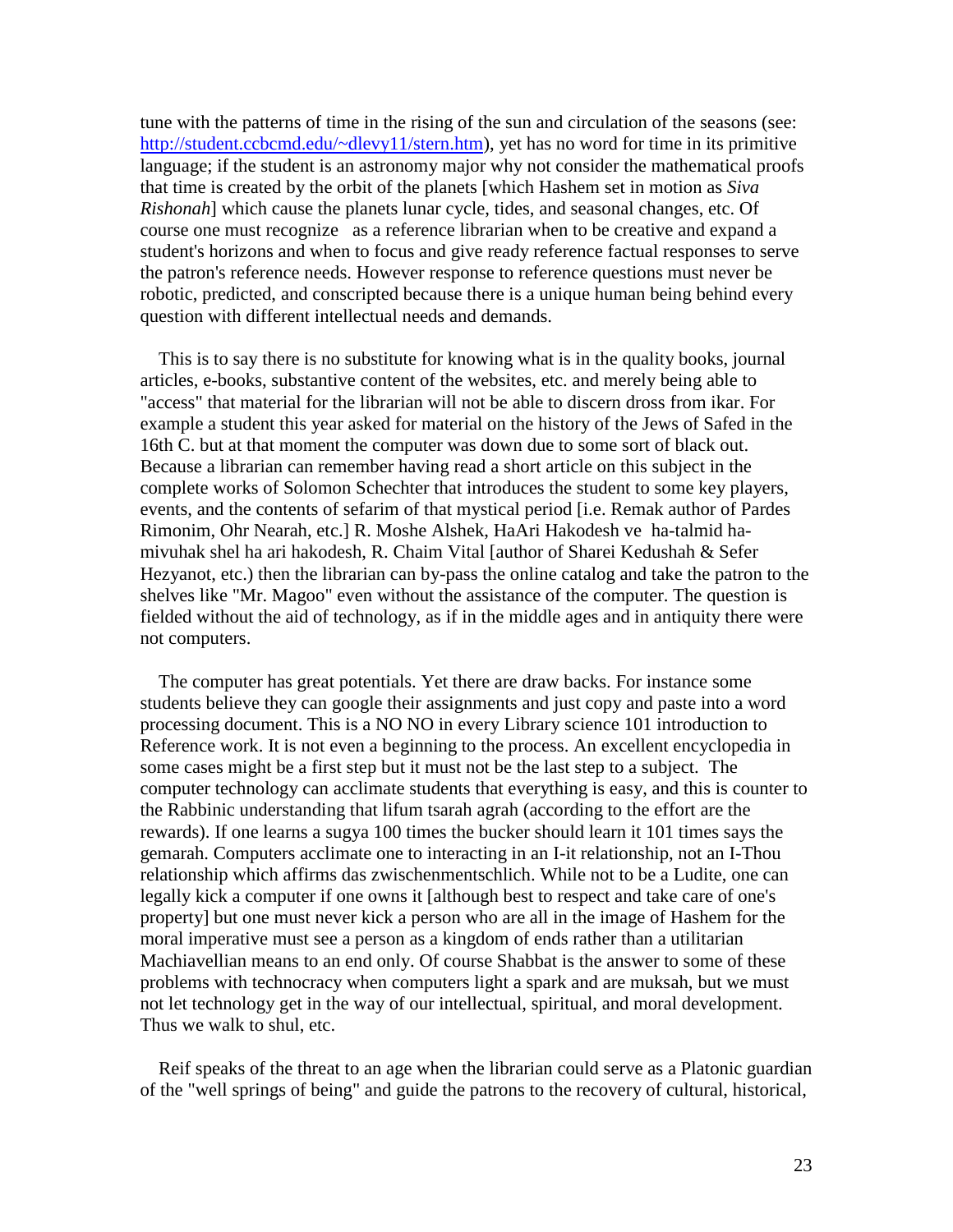tune with the patterns of time in the rising of the sun and circulation of the seasons (see: [http://student.ccbcmd.edu/~dlevy11/stern.htm\)](http://student.ccbcmd.edu/~dlevy11/stern.htm), yet has no word for time in its primitive language; if the student is an astronomy major why not consider the mathematical proofs that time is created by the orbit of the planets [which Hashem set in motion as *Siva Rishonah*] which cause the planets lunar cycle, tides, and seasonal changes, etc. Of course one must recognize as a reference librarian when to be creative and expand a student's horizons and when to focus and give ready reference factual responses to serve the patron's reference needs. However response to reference questions must never be robotic, predicted, and conscripted because there is a unique human being behind every question with different intellectual needs and demands.

 This is to say there is no substitute for knowing what is in the quality books, journal articles, e-books, substantive content of the websites, etc. and merely being able to "access" that material for the librarian will not be able to discern dross from ikar. For example a student this year asked for material on the history of the Jews of Safed in the 16th C. but at that moment the computer was down due to some sort of black out. Because a librarian can remember having read a short article on this subject in the complete works of Solomon Schechter that introduces the student to some key players, events, and the contents of sefarim of that mystical period [i.e. Remak author of Pardes Rimonim, Ohr Nearah, etc.] R. Moshe Alshek, HaAri Hakodesh ve ha-talmid hamivuhak shel ha ari hakodesh, R. Chaim Vital [author of Sharei Kedushah & Sefer Hezyanot, etc.) then the librarian can by-pass the online catalog and take the patron to the shelves like "Mr. Magoo" even without the assistance of the computer. The question is fielded without the aid of technology, as if in the middle ages and in antiquity there were not computers.

 The computer has great potentials. Yet there are draw backs. For instance some students believe they can google their assignments and just copy and paste into a word processing document. This is a NO NO in every Library science 101 introduction to Reference work. It is not even a beginning to the process. An excellent encyclopedia in some cases might be a first step but it must not be the last step to a subject. The computer technology can acclimate students that everything is easy, and this is counter to the Rabbinic understanding that lifum tsarah agrah (according to the effort are the rewards). If one learns a sugya 100 times the bucker should learn it 101 times says the gemarah. Computers acclimate one to interacting in an I-it relationship, not an I-Thou relationship which affirms das zwischenmentschlich. While not to be a Ludite, one can legally kick a computer if one owns it [although best to respect and take care of one's property] but one must never kick a person who are all in the image of Hashem for the moral imperative must see a person as a kingdom of ends rather than a utilitarian Machiavellian means to an end only. Of course Shabbat is the answer to some of these problems with technocracy when computers light a spark and are muksah, but we must not let technology get in the way of our intellectual, spiritual, and moral development. Thus we walk to shul, etc.

 Reif speaks of the threat to an age when the librarian could serve as a Platonic guardian of the "well springs of being" and guide the patrons to the recovery of cultural, historical,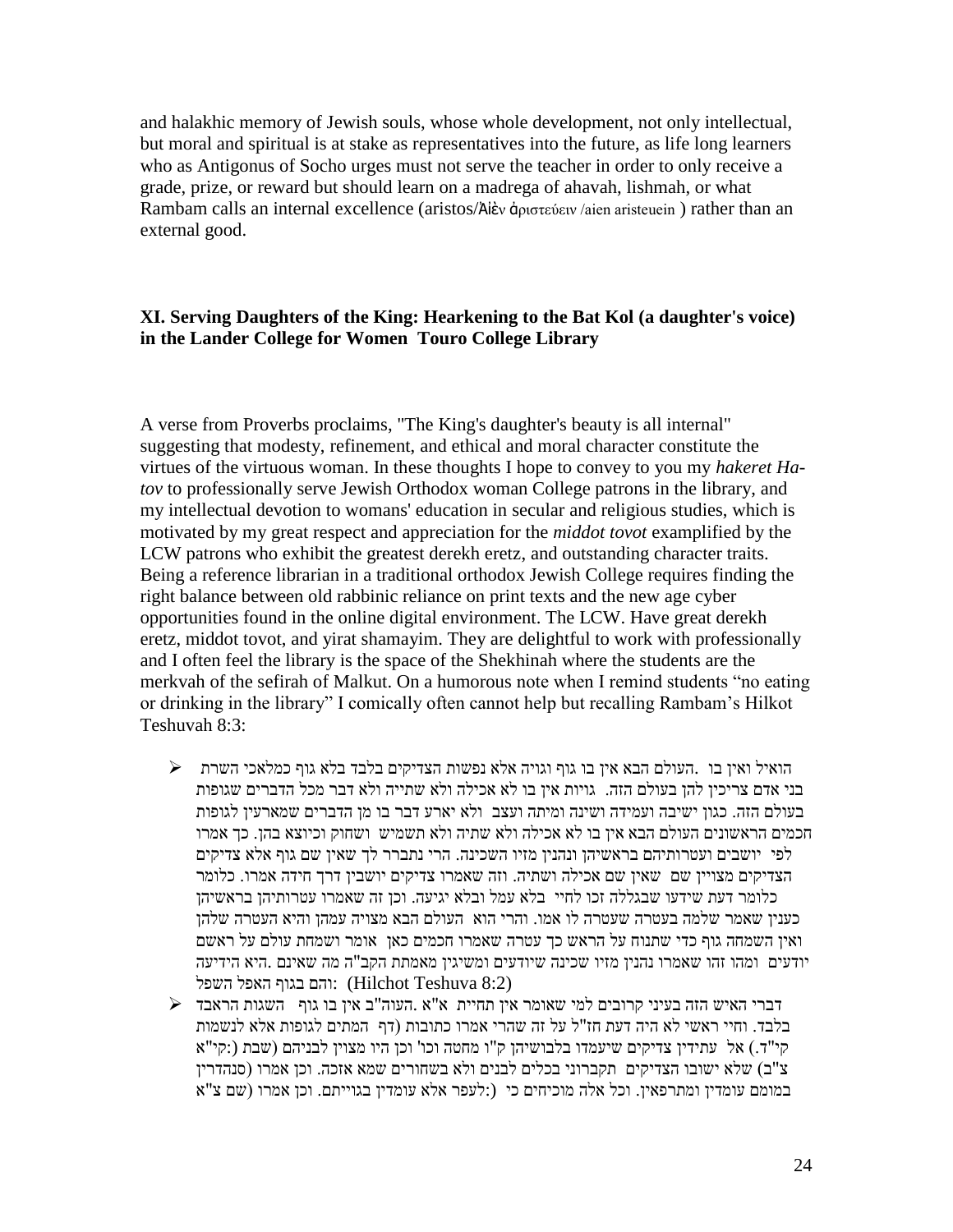and halakhic memory of Jewish souls, whose whole development, not only intellectual, but moral and spiritual is at stake as representatives into the future, as life long learners who as Antigonus of Socho urges must not serve the teacher in order to only receive a grade, prize, or reward but should learn on a madrega of ahavah, lishmah, or what Rambam calls an internal excellence (aristos/Ἀἰὲν ἀριστεύειν /aien aristeuein ) rather than an external good.

## **XI. Serving Daughters of the King: Hearkening to the Bat Kol (a daughter's voice) in the Lander College for Women Touro College Library**

A verse from Proverbs proclaims, "The King's daughter's beauty is all internal" suggesting that modesty, refinement, and ethical and moral character constitute the virtues of the virtuous woman. In these thoughts I hope to convey to you my *hakeret Hatov* to professionally serve Jewish Orthodox woman College patrons in the library, and my intellectual devotion to womans' education in secular and religious studies, which is motivated by my great respect and appreciation for the *middot tovot* examplified by the LCW patrons who exhibit the greatest derekh eretz, and outstanding character traits. Being a reference librarian in a traditional orthodox Jewish College requires finding the right balance between old rabbinic reliance on print texts and the new age cyber opportunities found in the online digital environment. The LCW. Have great derekh eretz, middot tovot, and yirat shamayim. They are delightful to work with professionally and I often feel the library is the space of the Shekhinah where the students are the merkvah of the sefirah of Malkut. On a humorous note when I remind students "no eating or drinking in the library" I comically often cannot help but recalling Rambam"s Hilkot Teshuvah 8:3:

- הואיל ואין בו .העולם הבא אין בו גוף וגויה אלא נפשות הצדיקים בלבד בלא גוף כמלאכי השרת בני אדם צריכין להן בעולם הזה. גויות אין בו לא אכילה ולא שתייה ולא דבר מכל הדברים שגופות בעולם הזה. כגון ישיבה ועמידה ושינה ומיתה ועצב ולא יארע דבר בו מן הדברים שמארעין לגופות חכמים הראשונים העולם הבא אין בו לא אכילה ולא שתיה ולא תשמיש ושחוק וכיוצא בהן. כך אמרו לפי יושבים ועטרותיהם בראשיהן ונהנין מזיו השכינה. הרי נתברר לך שאין שם גוף אלא צדיקים הצדיקים מצויין שם שאין שם אכילה ושתיה. וזה שאמרו צדיקים יושבין דרך חידה אמרו. כלומר כלומר דעת שידעו שבגללה זכו לחיי בלא עמל ובלא יגיעה. וכן זה שאמרו עטרותיהן בראשיהן כענין שאמר שלמה בעטרה שעטרה לו אמו. והרי הוא העולם הבא מצויה עמהן והיא העטרה שלהן ואין השמחה גוף כדי שתנוח על הראש כך עטרה שאמרו חכמים כאן אומר ושמחת עולם על ראשם יודעים ומהו זהו שאמרו נהנין מזיו שכינה שיודעים ומשיגין מאמתת הקב"ה מה שאינם .היא הידיעה והם בגוף האפל השפל (Hilchot Teshuva  $8:2$ )
- דברי האיש הזה בעיני קרובים למי שאומר אין תחיית א"א .העוה"ב אין בו גוף השגות הראבד בלבד. וחיי ראשי לא היה דעת חז"ל על זה שהרי אמרו כתובות )דף המתים לגופות אלא לנשמות קי"ד.) אל עתידין צדיקים שיעמדו בלבושיהן ק"ו מחטה וכו' וכן היו מצוין לבניהם (שבת (:קי"א צ"ב) שלא ישובו הצדיקים תקברוני בכלים לבנים ולא בשחורים שמא אזכה. וכן אמרו (סנהדרין במומם עומדין ומתרפאין. וכל אלה מוכיחים כי (:לעפר אלא עומדין בגוייתם. וכן אמרו )שם צ"א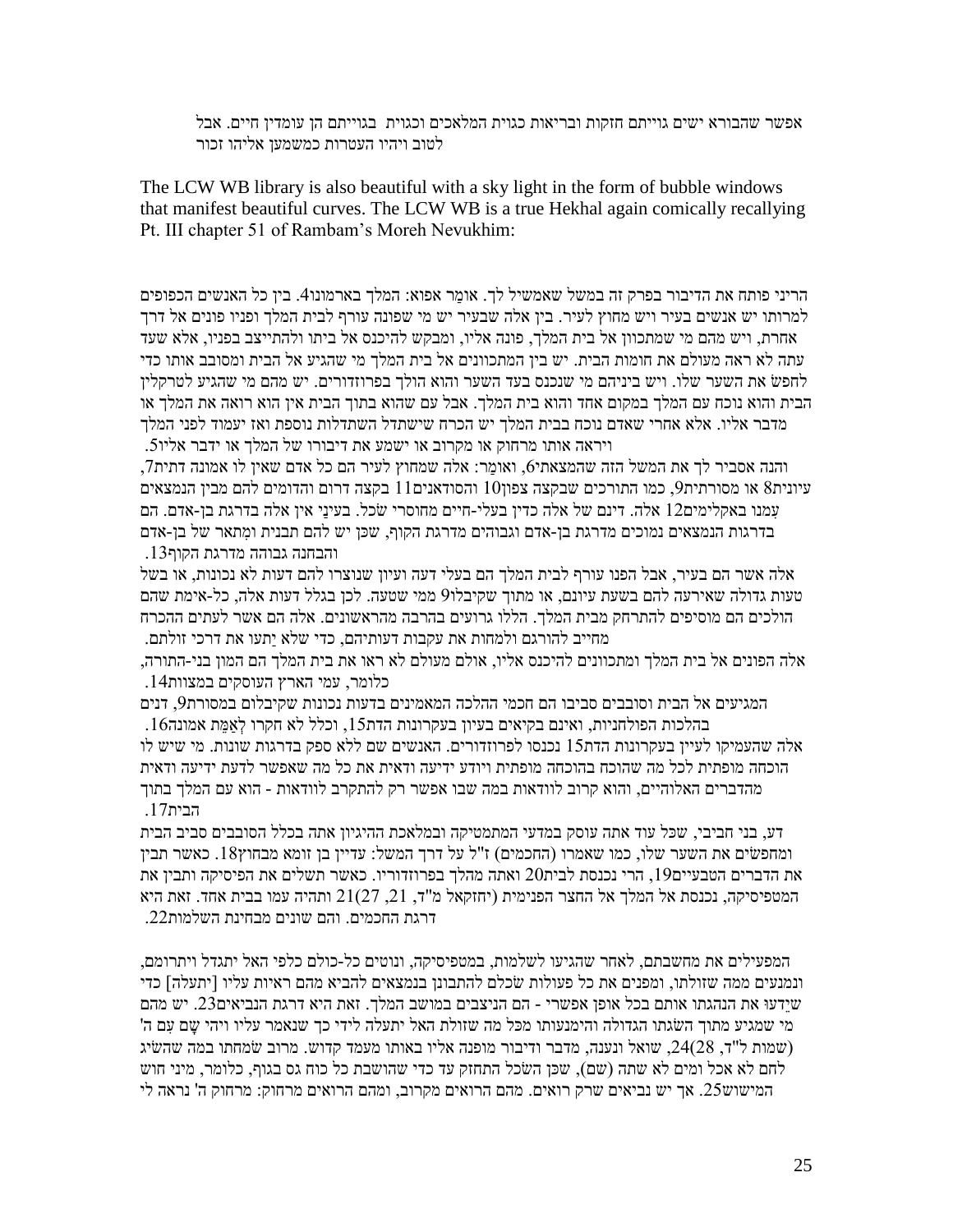אפשר שהבורא ישים גוייתם חזקות ובריאות כגוית המלאכים וכגוית בגוייתם הן עומדין חיים. אבל לטוב ויהיו העטרות כמשמען אליהו זכור

The LCW WB library is also beautiful with a sky light in the form of bubble windows that manifest beautiful curves. The LCW WB is a true Hekhal again comically recallying Pt. III chapter 51 of Rambam"s Moreh Nevukhim:

הריני פותח את הדיבור בפרק זה במשל שאמשיל לך. אומר אפוא: המלך בארמונו4. בין כל האנשים הכפופים למרותו יש אנשים בעיר ויש מחוץ לעיר. בין אלה שבעיר יש מי שפונה עורף לבית המלך ופניו פונים אל דרך אחרת, ויש מהם מי שמתכוון אל בית המלך, פונה אליו, ומבקש להיכנס אל ביתו ולהתייצב בפניו, אלא שעד עתה לא ראה מעולם את חומות הבית. יש בין המתכוונים אל בית המלך מי שהגיע אל הבית ומסובב אותו כדי לחפׂש את השער שלו. ויש ביניהם מי שנכנס בעד השער והוא הולך בפרוזדורים. יש מהם מי שהגיע לטרקלין הבית והוא נוכח עם המלך במקום אחד והוא בית המלך. אבל עם שהוא בתוך הבית אין הוא רואה את המלך או מדבר אליו. אלא אחרי שאדם נוכח בבית המלך יש הכרח שישתדל השתדלות נוספת ואז יעמוד לפני המלך ויראה אותו מרחוק או מקרוב או ישמע את דיבורו של המלך או ידבר אליו.4

והנה אסביר לך את המשל הזה שהמצאתי6. ואומר: אלה שמחוץ לעיר הם כל אדם שאין לו אמונה דתית7. עיונית8 או מסורתית9, כמו התורכים שבקצה צפון10 והסודאנים $11$  בקצה דרום והדומים להם מבין הנמצאים עִמנו באקלימים01 אלה. דינם של אלה כדין בעלי-חיים מחוסרי ׂשכל. בעינַּי אין אלה בדרגת בן-אדם. הם בדרגות הנמצאים נמוכים מדרגת בן-אדם וגבוהים מדרגת הקוף, שּכן יש להם תבנית ומִתאר של בן-אדם והבחנה גבוהה מדרגת הקוף.02

אלה אשר הם בעיר, אבל הפנו עורף לבית המלך הם בעלי דעה ועיון שנוצרו להם דעות לא נכונות, או בשל טעות גדולה שאירעה להם בשעת עיונם, או מתוך שקיבלו8 ממי שטעה. לכן בגלל דעות אלה, כל-אימת שהם הולכים הם מוסיפים להתרחק מבית המלך. הללו גרועים בהרבה מהראשונים. אלה הם אשר לעתים ההכרח מחייב להורגם ולמחות את עקבות דעותיהם, כדי שלא יַּתעו את דרכי זולתם.

אלה הפונים אל בית המלך ומתכוונים להיכנס אליו, אולם מעולם לא ראו את בית המלך הם המון בני-התורה, כלומר, עמי הארץ העוסקים במצוות.03

המגיעים אל הבית וסובבים סביבו הם חכמי ההלכה המאמינים בדעות נכונות שקיבלום במסורת,8 דנים בהלכות הפולחניות, ואינם בקיאים בעיון בעקרונות הדת15, וכלל לא חקרו לְאַמֵּת אמונה16. אלה שהעמיקו לעיין בעקרונות הדת04 נכנסו לפרוזדורים. האנשים שם ללא ספק בדרגות שונות. מי שיש לו הוכחה מופתית לכל מה שהוכח בהוכחה מופתית ויודע ידיעה ודאית את כל מה שאפשר לדעת ידיעה ודאית מהדברים האלוהיים, והוא קרוב לוודאות במה שבו אפשר רק להתקרב לוודאות - הוא עם המלך בתוך הבית17

דע, בני חביבי, שּכל עוד אתה עוסק במדעי המתמטיקה ובמלאכת ההיגיון אתה בכלל הסובבים סביב הבית ומחפשים את השער שלו, כמו שאמרו (החכמים) ז"ל על דרך המשל: עדיין בן זומא מבחוץ18. כאשר תבין את הדברים הטבעיים $19$ , הרי נכנסת לבית $20$  ואתה מהלך בפרוזדוריו. כאשר תשלים את הפיסיקה ותבין את המטפיסיקה, נכנסת אל המלך אל החצר הפנימית (יחזקאל מ"ד, 21, 21(27 ותהיה עמו בבית אחד. זאת היא דרגת החכמים. והם שונים מבחינת השלמות.11

המפעילים את מחשבתם, לאחר שהגיעו לשלמות, במטפיסיקה, ונוטים כל-כולם כלפי האל יתגדל ויתרומם, ונמנעים ממה שזולתו, ומפנים את כל פעולות ׂשכלם להתבונן בנמצאים להביא מהם ראיות עליו ]יתעלה[ כדי שיֵּדעו את הנהגתו אותם בכל אופן אפשרי - הם הניצבים במושב המלך. זאת היא דרגת הנביאים.12 יש מהם 'מי שמגיע מתוך השגתו הגדולה והימנעותו מכּל מה שזולת האל יתעלה לידי כך שנאמר עליו ויהי שם עם ה שמות ל"ד, 24(28, שואל ונענה, מדבר ודיבור מופנה אליו באותו מעמד קדוש. מרוב שמחתו במה שהשיג  $\left( \right)$ לחם לא אכל ומים לא שתה )שם(, שּכן הׂשכל התחזק עד כדי שהושבת כל כוח גס בגוף, כלומר, מיני חוש המישוש.14 אך יש נביאים שרק רואים. מהם הרואים מקרוב, ומהם הרואים מרחוק9 מרחוק ה' נראה לי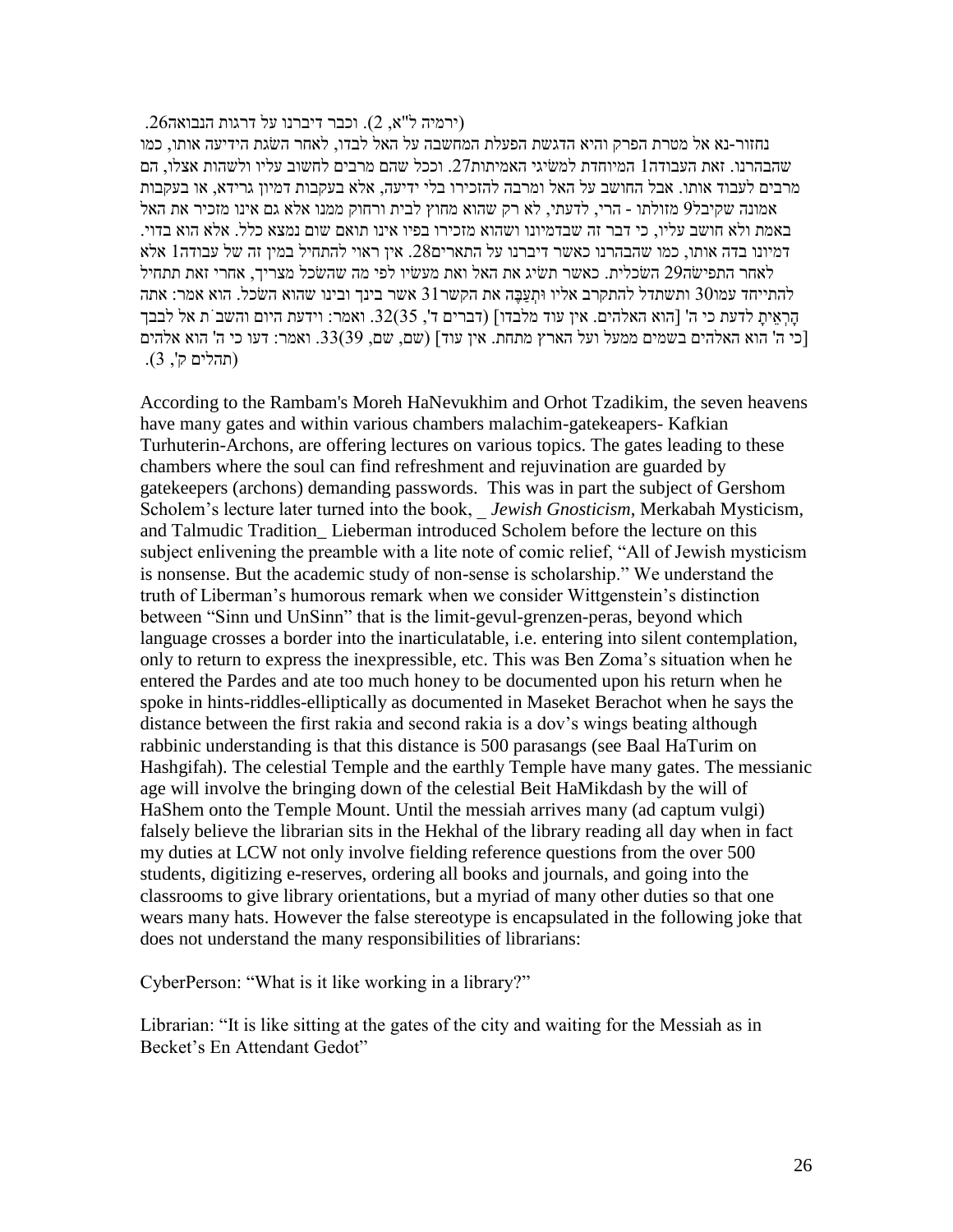$(2.67$ ירמיה ל"א, 2). וכבר דיברנו על דרגות הנבואה.

נחזור-נא אל מטרת הפרק והיא הדגשת הפעלת המחשבה על האל לבדו, לאחר הׂשגת הידיעה אותו, כמו שהבהרנו. זאת העבודה1 המיוחדת למשיגי האמיתות27. וככל שהם מרבים לחשוב עליו ולשהות אצלו, הם מרבים לעבוד אותו. אבל החושב על האל ומרבה להזכירו בלי ידיעה, אלא בעקבות דמיון גרידא, או בעקבות אמונה שקיבל8 מזולתו - הרי, לדעתי, לא רק שהוא מחוץ לבית ורחוק ממנו אלא גם אינו מזכיר את האל באמת ולא חושב עליו, כי דבר זה שבדמיונו ושהוא מזכירו בפיו אינו תואם שום נמצא כלל. אלא הוא בדוי. דמיונו בדה אותו, כמו שהבהרנו כאשר דיברנו על התארים.17 אין ראוי להתחיל במין זה של עבודה0 אלא לאחר התפיׂשה18 הׂשכלית. כאשר תׂשיג את האל ואת מעׂשיו לפי מה שהׂשכל מצריך, אחרי זאת תתחיל להתייחד עמו30 ותשתדל להתקרב אליו ותעבה את הקשר31 אשר בינך ובינו שהוא השכל. הוא אמר: אתה הָּרְאֵּיתָּ לדעת כי ה' ]הוא האלהים. אין עוד מלבדו[ )דברים ד', 24(.21 ואמר9 וידעת היום והשבֹּת אל לבבך [כי ה' הוא האלהים בשמים ממעל ועל הארץ מתחת. אין עוד] (שם, שם, 33(39. ואמר: דעו כי ה' הוא אלהים )תהלים ק', 2(.

According to the Rambam's Moreh HaNevukhim and Orhot Tzadikim, the seven heavens have many gates and within various chambers malachim-gatekeapers- Kafkian Turhuterin-Archons, are offering lectures on various topics. The gates leading to these chambers where the soul can find refreshment and rejuvination are guarded by gatekeepers (archons) demanding passwords. This was in part the subject of Gershom Scholem"s lecture later turned into the book, \_ *Jewish Gnosticism*, Merkabah Mysticism, and Talmudic Tradition\_ Lieberman introduced Scholem before the lecture on this subject enlivening the preamble with a lite note of comic relief, "All of Jewish mysticism is nonsense. But the academic study of non-sense is scholarship." We understand the truth of Liberman"s humorous remark when we consider Wittgenstein"s distinction between "Sinn und UnSinn" that is the limit-gevul-grenzen-peras, beyond which language crosses a border into the inarticulatable, i.e. entering into silent contemplation, only to return to express the inexpressible, etc. This was Ben Zoma"s situation when he entered the Pardes and ate too much honey to be documented upon his return when he spoke in hints-riddles-elliptically as documented in Maseket Berachot when he says the distance between the first rakia and second rakia is a dov"s wings beating although rabbinic understanding is that this distance is 500 parasangs (see Baal HaTurim on Hashgifah). The celestial Temple and the earthly Temple have many gates. The messianic age will involve the bringing down of the celestial Beit HaMikdash by the will of HaShem onto the Temple Mount. Until the messiah arrives many (ad captum vulgi) falsely believe the librarian sits in the Hekhal of the library reading all day when in fact my duties at LCW not only involve fielding reference questions from the over 500 students, digitizing e-reserves, ordering all books and journals, and going into the classrooms to give library orientations, but a myriad of many other duties so that one wears many hats. However the false stereotype is encapsulated in the following joke that does not understand the many responsibilities of librarians:

CyberPerson: "What is it like working in a library?"

Librarian: "It is like sitting at the gates of the city and waiting for the Messiah as in Becket"s En Attendant Gedot"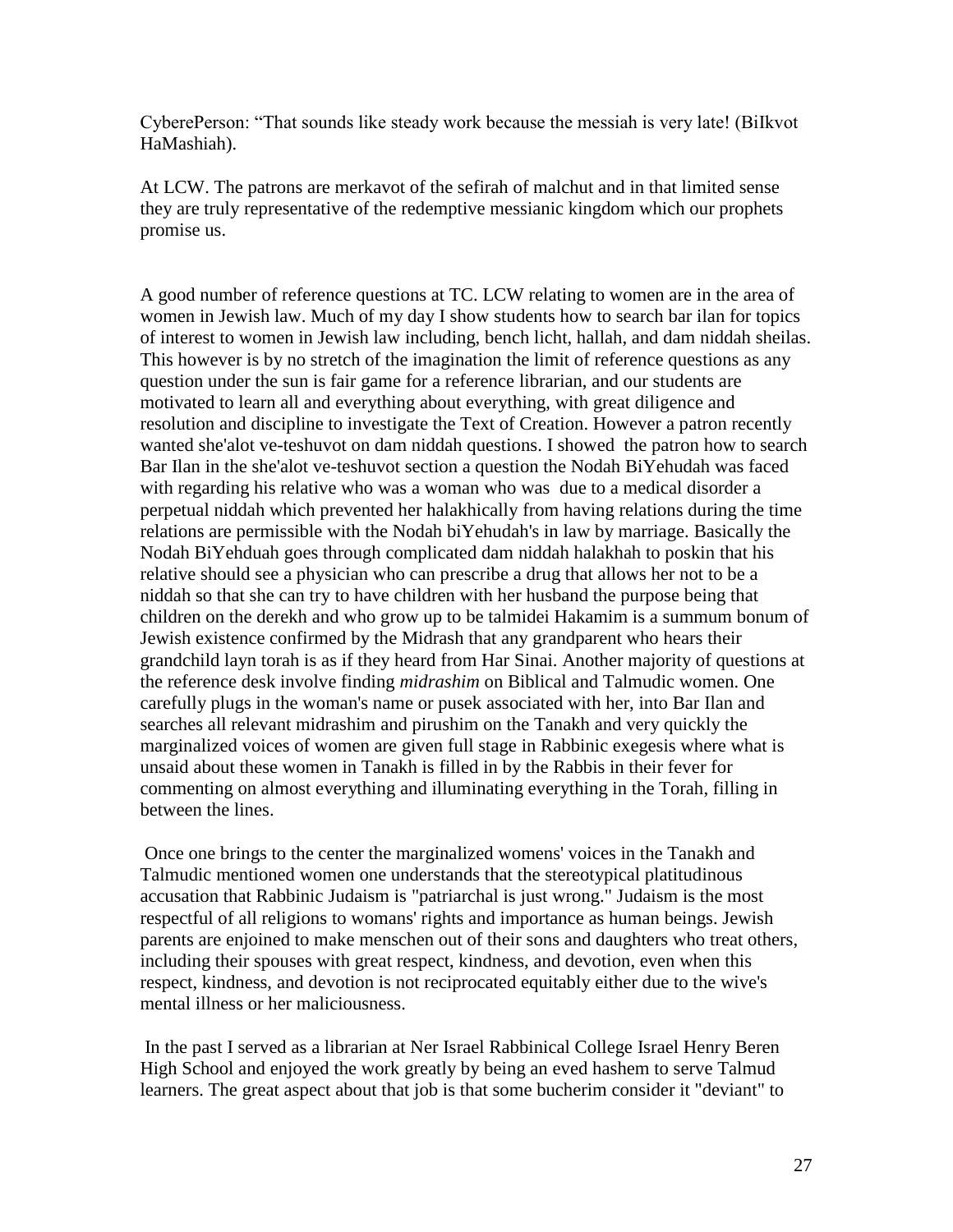CyberePerson: "That sounds like steady work because the messiah is very late! (BiIkvot HaMashiah).

At LCW. The patrons are merkavot of the sefirah of malchut and in that limited sense they are truly representative of the redemptive messianic kingdom which our prophets promise us.

A good number of reference questions at TC. LCW relating to women are in the area of women in Jewish law. Much of my day I show students how to search bar ilan for topics of interest to women in Jewish law including, bench licht, hallah, and dam niddah sheilas. This however is by no stretch of the imagination the limit of reference questions as any question under the sun is fair game for a reference librarian, and our students are motivated to learn all and everything about everything, with great diligence and resolution and discipline to investigate the Text of Creation. However a patron recently wanted she'alot ve-teshuvot on dam niddah questions. I showed the patron how to search Bar Ilan in the she'alot ve-teshuvot section a question the Nodah BiYehudah was faced with regarding his relative who was a woman who was due to a medical disorder a perpetual niddah which prevented her halakhically from having relations during the time relations are permissible with the Nodah biYehudah's in law by marriage. Basically the Nodah BiYehduah goes through complicated dam niddah halakhah to poskin that his relative should see a physician who can prescribe a drug that allows her not to be a niddah so that she can try to have children with her husband the purpose being that children on the derekh and who grow up to be talmidei Hakamim is a summum bonum of Jewish existence confirmed by the Midrash that any grandparent who hears their grandchild layn torah is as if they heard from Har Sinai. Another majority of questions at the reference desk involve finding *midrashim* on Biblical and Talmudic women. One carefully plugs in the woman's name or pusek associated with her, into Bar Ilan and searches all relevant midrashim and pirushim on the Tanakh and very quickly the marginalized voices of women are given full stage in Rabbinic exegesis where what is unsaid about these women in Tanakh is filled in by the Rabbis in their fever for commenting on almost everything and illuminating everything in the Torah, filling in between the lines.

Once one brings to the center the marginalized womens' voices in the Tanakh and Talmudic mentioned women one understands that the stereotypical platitudinous accusation that Rabbinic Judaism is "patriarchal is just wrong." Judaism is the most respectful of all religions to womans' rights and importance as human beings. Jewish parents are enjoined to make menschen out of their sons and daughters who treat others, including their spouses with great respect, kindness, and devotion, even when this respect, kindness, and devotion is not reciprocated equitably either due to the wive's mental illness or her maliciousness.

In the past I served as a librarian at Ner Israel Rabbinical College Israel Henry Beren High School and enjoyed the work greatly by being an eved hashem to serve Talmud learners. The great aspect about that job is that some bucherim consider it "deviant" to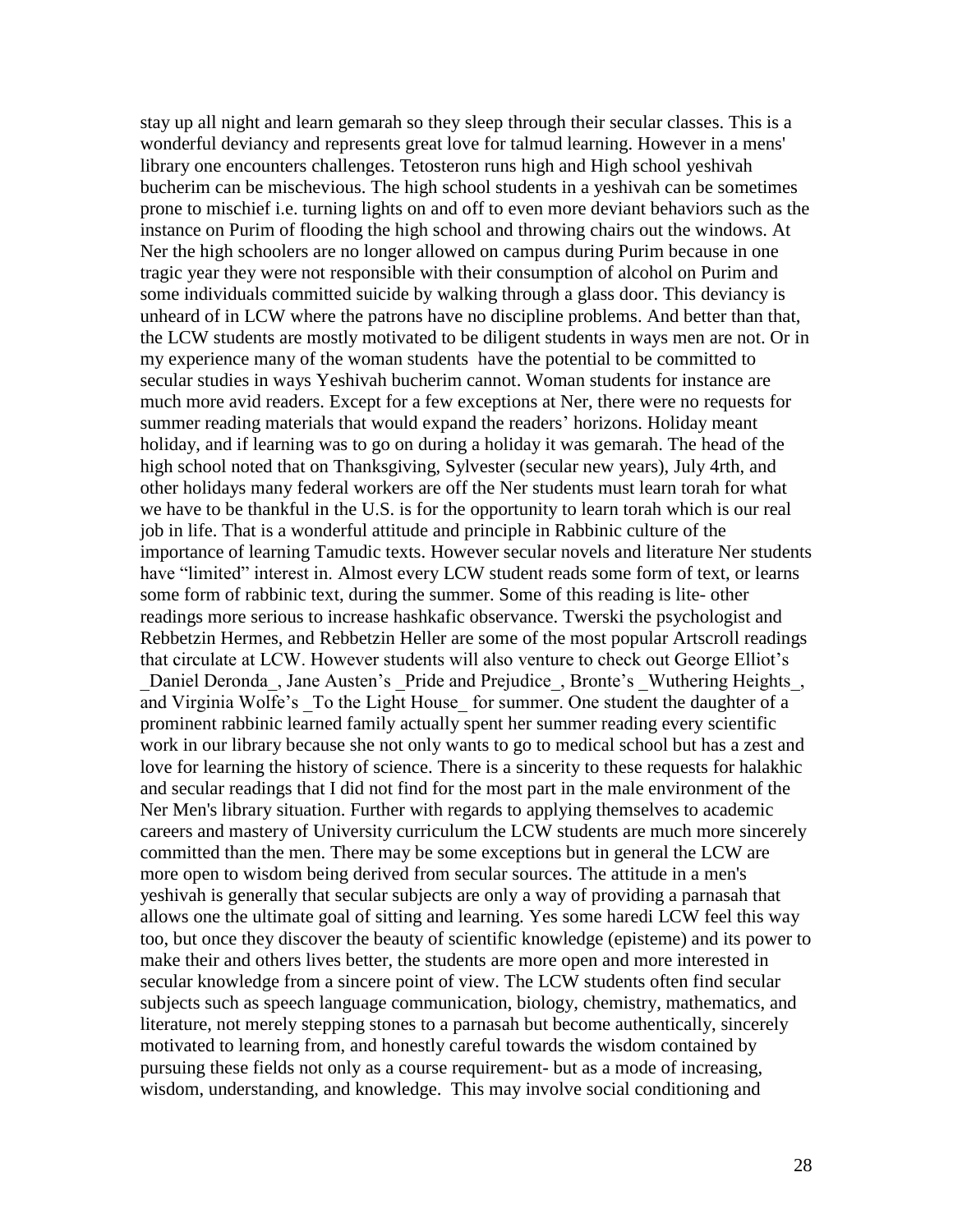stay up all night and learn gemarah so they sleep through their secular classes. This is a wonderful deviancy and represents great love for talmud learning. However in a mens' library one encounters challenges. Tetosteron runs high and High school yeshivah bucherim can be mischevious. The high school students in a yeshivah can be sometimes prone to mischief i.e. turning lights on and off to even more deviant behaviors such as the instance on Purim of flooding the high school and throwing chairs out the windows. At Ner the high schoolers are no longer allowed on campus during Purim because in one tragic year they were not responsible with their consumption of alcohol on Purim and some individuals committed suicide by walking through a glass door. This deviancy is unheard of in LCW where the patrons have no discipline problems. And better than that, the LCW students are mostly motivated to be diligent students in ways men are not. Or in my experience many of the woman students have the potential to be committed to secular studies in ways Yeshivah bucherim cannot. Woman students for instance are much more avid readers. Except for a few exceptions at Ner, there were no requests for summer reading materials that would expand the readers' horizons. Holiday meant holiday, and if learning was to go on during a holiday it was gemarah. The head of the high school noted that on Thanksgiving, Sylvester (secular new years), July 4rth, and other holidays many federal workers are off the Ner students must learn torah for what we have to be thankful in the U.S. is for the opportunity to learn torah which is our real job in life. That is a wonderful attitude and principle in Rabbinic culture of the importance of learning Tamudic texts. However secular novels and literature Ner students have "limited" interest in. Almost every LCW student reads some form of text, or learns some form of rabbinic text, during the summer. Some of this reading is lite- other readings more serious to increase hashkafic observance. Twerski the psychologist and Rebbetzin Hermes, and Rebbetzin Heller are some of the most popular Artscroll readings that circulate at LCW. However students will also venture to check out George Elliot"s \_Daniel Deronda\_, Jane Austen"s \_Pride and Prejudice\_, Bronte"s \_Wuthering Heights\_, and Virginia Wolfe's To the Light House for summer. One student the daughter of a prominent rabbinic learned family actually spent her summer reading every scientific work in our library because she not only wants to go to medical school but has a zest and love for learning the history of science. There is a sincerity to these requests for halakhic and secular readings that I did not find for the most part in the male environment of the Ner Men's library situation. Further with regards to applying themselves to academic careers and mastery of University curriculum the LCW students are much more sincerely committed than the men. There may be some exceptions but in general the LCW are more open to wisdom being derived from secular sources. The attitude in a men's yeshivah is generally that secular subjects are only a way of providing a parnasah that allows one the ultimate goal of sitting and learning. Yes some haredi LCW feel this way too, but once they discover the beauty of scientific knowledge (episteme) and its power to make their and others lives better, the students are more open and more interested in secular knowledge from a sincere point of view. The LCW students often find secular subjects such as speech language communication, biology, chemistry, mathematics, and literature, not merely stepping stones to a parnasah but become authentically, sincerely motivated to learning from, and honestly careful towards the wisdom contained by pursuing these fields not only as a course requirement- but as a mode of increasing, wisdom, understanding, and knowledge. This may involve social conditioning and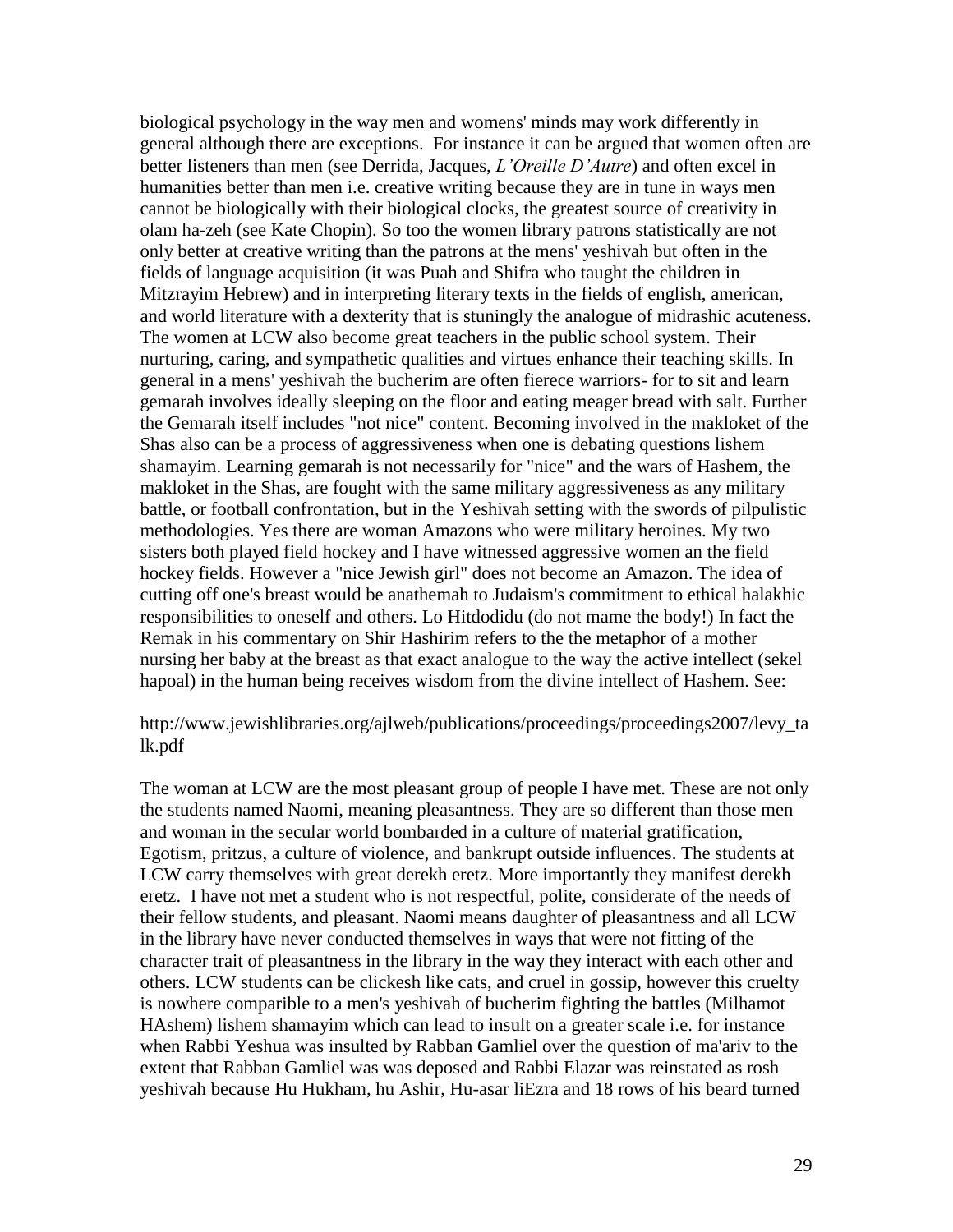biological psychology in the way men and womens' minds may work differently in general although there are exceptions. For instance it can be argued that women often are better listeners than men (see Derrida, Jacques, *L'Oreille D'Autre*) and often excel in humanities better than men i.e. creative writing because they are in tune in ways men cannot be biologically with their biological clocks, the greatest source of creativity in olam ha-zeh (see Kate Chopin). So too the women library patrons statistically are not only better at creative writing than the patrons at the mens' yeshivah but often in the fields of language acquisition (it was Puah and Shifra who taught the children in Mitzrayim Hebrew) and in interpreting literary texts in the fields of english, american, and world literature with a dexterity that is stuningly the analogue of midrashic acuteness. The women at LCW also become great teachers in the public school system. Their nurturing, caring, and sympathetic qualities and virtues enhance their teaching skills. In general in a mens' yeshivah the bucherim are often fierece warriors- for to sit and learn gemarah involves ideally sleeping on the floor and eating meager bread with salt. Further the Gemarah itself includes "not nice" content. Becoming involved in the makloket of the Shas also can be a process of aggressiveness when one is debating questions lishem shamayim. Learning gemarah is not necessarily for "nice" and the wars of Hashem, the makloket in the Shas, are fought with the same military aggressiveness as any military battle, or football confrontation, but in the Yeshivah setting with the swords of pilpulistic methodologies. Yes there are woman Amazons who were military heroines. My two sisters both played field hockey and I have witnessed aggressive women an the field hockey fields. However a "nice Jewish girl" does not become an Amazon. The idea of cutting off one's breast would be anathemah to Judaism's commitment to ethical halakhic responsibilities to oneself and others. Lo Hitdodidu (do not mame the body!) In fact the Remak in his commentary on Shir Hashirim refers to the the metaphor of a mother nursing her baby at the breast as that exact analogue to the way the active intellect (sekel hapoal) in the human being receives wisdom from the divine intellect of Hashem. See:

http://www.jewishlibraries.org/ajlweb/publications/proceedings/proceedings2007/levy\_ta lk.pdf

The woman at LCW are the most pleasant group of people I have met. These are not only the students named Naomi, meaning pleasantness. They are so different than those men and woman in the secular world bombarded in a culture of material gratification, Egotism, pritzus, a culture of violence, and bankrupt outside influences. The students at LCW carry themselves with great derekh eretz. More importantly they manifest derekh eretz. I have not met a student who is not respectful, polite, considerate of the needs of their fellow students, and pleasant. Naomi means daughter of pleasantness and all LCW in the library have never conducted themselves in ways that were not fitting of the character trait of pleasantness in the library in the way they interact with each other and others. LCW students can be clickesh like cats, and cruel in gossip, however this cruelty is nowhere comparible to a men's yeshivah of bucherim fighting the battles (Milhamot HAshem) lishem shamayim which can lead to insult on a greater scale i.e. for instance when Rabbi Yeshua was insulted by Rabban Gamliel over the question of ma'ariv to the extent that Rabban Gamliel was was deposed and Rabbi Elazar was reinstated as rosh yeshivah because Hu Hukham, hu Ashir, Hu-asar liEzra and 18 rows of his beard turned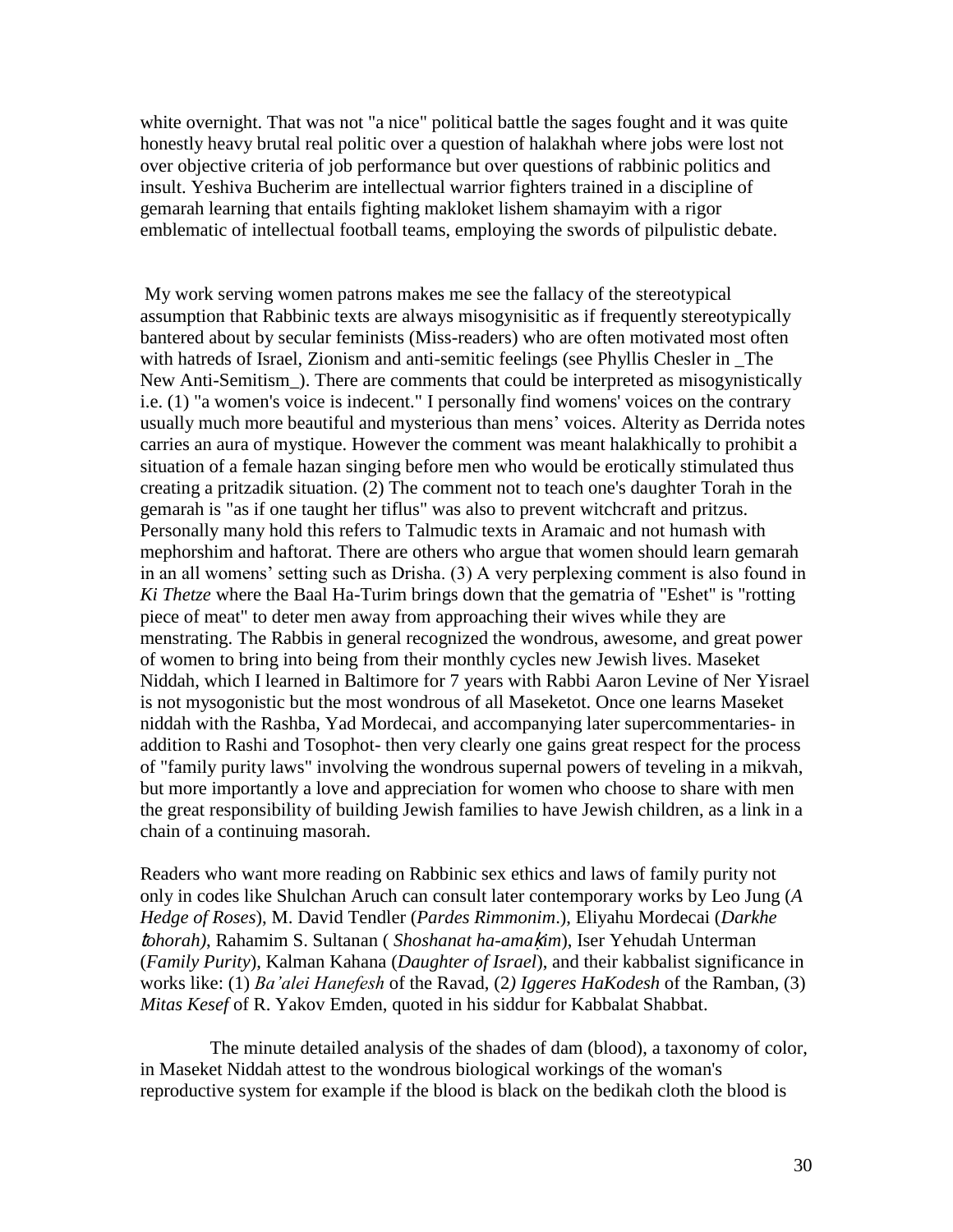white overnight. That was not "a nice" political battle the sages fought and it was quite honestly heavy brutal real politic over a question of halakhah where jobs were lost not over objective criteria of job performance but over questions of rabbinic politics and insult. Yeshiva Bucherim are intellectual warrior fighters trained in a discipline of gemarah learning that entails fighting makloket lishem shamayim with a rigor emblematic of intellectual football teams, employing the swords of pilpulistic debate.

My work serving women patrons makes me see the fallacy of the stereotypical assumption that Rabbinic texts are always misogynisitic as if frequently stereotypically bantered about by secular feminists (Miss-readers) who are often motivated most often with hatreds of Israel, Zionism and anti-semitic feelings (see Phyllis Chesler in \_The New Anti-Semitism\_). There are comments that could be interpreted as misogynistically i.e. (1) "a women's voice is indecent." I personally find womens' voices on the contrary usually much more beautiful and mysterious than mens' voices. Alterity as Derrida notes carries an aura of mystique. However the comment was meant halakhically to prohibit a situation of a female hazan singing before men who would be erotically stimulated thus creating a pritzadik situation. (2) The comment not to teach one's daughter Torah in the gemarah is "as if one taught her tiflus" was also to prevent witchcraft and pritzus. Personally many hold this refers to Talmudic texts in Aramaic and not humash with mephorshim and haftorat. There are others who argue that women should learn gemarah in an all womens" setting such as Drisha. (3) A very perplexing comment is also found in *Ki Thetze* where the Baal Ha-Turim brings down that the gematria of "Eshet" is "rotting piece of meat" to deter men away from approaching their wives while they are menstrating. The Rabbis in general recognized the wondrous, awesome, and great power of women to bring into being from their monthly cycles new Jewish lives. Maseket Niddah, which I learned in Baltimore for 7 years with Rabbi Aaron Levine of Ner Yisrael is not mysogonistic but the most wondrous of all Maseketot. Once one learns Maseket niddah with the Rashba, Yad Mordecai, and accompanying later supercommentaries- in addition to Rashi and Tosophot- then very clearly one gains great respect for the process of "family purity laws" involving the wondrous supernal powers of teveling in a mikvah, but more importantly a love and appreciation for women who choose to share with men the great responsibility of building Jewish families to have Jewish children, as a link in a chain of a continuing masorah.

Readers who want more reading on Rabbinic sex ethics and laws of family purity not only in codes like Shulchan Aruch can consult later contemporary works by Leo Jung (*A Hedge of Roses*), M. David Tendler (*Pardes Rimmonim*.), Eliyahu Mordecai (*Darkhe*  t*ohorah)*, Rahamim S. Sultanan ( *Shoshanat ha-ama*ḳ*im*), Iser Yehudah Unterman (*Family Purity*), Kalman Kahana (*Daughter of Israel*), and their kabbalist significance in works like: (1) *Ba'alei Hanefesh* of the Ravad, (2*) Iggeres HaKodesh* of the Ramban, (3) *Mitas Kesef* of R. Yakov Emden, quoted in his siddur for Kabbalat Shabbat.

 The minute detailed analysis of the shades of dam (blood), a taxonomy of color, in Maseket Niddah attest to the wondrous biological workings of the woman's reproductive system for example if the blood is black on the bedikah cloth the blood is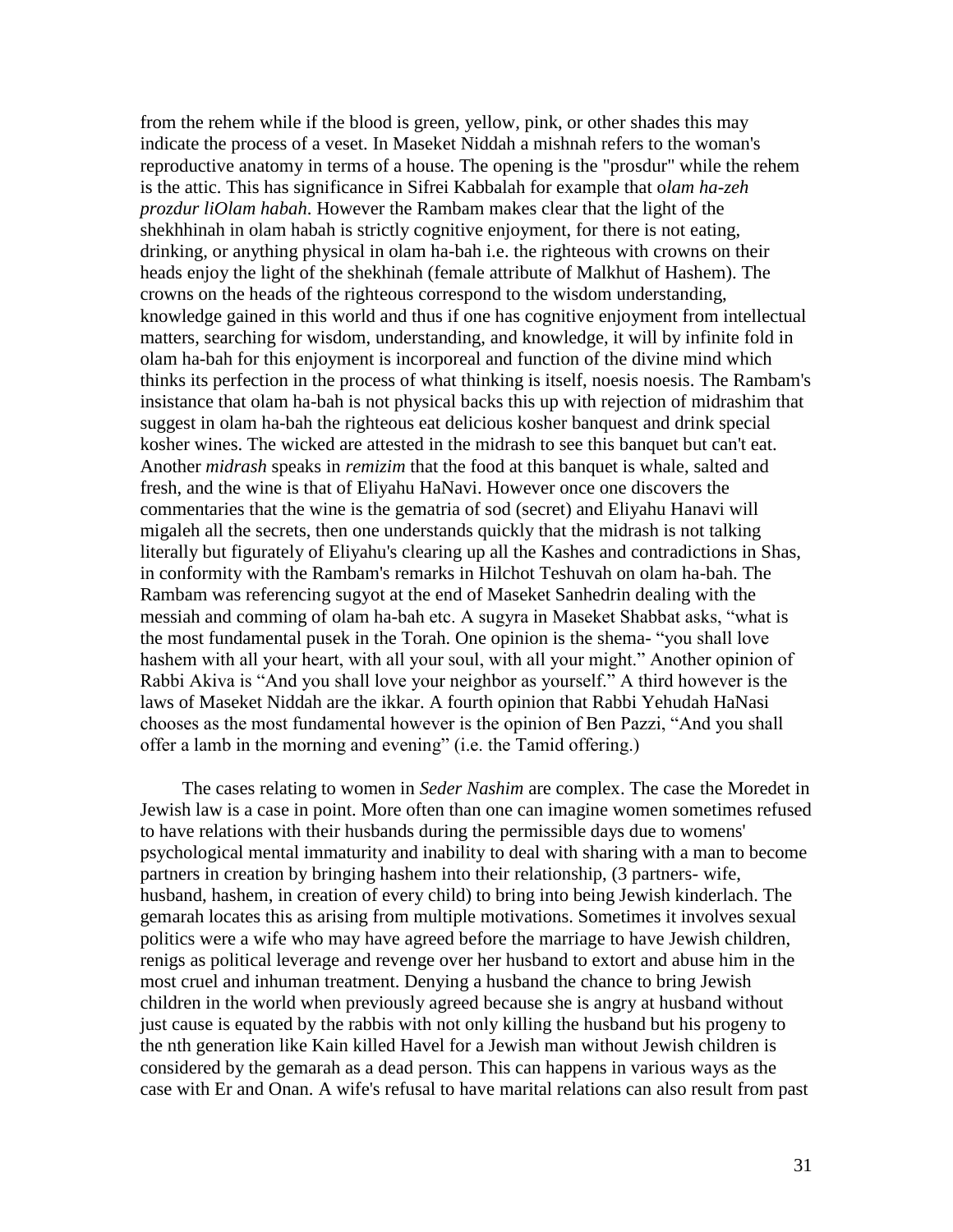from the rehem while if the blood is green, yellow, pink, or other shades this may indicate the process of a veset. In Maseket Niddah a mishnah refers to the woman's reproductive anatomy in terms of a house. The opening is the "prosdur" while the rehem is the attic. This has significance in Sifrei Kabbalah for example that o*lam ha-zeh prozdur liOlam habah*. However the Rambam makes clear that the light of the shekhhinah in olam habah is strictly cognitive enjoyment, for there is not eating, drinking, or anything physical in olam ha-bah i.e. the righteous with crowns on their heads enjoy the light of the shekhinah (female attribute of Malkhut of Hashem). The crowns on the heads of the righteous correspond to the wisdom understanding, knowledge gained in this world and thus if one has cognitive enjoyment from intellectual matters, searching for wisdom, understanding, and knowledge, it will by infinite fold in olam ha-bah for this enjoyment is incorporeal and function of the divine mind which thinks its perfection in the process of what thinking is itself, noesis noesis. The Rambam's insistance that olam ha-bah is not physical backs this up with rejection of midrashim that suggest in olam ha-bah the righteous eat delicious kosher banquest and drink special kosher wines. The wicked are attested in the midrash to see this banquet but can't eat. Another *midrash* speaks in *remizim* that the food at this banquet is whale, salted and fresh, and the wine is that of Eliyahu HaNavi. However once one discovers the commentaries that the wine is the gematria of sod (secret) and Eliyahu Hanavi will migaleh all the secrets, then one understands quickly that the midrash is not talking literally but figurately of Eliyahu's clearing up all the Kashes and contradictions in Shas, in conformity with the Rambam's remarks in Hilchot Teshuvah on olam ha-bah. The Rambam was referencing sugyot at the end of Maseket Sanhedrin dealing with the messiah and comming of olam ha-bah etc. A sugyra in Maseket Shabbat asks, "what is the most fundamental pusek in the Torah. One opinion is the shema- "you shall love hashem with all your heart, with all your soul, with all your might." Another opinion of Rabbi Akiva is "And you shall love your neighbor as yourself." A third however is the laws of Maseket Niddah are the ikkar. A fourth opinion that Rabbi Yehudah HaNasi chooses as the most fundamental however is the opinion of Ben Pazzi, "And you shall offer a lamb in the morning and evening" (i.e. the Tamid offering.)

 The cases relating to women in *Seder Nashim* are complex. The case the Moredet in Jewish law is a case in point. More often than one can imagine women sometimes refused to have relations with their husbands during the permissible days due to womens' psychological mental immaturity and inability to deal with sharing with a man to become partners in creation by bringing hashem into their relationship, (3 partners- wife, husband, hashem, in creation of every child) to bring into being Jewish kinderlach. The gemarah locates this as arising from multiple motivations. Sometimes it involves sexual politics were a wife who may have agreed before the marriage to have Jewish children, renigs as political leverage and revenge over her husband to extort and abuse him in the most cruel and inhuman treatment. Denying a husband the chance to bring Jewish children in the world when previously agreed because she is angry at husband without just cause is equated by the rabbis with not only killing the husband but his progeny to the nth generation like Kain killed Havel for a Jewish man without Jewish children is considered by the gemarah as a dead person. This can happens in various ways as the case with Er and Onan. A wife's refusal to have marital relations can also result from past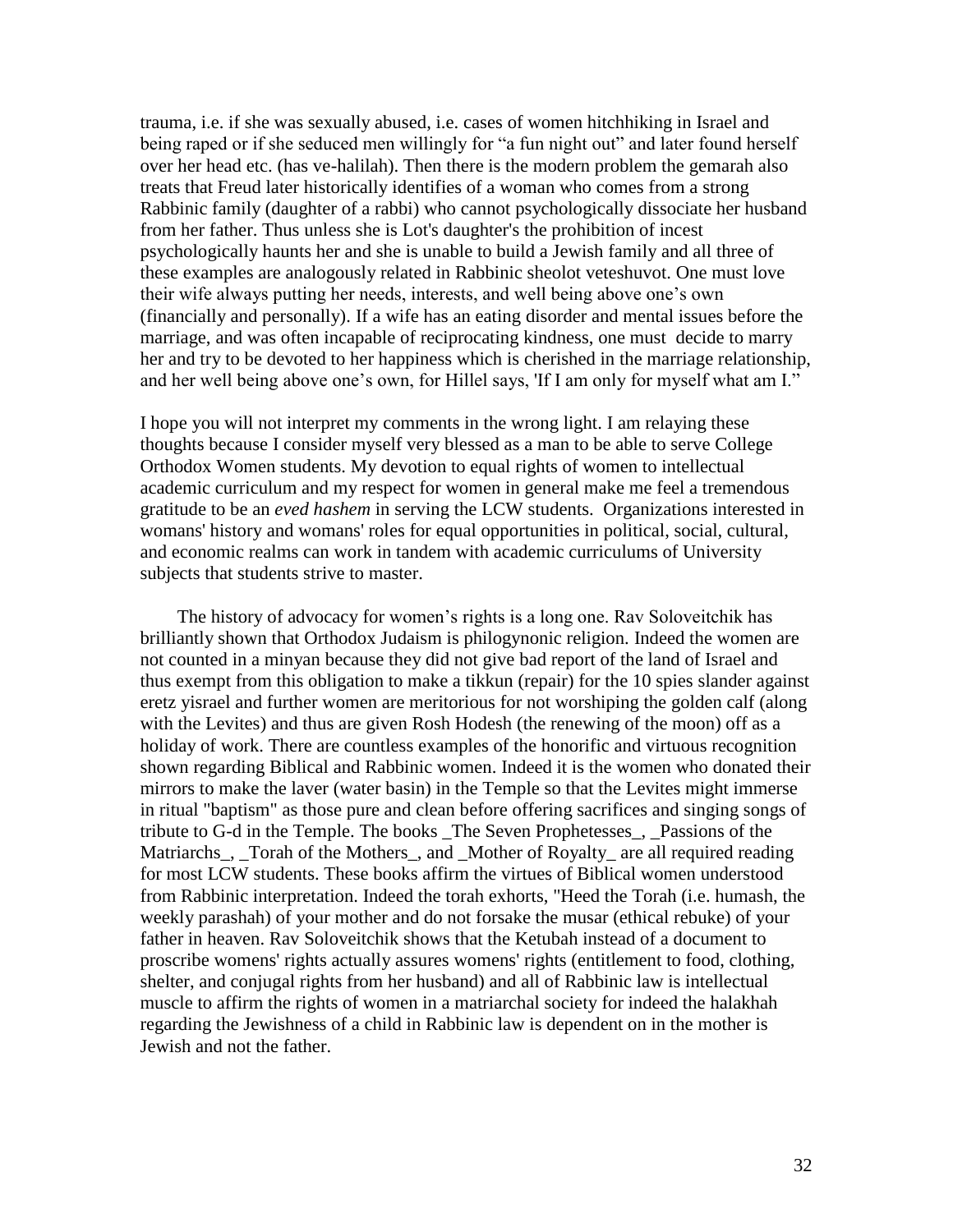trauma, i.e. if she was sexually abused, i.e. cases of women hitchhiking in Israel and being raped or if she seduced men willingly for "a fun night out" and later found herself over her head etc. (has ve-halilah). Then there is the modern problem the gemarah also treats that Freud later historically identifies of a woman who comes from a strong Rabbinic family (daughter of a rabbi) who cannot psychologically dissociate her husband from her father. Thus unless she is Lot's daughter's the prohibition of incest psychologically haunts her and she is unable to build a Jewish family and all three of these examples are analogously related in Rabbinic sheolot veteshuvot. One must love their wife always putting her needs, interests, and well being above one"s own (financially and personally). If a wife has an eating disorder and mental issues before the marriage, and was often incapable of reciprocating kindness, one must decide to marry her and try to be devoted to her happiness which is cherished in the marriage relationship, and her well being above one"s own, for Hillel says, 'If I am only for myself what am I."

I hope you will not interpret my comments in the wrong light. I am relaying these thoughts because I consider myself very blessed as a man to be able to serve College Orthodox Women students. My devotion to equal rights of women to intellectual academic curriculum and my respect for women in general make me feel a tremendous gratitude to be an *eved hashem* in serving the LCW students. Organizations interested in womans' history and womans' roles for equal opportunities in political, social, cultural, and economic realms can work in tandem with academic curriculums of University subjects that students strive to master.

 The history of advocacy for women"s rights is a long one. Rav Soloveitchik has brilliantly shown that Orthodox Judaism is philogynonic religion. Indeed the women are not counted in a minyan because they did not give bad report of the land of Israel and thus exempt from this obligation to make a tikkun (repair) for the 10 spies slander against eretz yisrael and further women are meritorious for not worshiping the golden calf (along with the Levites) and thus are given Rosh Hodesh (the renewing of the moon) off as a holiday of work. There are countless examples of the honorific and virtuous recognition shown regarding Biblical and Rabbinic women. Indeed it is the women who donated their mirrors to make the laver (water basin) in the Temple so that the Levites might immerse in ritual "baptism" as those pure and clean before offering sacrifices and singing songs of tribute to G-d in the Temple. The books \_The Seven Prophetesses\_, \_Passions of the Matriarchs\_, \_Torah of the Mothers\_, and \_Mother of Royalty\_ are all required reading for most LCW students. These books affirm the virtues of Biblical women understood from Rabbinic interpretation. Indeed the torah exhorts, "Heed the Torah (i.e. humash, the weekly parashah) of your mother and do not forsake the musar (ethical rebuke) of your father in heaven. Rav Soloveitchik shows that the Ketubah instead of a document to proscribe womens' rights actually assures womens' rights (entitlement to food, clothing, shelter, and conjugal rights from her husband) and all of Rabbinic law is intellectual muscle to affirm the rights of women in a matriarchal society for indeed the halakhah regarding the Jewishness of a child in Rabbinic law is dependent on in the mother is Jewish and not the father.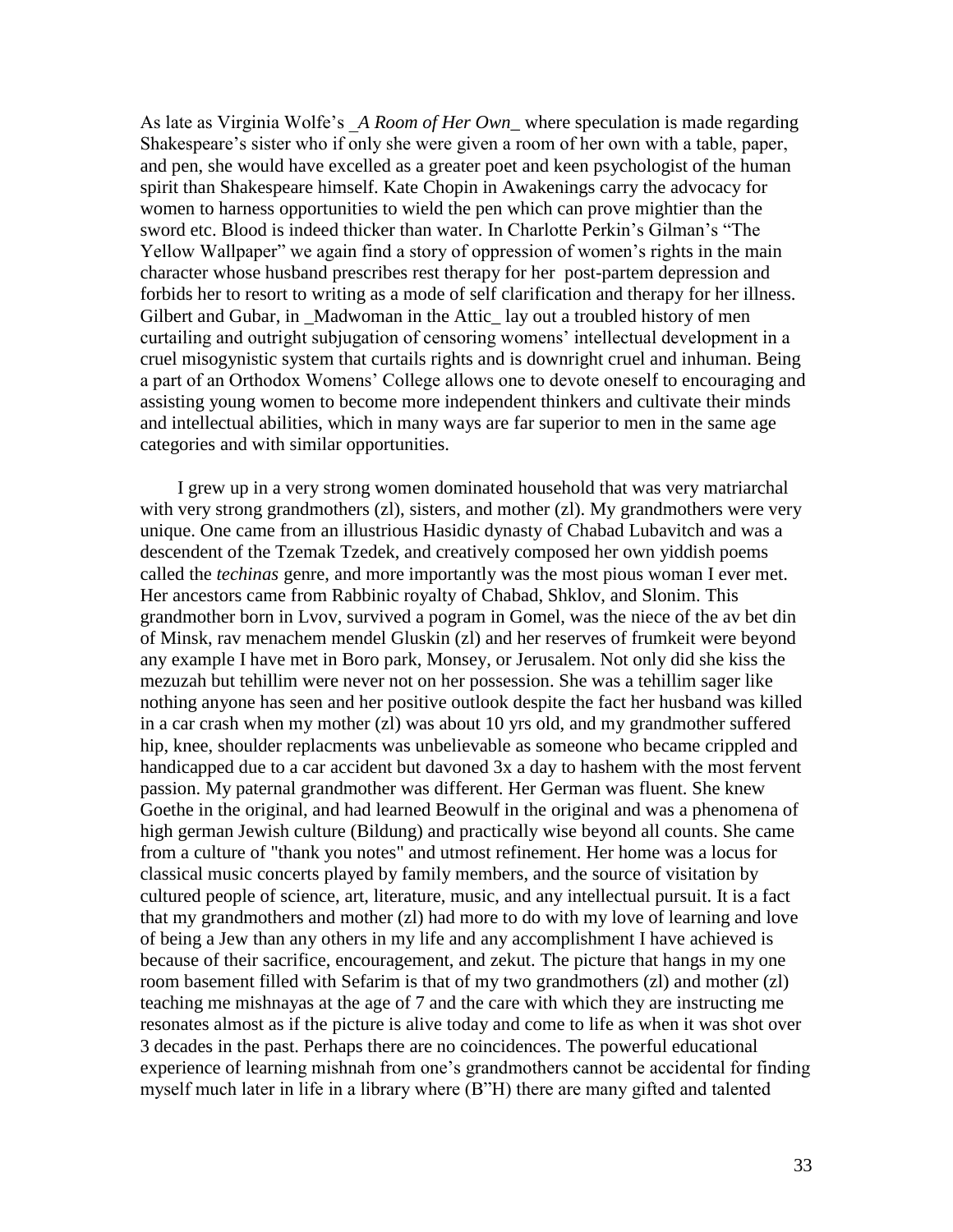As late as Virginia Wolfe"s \_*A Room of Her Own*\_ where speculation is made regarding Shakespeare's sister who if only she were given a room of her own with a table, paper, and pen, she would have excelled as a greater poet and keen psychologist of the human spirit than Shakespeare himself. Kate Chopin in Awakenings carry the advocacy for women to harness opportunities to wield the pen which can prove mightier than the sword etc. Blood is indeed thicker than water. In Charlotte Perkin"s Gilman"s "The Yellow Wallpaper" we again find a story of oppression of women"s rights in the main character whose husband prescribes rest therapy for her post-partem depression and forbids her to resort to writing as a mode of self clarification and therapy for her illness. Gilbert and Gubar, in Madwoman in the Attic lay out a troubled history of men curtailing and outright subjugation of censoring womens' intellectual development in a cruel misogynistic system that curtails rights and is downright cruel and inhuman. Being a part of an Orthodox Womens" College allows one to devote oneself to encouraging and assisting young women to become more independent thinkers and cultivate their minds and intellectual abilities, which in many ways are far superior to men in the same age categories and with similar opportunities.

 I grew up in a very strong women dominated household that was very matriarchal with very strong grandmothers (zl), sisters, and mother (zl). My grandmothers were very unique. One came from an illustrious Hasidic dynasty of Chabad Lubavitch and was a descendent of the Tzemak Tzedek, and creatively composed her own yiddish poems called the *techinas* genre, and more importantly was the most pious woman I ever met. Her ancestors came from Rabbinic royalty of Chabad, Shklov, and Slonim. This grandmother born in Lvov, survived a pogram in Gomel, was the niece of the av bet din of Minsk, rav menachem mendel Gluskin (zl) and her reserves of frumkeit were beyond any example I have met in Boro park, Monsey, or Jerusalem. Not only did she kiss the mezuzah but tehillim were never not on her possession. She was a tehillim sager like nothing anyone has seen and her positive outlook despite the fact her husband was killed in a car crash when my mother (zl) was about 10 yrs old, and my grandmother suffered hip, knee, shoulder replacments was unbelievable as someone who became crippled and handicapped due to a car accident but davoned 3x a day to hashem with the most fervent passion. My paternal grandmother was different. Her German was fluent. She knew Goethe in the original, and had learned Beowulf in the original and was a phenomena of high german Jewish culture (Bildung) and practically wise beyond all counts. She came from a culture of "thank you notes" and utmost refinement. Her home was a locus for classical music concerts played by family members, and the source of visitation by cultured people of science, art, literature, music, and any intellectual pursuit. It is a fact that my grandmothers and mother (zl) had more to do with my love of learning and love of being a Jew than any others in my life and any accomplishment I have achieved is because of their sacrifice, encouragement, and zekut. The picture that hangs in my one room basement filled with Sefarim is that of my two grandmothers (zl) and mother (zl) teaching me mishnayas at the age of 7 and the care with which they are instructing me resonates almost as if the picture is alive today and come to life as when it was shot over 3 decades in the past. Perhaps there are no coincidences. The powerful educational experience of learning mishnah from one's grandmothers cannot be accidental for finding myself much later in life in a library where (B"H) there are many gifted and talented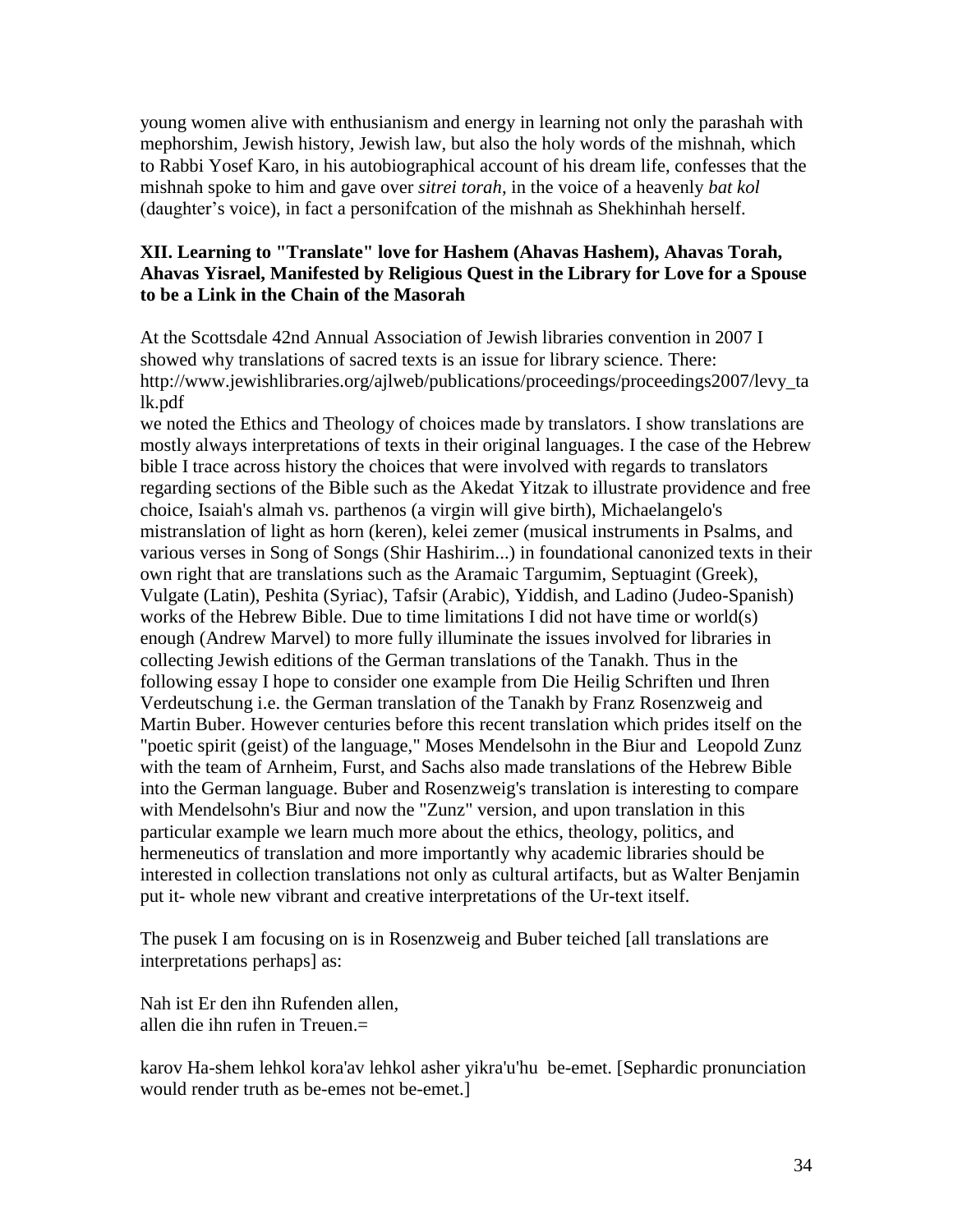young women alive with enthusianism and energy in learning not only the parashah with mephorshim, Jewish history, Jewish law, but also the holy words of the mishnah, which to Rabbi Yosef Karo, in his autobiographical account of his dream life, confesses that the mishnah spoke to him and gave over *sitrei torah*, in the voice of a heavenly *bat kol* (daughter"s voice), in fact a personifcation of the mishnah as Shekhinhah herself.

# **XII. Learning to "Translate" love for Hashem (Ahavas Hashem), Ahavas Torah, Ahavas Yisrael, Manifested by Religious Quest in the Library for Love for a Spouse to be a Link in the Chain of the Masorah**

At the Scottsdale 42nd Annual Association of Jewish libraries convention in 2007 I showed why translations of sacred texts is an issue for library science. There: http://www.jewishlibraries.org/ajlweb/publications/proceedings/proceedings2007/levy\_ta lk.pdf

we noted the Ethics and Theology of choices made by translators. I show translations are mostly always interpretations of texts in their original languages. I the case of the Hebrew bible I trace across history the choices that were involved with regards to translators regarding sections of the Bible such as the Akedat Yitzak to illustrate providence and free choice, Isaiah's almah vs. parthenos (a virgin will give birth), Michaelangelo's mistranslation of light as horn (keren), kelei zemer (musical instruments in Psalms, and various verses in Song of Songs (Shir Hashirim...) in foundational canonized texts in their own right that are translations such as the Aramaic Targumim, Septuagint (Greek), Vulgate (Latin), Peshita (Syriac), Tafsir (Arabic), Yiddish, and Ladino (Judeo-Spanish) works of the Hebrew Bible. Due to time limitations I did not have time or world(s) enough (Andrew Marvel) to more fully illuminate the issues involved for libraries in collecting Jewish editions of the German translations of the Tanakh. Thus in the following essay I hope to consider one example from Die Heilig Schriften und Ihren Verdeutschung i.e. the German translation of the Tanakh by Franz Rosenzweig and Martin Buber. However centuries before this recent translation which prides itself on the "poetic spirit (geist) of the language," Moses Mendelsohn in the Biur and Leopold Zunz with the team of Arnheim, Furst, and Sachs also made translations of the Hebrew Bible into the German language. Buber and Rosenzweig's translation is interesting to compare with Mendelsohn's Biur and now the "Zunz" version, and upon translation in this particular example we learn much more about the ethics, theology, politics, and hermeneutics of translation and more importantly why academic libraries should be interested in collection translations not only as cultural artifacts, but as Walter Benjamin put it- whole new vibrant and creative interpretations of the Ur-text itself.

The pusek I am focusing on is in Rosenzweig and Buber teiched [all translations are interpretations perhaps] as:

Nah ist Er den ihn Rufenden allen, allen die ihn rufen in Treuen.=

karov Ha-shem lehkol kora'av lehkol asher yikra'u'hu be-emet. [Sephardic pronunciation would render truth as be-emes not be-emet.]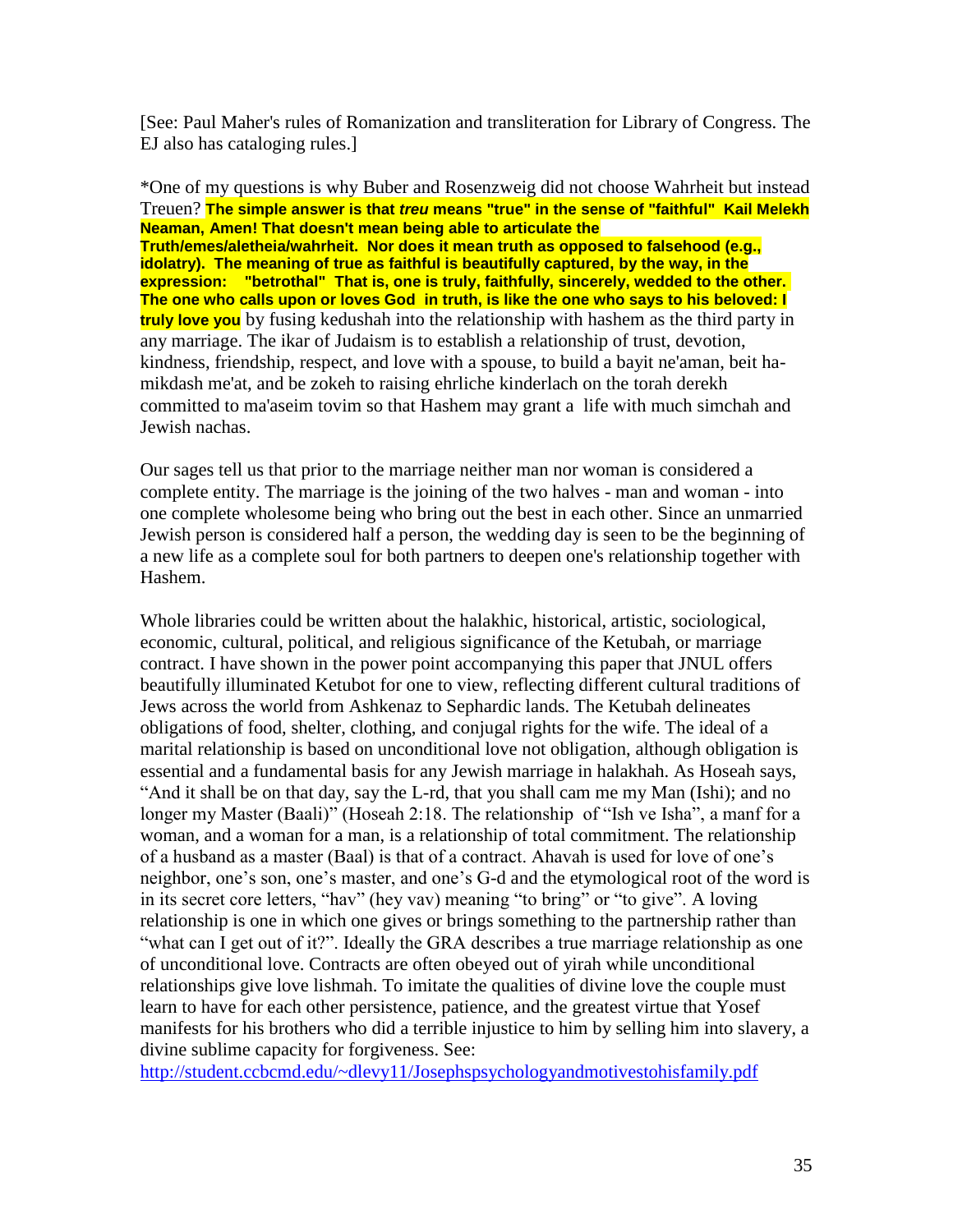[See: Paul Maher's rules of Romanization and transliteration for Library of Congress. The EJ also has cataloging rules.]

\*One of my questions is why Buber and Rosenzweig did not choose Wahrheit but instead Treuen? **The simple answer is that** *treu* **means "true" in the sense of "faithful" Kail Melekh Neaman, Amen! That doesn't mean being able to articulate the Truth/emes/aletheia/wahrheit. Nor does it mean truth as opposed to falsehood (e.g., idolatry). The meaning of true as faithful is beautifully captured, by the way, in the expression: "betrothal" That is, one is truly, faithfully, sincerely, wedded to the other. The one who calls upon or loves God in truth, is like the one who says to his beloved: I truly love you** by fusing kedushah into the relationship with hashem as the third party in any marriage. The ikar of Judaism is to establish a relationship of trust, devotion, kindness, friendship, respect, and love with a spouse, to build a bayit ne'aman, beit hamikdash me'at, and be zokeh to raising ehrliche kinderlach on the torah derekh committed to ma'aseim tovim so that Hashem may grant a life with much simchah and Jewish nachas.

Our sages tell us that prior to the marriage neither man nor woman is considered a complete entity. The marriage is the joining of the two halves - man and woman - into one complete wholesome being who bring out the best in each other. Since an unmarried Jewish person is considered half a person, the wedding day is seen to be the beginning of a new life as a complete soul for both partners to deepen one's relationship together with Hashem.

Whole libraries could be written about the halakhic, historical, artistic, sociological, economic, cultural, political, and religious significance of the Ketubah, or marriage contract. I have shown in the power point accompanying this paper that JNUL offers beautifully illuminated Ketubot for one to view, reflecting different cultural traditions of Jews across the world from Ashkenaz to Sephardic lands. The Ketubah delineates obligations of food, shelter, clothing, and conjugal rights for the wife. The ideal of a marital relationship is based on unconditional love not obligation, although obligation is essential and a fundamental basis for any Jewish marriage in halakhah. As Hoseah says, "And it shall be on that day, say the L-rd, that you shall cam me my Man (Ishi); and no longer my Master (Baali)" (Hoseah 2:18. The relationship of "Ish ve Isha", a manf for a woman, and a woman for a man, is a relationship of total commitment. The relationship of a husband as a master (Baal) is that of a contract. Ahavah is used for love of one"s neighbor, one"s son, one"s master, and one"s G-d and the etymological root of the word is in its secret core letters, "hav" (hey vav) meaning "to bring" or "to give". A loving relationship is one in which one gives or brings something to the partnership rather than "what can I get out of it?". Ideally the GRA describes a true marriage relationship as one of unconditional love. Contracts are often obeyed out of yirah while unconditional relationships give love lishmah. To imitate the qualities of divine love the couple must learn to have for each other persistence, patience, and the greatest virtue that Yosef manifests for his brothers who did a terrible injustice to him by selling him into slavery, a divine sublime capacity for forgiveness. See:

<http://student.ccbcmd.edu/~dlevy11/Josephspsychologyandmotivestohisfamily.pdf>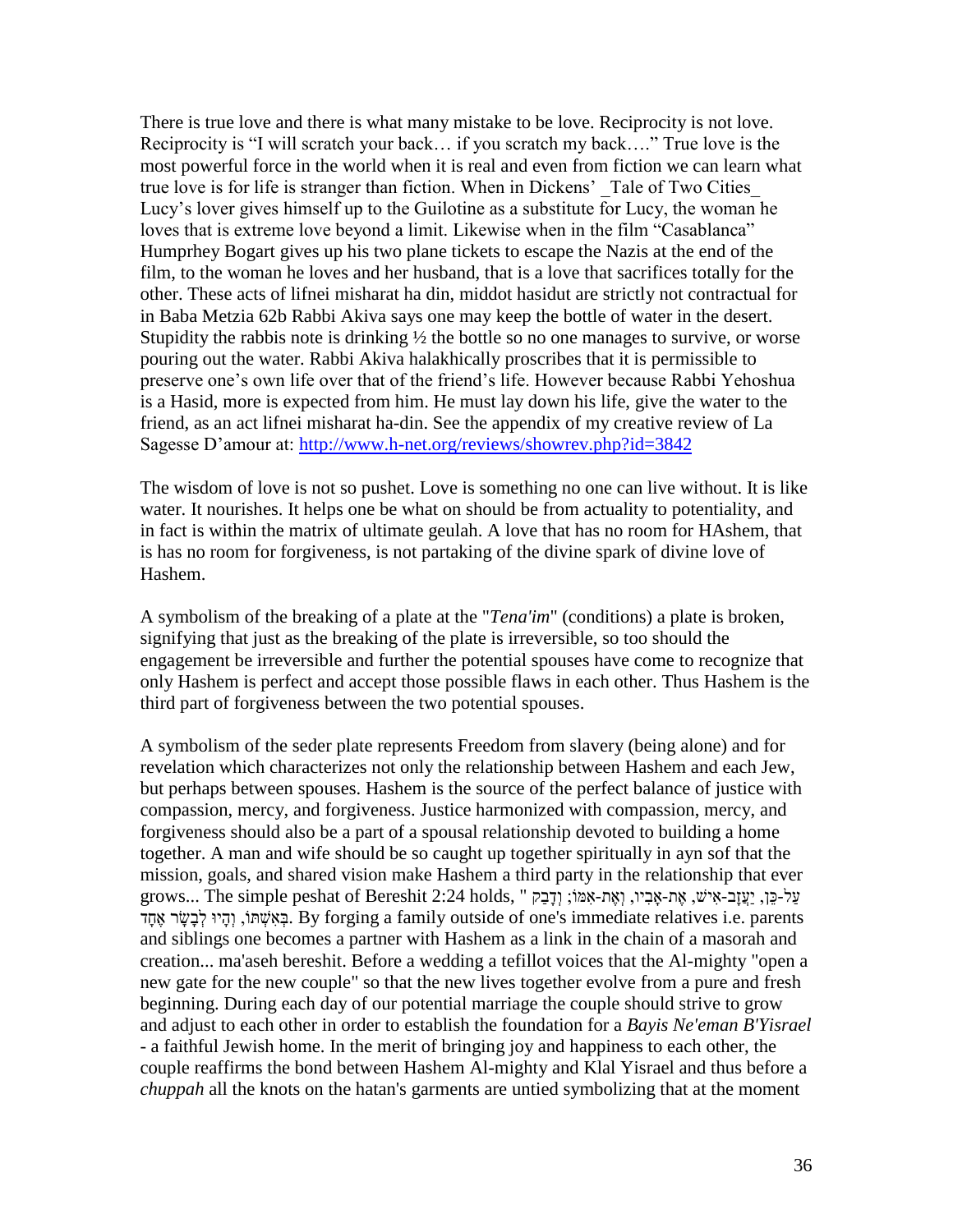There is true love and there is what many mistake to be love. Reciprocity is not love. Reciprocity is "I will scratch your back… if you scratch my back…." True love is the most powerful force in the world when it is real and even from fiction we can learn what true love is for life is stranger than fiction. When in Dickens' Tale of Two Cities Lucy"s lover gives himself up to the Guilotine as a substitute for Lucy, the woman he loves that is extreme love beyond a limit. Likewise when in the film "Casablanca" Humprhey Bogart gives up his two plane tickets to escape the Nazis at the end of the film, to the woman he loves and her husband, that is a love that sacrifices totally for the other. These acts of lifnei misharat ha din, middot hasidut are strictly not contractual for in Baba Metzia 62b Rabbi Akiva says one may keep the bottle of water in the desert. Stupidity the rabbis note is drinking  $\frac{1}{2}$  the bottle so no one manages to survive, or worse pouring out the water. Rabbi Akiva halakhically proscribes that it is permissible to preserve one"s own life over that of the friend"s life. However because Rabbi Yehoshua is a Hasid, more is expected from him. He must lay down his life, give the water to the friend, as an act lifnei misharat ha-din. See the appendix of my creative review of La Sagesse D"amour at:<http://www.h-net.org/reviews/showrev.php?id=3842>

The wisdom of love is not so pushet. Love is something no one can live without. It is like water. It nourishes. It helps one be what on should be from actuality to potentiality, and in fact is within the matrix of ultimate geulah. A love that has no room for HAshem, that is has no room for forgiveness, is not partaking of the divine spark of divine love of Hashem.

A symbolism of the breaking of a plate at the "*Tena'im*" (conditions) a plate is broken, signifying that just as the breaking of the plate is irreversible, so too should the engagement be irreversible and further the potential spouses have come to recognize that only Hashem is perfect and accept those possible flaws in each other. Thus Hashem is the third part of forgiveness between the two potential spouses.

A symbolism of the seder plate represents Freedom from slavery (being alone) and for revelation which characterizes not only the relationship between Hashem and each Jew, but perhaps between spouses. Hashem is the source of the perfect balance of justice with compassion, mercy, and forgiveness. Justice harmonized with compassion, mercy, and forgiveness should also be a part of a spousal relationship devoted to building a home together. A man and wife should be so caught up together spiritually in ayn sof that the mission, goals, and shared vision make Hashem a third party in the relationship that ever עַל-כֵּן, יַעֲזָב-אִישׁ, אֶת-אַבִּיו, וְאֶת-אָמֹוֹ; וְדָבַק " ,grows... The simple peshat of Bereshit 2:24 holds parents .e.i relatives immediate s'one of outside family a forging By .בְאִׁשְ ּתֹו, וְהָּיו לְבָּׂשָּ ר אֶּחָּד and siblings one becomes a partner with Hashem as a link in the chain of a masorah and creation... ma'aseh bereshit. Before a wedding a tefillot voices that the Al-mighty "open a new gate for the new couple" so that the new lives together evolve from a pure and fresh beginning. During each day of our potential marriage the couple should strive to grow and adjust to each other in order to establish the foundation for a *Bayis Ne'eman B'Yisrael* - a faithful Jewish home. In the merit of bringing joy and happiness to each other, the couple reaffirms the bond between Hashem Al-mighty and Klal Yisrael and thus before a *chuppah* all the knots on the hatan's garments are untied symbolizing that at the moment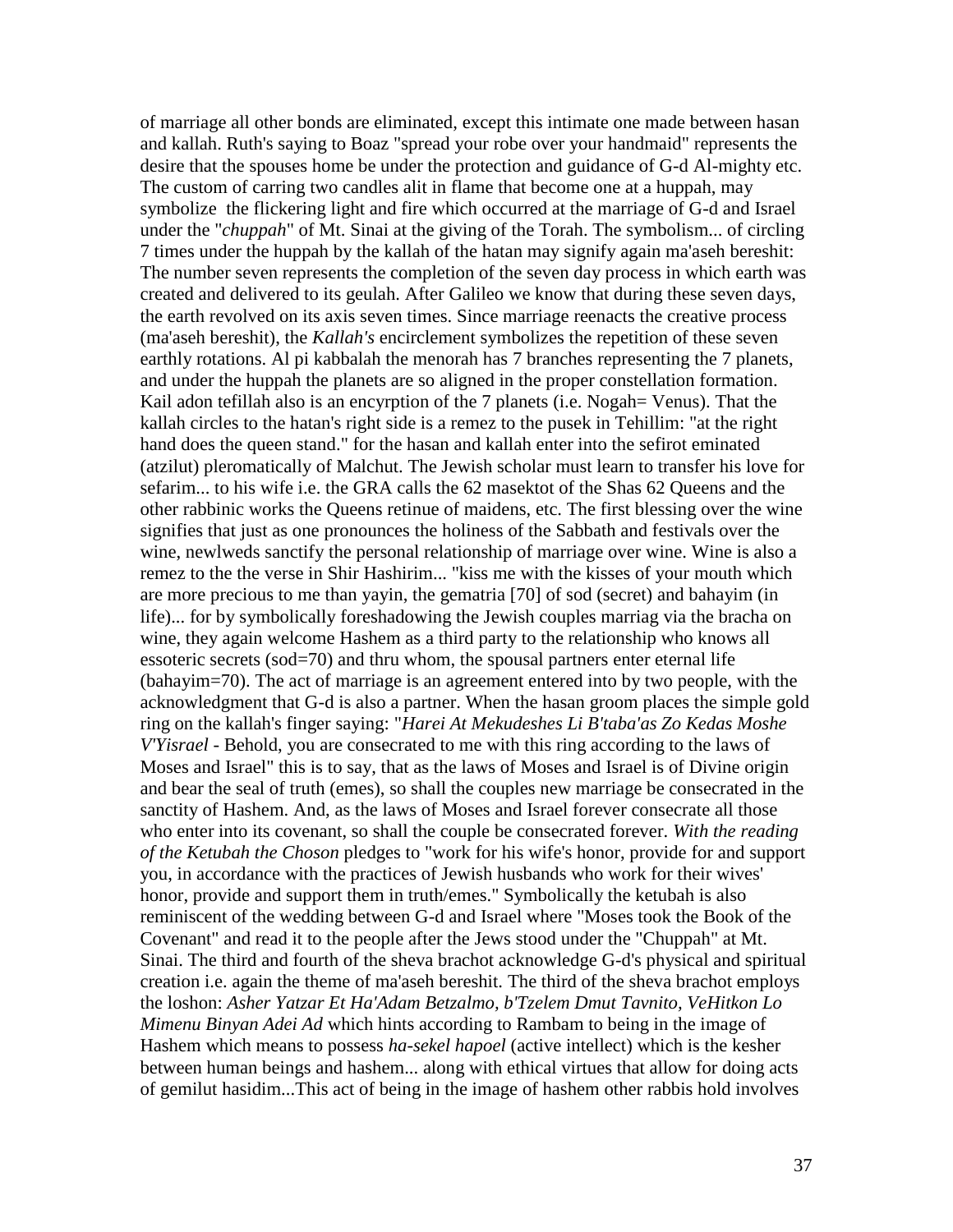of marriage all other bonds are eliminated, except this intimate one made between hasan and kallah. Ruth's saying to Boaz "spread your robe over your handmaid" represents the desire that the spouses home be under the protection and guidance of G-d Al-mighty etc. The custom of carring two candles alit in flame that become one at a huppah, may symbolize the flickering light and fire which occurred at the marriage of G-d and Israel under the "*chuppah*" of Mt. Sinai at the giving of the Torah. The symbolism... of circling 7 times under the huppah by the kallah of the hatan may signify again ma'aseh bereshit: The number seven represents the completion of the seven day process in which earth was created and delivered to its geulah. After Galileo we know that during these seven days, the earth revolved on its axis seven times. Since marriage reenacts the creative process (ma'aseh bereshit), the *Kallah's* encirclement symbolizes the repetition of these seven earthly rotations. Al pi kabbalah the menorah has 7 branches representing the 7 planets, and under the huppah the planets are so aligned in the proper constellation formation. Kail adon tefillah also is an encyrption of the 7 planets (i.e. Nogah = Venus). That the kallah circles to the hatan's right side is a remez to the pusek in Tehillim: "at the right hand does the queen stand." for the hasan and kallah enter into the sefirot eminated (atzilut) pleromatically of Malchut. The Jewish scholar must learn to transfer his love for sefarim... to his wife i.e. the GRA calls the 62 masektot of the Shas 62 Queens and the other rabbinic works the Queens retinue of maidens, etc. The first blessing over the wine signifies that just as one pronounces the holiness of the Sabbath and festivals over the wine, newlweds sanctify the personal relationship of marriage over wine. Wine is also a remez to the the verse in Shir Hashirim... "kiss me with the kisses of your mouth which are more precious to me than yayin, the gematria [70] of sod (secret) and bahayim (in life)... for by symbolically foreshadowing the Jewish couples marriag via the bracha on wine, they again welcome Hashem as a third party to the relationship who knows all essoteric secrets (sod=70) and thru whom, the spousal partners enter eternal life (bahayim=70). The act of marriage is an agreement entered into by two people, with the acknowledgment that G-d is also a partner. When the hasan groom places the simple gold ring on the kallah's finger saying: "*Harei At Mekudeshes Li B'taba'as Zo Kedas Moshe V'Yisrael* - Behold, you are consecrated to me with this ring according to the laws of Moses and Israel" this is to say, that as the laws of Moses and Israel is of Divine origin and bear the seal of truth (emes), so shall the couples new marriage be consecrated in the sanctity of Hashem. And, as the laws of Moses and Israel forever consecrate all those who enter into its covenant, so shall the couple be consecrated forever. *With the reading of the Ketubah the Choson* pledges to "work for his wife's honor, provide for and support you, in accordance with the practices of Jewish husbands who work for their wives' honor, provide and support them in truth/emes." Symbolically the ketubah is also reminiscent of the wedding between G-d and Israel where "Moses took the Book of the Covenant" and read it to the people after the Jews stood under the "Chuppah" at Mt. Sinai. The third and fourth of the sheva brachot acknowledge G-d's physical and spiritual creation i.e. again the theme of ma'aseh bereshit. The third of the sheva brachot employs the loshon: *Asher Yatzar Et Ha'Adam Betzalmo, b'Tzelem Dmut Tavnito, VeHitkon Lo Mimenu Binyan Adei Ad* which hints according to Rambam to being in the image of Hashem which means to possess *ha-sekel hapoel* (active intellect) which is the kesher between human beings and hashem... along with ethical virtues that allow for doing acts of gemilut hasidim...This act of being in the image of hashem other rabbis hold involves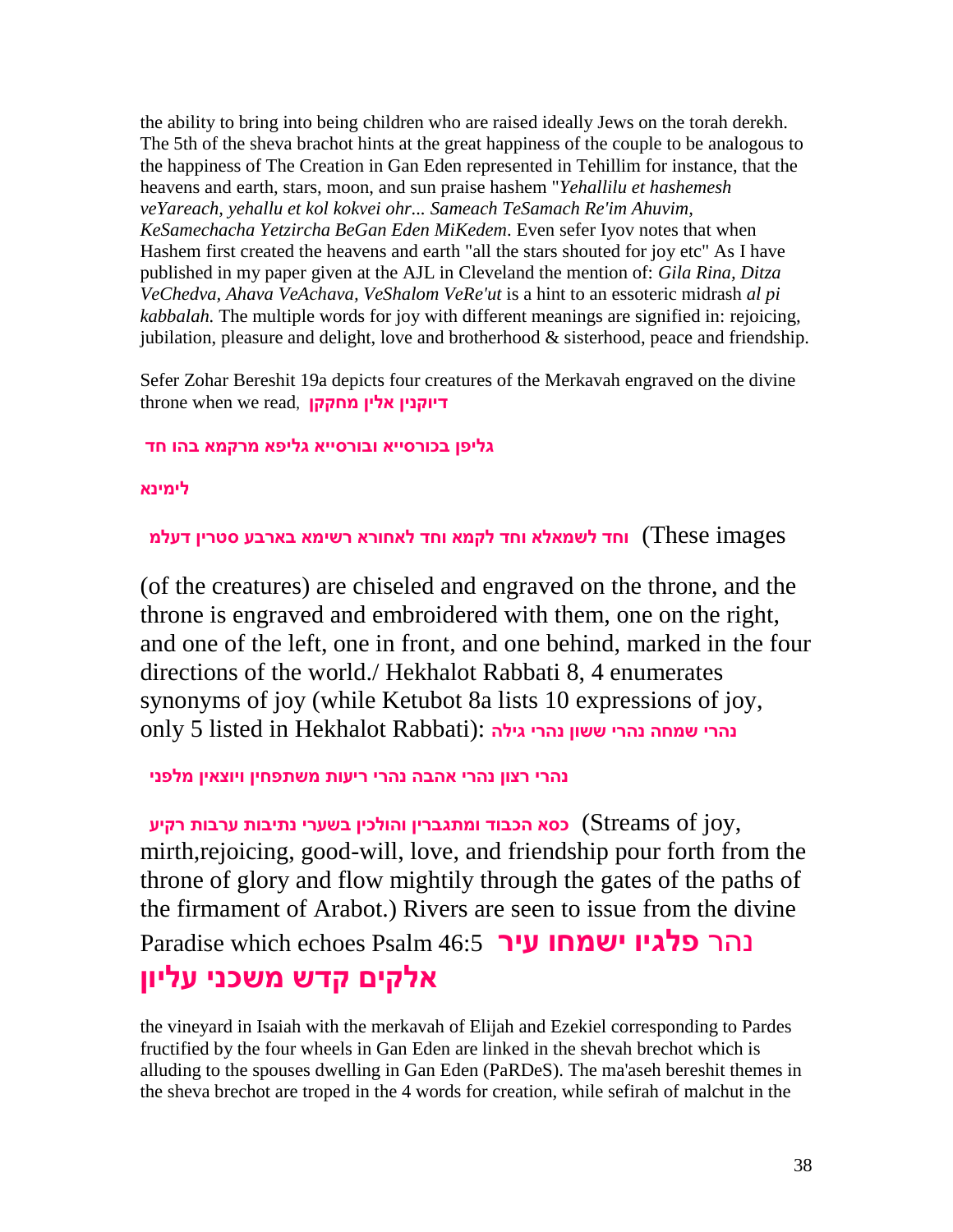the ability to bring into being children who are raised ideally Jews on the torah derekh. The 5th of the sheva brachot hints at the great happiness of the couple to be analogous to the happiness of The Creation in Gan Eden represented in Tehillim for instance, that the heavens and earth, stars, moon, and sun praise hashem "*Yehallilu et hashemesh veYareach, yehallu et kol kokvei ohr... Sameach TeSamach Re'im Ahuvim, KeSamechacha Yetzircha BeGan Eden MiKedem*. Even sefer Iyov notes that when Hashem first created the heavens and earth "all the stars shouted for joy etc" As I have published in my paper given at the AJL in Cleveland the mention of: *Gila Rina, Ditza VeChedva, Ahava VeAchava, VeShalom VeRe'ut* is a hint to an essoteric midrash *al pi kabbalah.* The multiple words for joy with different meanings are signified in: rejoicing, jubilation, pleasure and delight, love and brotherhood & sisterhood, peace and friendship.

Sefer Zohar Bereshit 19a depicts four creatures of the Merkavah engraved on the divine throne when we read, **מחקקן אלין דיוקנין**

# **גליפן בכורסייא ובורסייא גליפא מרקמא בהו חד**

**לימינא**

images These (**וחד לשמאלא וחד לקמא וחד לאחורא רשימא בארבע סטרין דעלמ**

(of the creatures) are chiseled and engraved on the throne, and the throne is engraved and embroidered with them, one on the right, and one of the left, one in front, and one behind, marked in the four directions of the world./ Hekhalot Rabbati 8, 4 enumerates synonyms of joy (while Ketubot 8a lists 10 expressions of joy, נהרי שמחה נהרי ששון נהרי גילה :(only 5 listed in Hekhalot Rabbati

**נהרי רצון נהרי אהבה נהרי ריעות משתפחין ויוצאין מלפני**

 ,joy of Streams (**כסא הכבוד ומתגברין והולכין בשערי נתיבות ערבות רקיע** mirth,rejoicing, good-will, love, and friendship pour forth from the throne of glory and flow mightily through the gates of the paths of the firmament of Arabot.) Rivers are seen to issue from the divine נהר **פלגיו ישמחו עיר** 46:5 Psalm echoes which Paradise **אלקים קדש משכני עליון**

the vineyard in Isaiah with the merkavah of Elijah and Ezekiel corresponding to Pardes fructified by the four wheels in Gan Eden are linked in the shevah brechot which is alluding to the spouses dwelling in Gan Eden (PaRDeS). The ma'aseh bereshit themes in the sheva brechot are troped in the 4 words for creation, while sefirah of malchut in the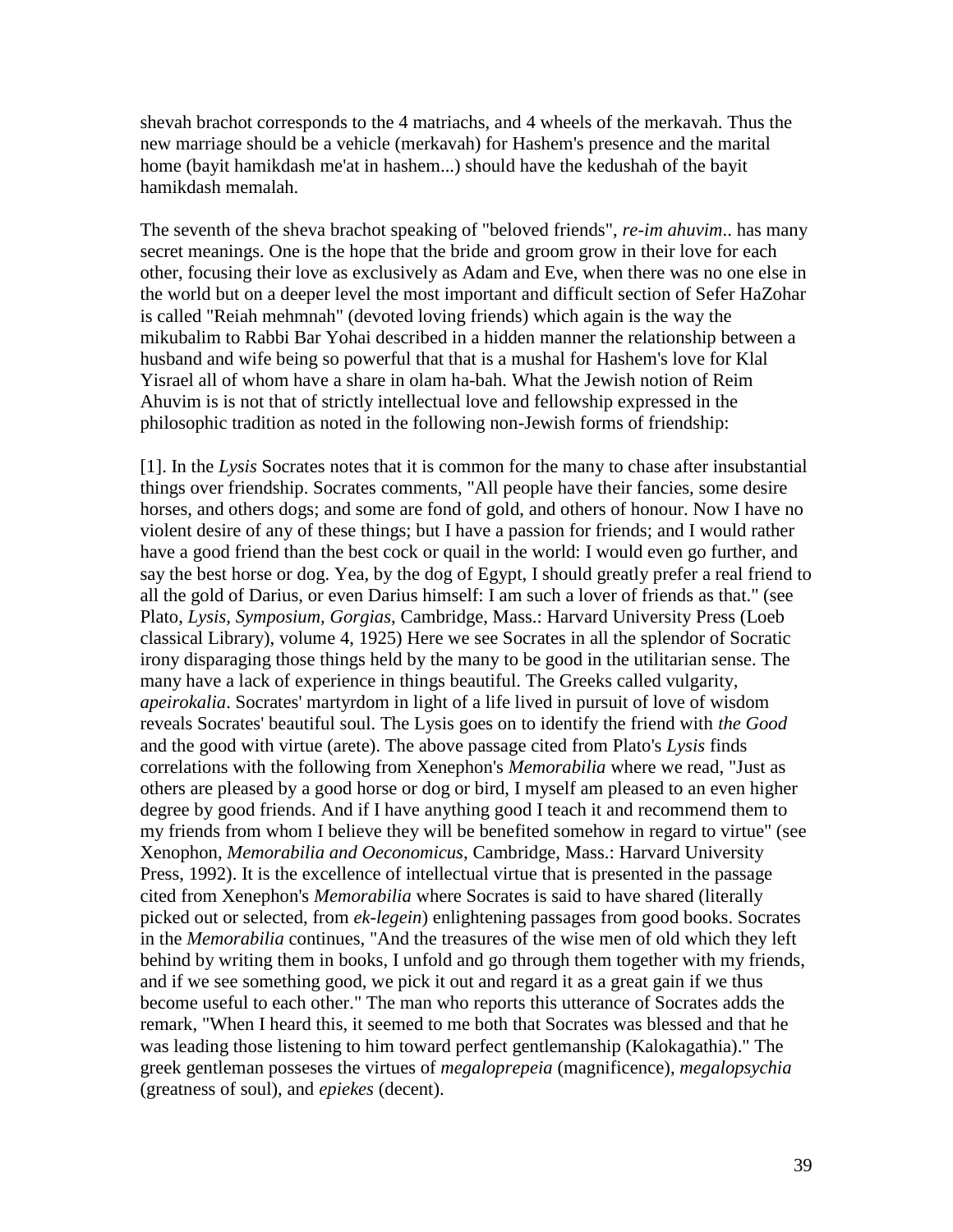shevah brachot corresponds to the 4 matriachs, and 4 wheels of the merkavah. Thus the new marriage should be a vehicle (merkavah) for Hashem's presence and the marital home (bayit hamikdash me'at in hashem...) should have the kedushah of the bayit hamikdash memalah.

The seventh of the sheva brachot speaking of "beloved friends", *re-im ahuvim*.. has many secret meanings. One is the hope that the bride and groom grow in their love for each other, focusing their love as exclusively as Adam and Eve, when there was no one else in the world but on a deeper level the most important and difficult section of Sefer HaZohar is called "Reiah mehmnah" (devoted loving friends) which again is the way the mikubalim to Rabbi Bar Yohai described in a hidden manner the relationship between a husband and wife being so powerful that that is a mushal for Hashem's love for Klal Yisrael all of whom have a share in olam ha-bah. What the Jewish notion of Reim Ahuvim is is not that of strictly intellectual love and fellowship expressed in the philosophic tradition as noted in the following non-Jewish forms of friendship:

[1]. In the *Lysis* Socrates notes that it is common for the many to chase after insubstantial things over friendship. Socrates comments, "All people have their fancies, some desire horses, and others dogs; and some are fond of gold, and others of honour. Now I have no violent desire of any of these things; but I have a passion for friends; and I would rather have a good friend than the best cock or quail in the world: I would even go further, and say the best horse or dog. Yea, by the dog of Egypt, I should greatly prefer a real friend to all the gold of Darius, or even Darius himself: I am such a lover of friends as that." (see Plato, *Lysis, Symposium, Gorgias*, Cambridge, Mass.: Harvard University Press (Loeb classical Library), volume 4, 1925) Here we see Socrates in all the splendor of Socratic irony disparaging those things held by the many to be good in the utilitarian sense. The many have a lack of experience in things beautiful. The Greeks called vulgarity, *apeirokalia*. Socrates' martyrdom in light of a life lived in pursuit of love of wisdom reveals Socrates' beautiful soul. The Lysis goes on to identify the friend with *the Good* and the good with virtue (arete). The above passage cited from Plato's *Lysis* finds correlations with the following from Xenephon's *Memorabilia* where we read, "Just as others are pleased by a good horse or dog or bird, I myself am pleased to an even higher degree by good friends. And if I have anything good I teach it and recommend them to my friends from whom I believe they will be benefited somehow in regard to virtue" (see Xenophon, *Memorabilia and Oeconomicus*, Cambridge, Mass.: Harvard University Press, 1992). It is the excellence of intellectual virtue that is presented in the passage cited from Xenephon's *Memorabilia* where Socrates is said to have shared (literally picked out or selected, from *ek-legein*) enlightening passages from good books. Socrates in the *Memorabilia* continues, "And the treasures of the wise men of old which they left behind by writing them in books, I unfold and go through them together with my friends, and if we see something good, we pick it out and regard it as a great gain if we thus become useful to each other." The man who reports this utterance of Socrates adds the remark, "When I heard this, it seemed to me both that Socrates was blessed and that he was leading those listening to him toward perfect gentlemanship (Kalokagathia)." The greek gentleman posseses the virtues of *megaloprepeia* (magnificence), *megalopsychia* (greatness of soul), and *epiekes* (decent).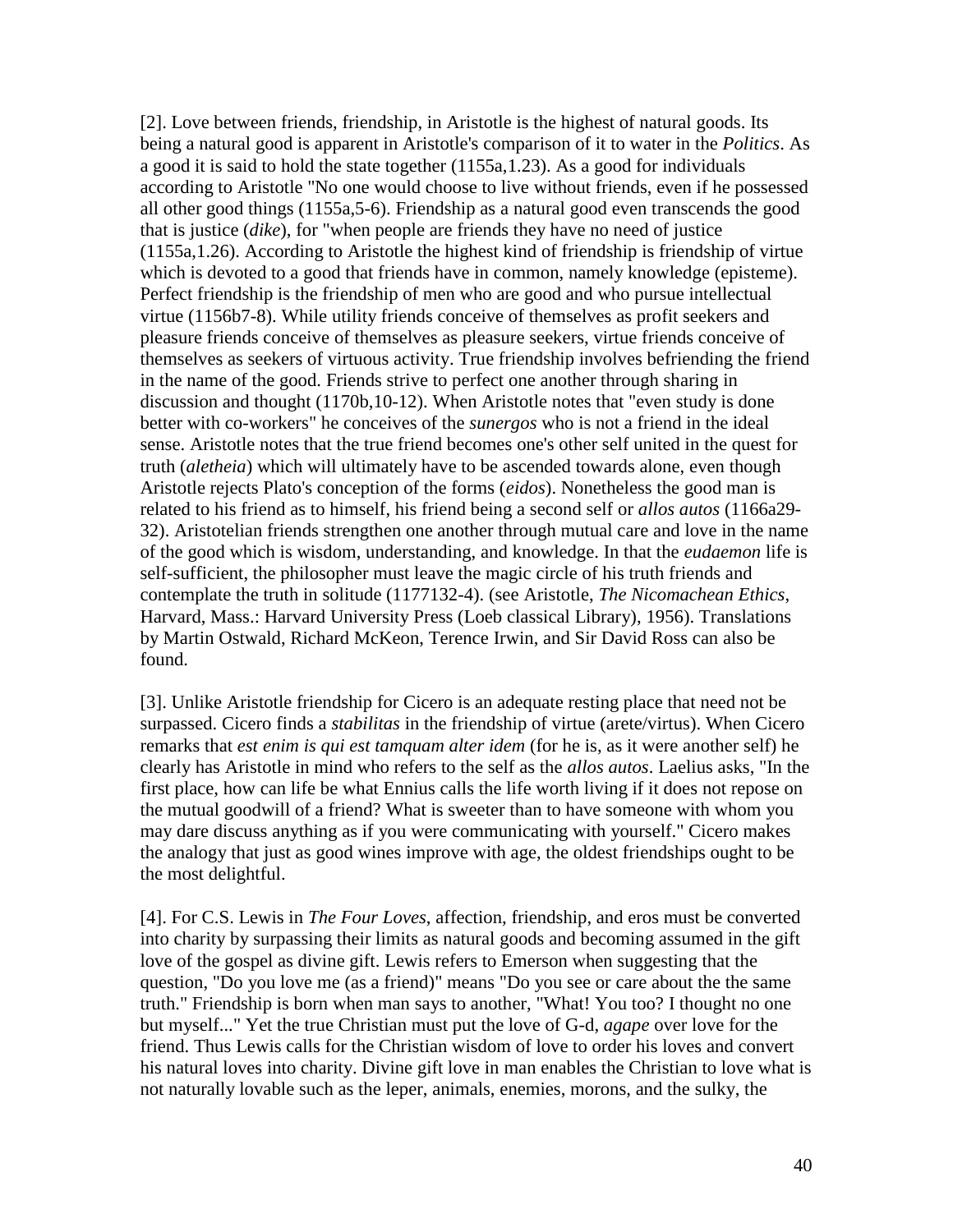[2]. Love between friends, friendship, in Aristotle is the highest of natural goods. Its being a natural good is apparent in Aristotle's comparison of it to water in the *Politics*. As a good it is said to hold the state together (1155a,1.23). As a good for individuals according to Aristotle "No one would choose to live without friends, even if he possessed all other good things (1155a,5-6). Friendship as a natural good even transcends the good that is justice (*dike*), for "when people are friends they have no need of justice (1155a,1.26). According to Aristotle the highest kind of friendship is friendship of virtue which is devoted to a good that friends have in common, namely knowledge (episteme). Perfect friendship is the friendship of men who are good and who pursue intellectual virtue (1156b7-8). While utility friends conceive of themselves as profit seekers and pleasure friends conceive of themselves as pleasure seekers, virtue friends conceive of themselves as seekers of virtuous activity. True friendship involves befriending the friend in the name of the good. Friends strive to perfect one another through sharing in discussion and thought (1170b,10-12). When Aristotle notes that "even study is done better with co-workers" he conceives of the *sunergos* who is not a friend in the ideal sense. Aristotle notes that the true friend becomes one's other self united in the quest for truth (*aletheia*) which will ultimately have to be ascended towards alone, even though Aristotle rejects Plato's conception of the forms (*eidos*). Nonetheless the good man is related to his friend as to himself, his friend being a second self or *allos autos* (1166a29- 32). Aristotelian friends strengthen one another through mutual care and love in the name of the good which is wisdom, understanding, and knowledge. In that the *eudaemon* life is self-sufficient, the philosopher must leave the magic circle of his truth friends and contemplate the truth in solitude (1177132-4). (see Aristotle, *The Nicomachean Ethics*, Harvard, Mass.: Harvard University Press (Loeb classical Library), 1956). Translations by Martin Ostwald, Richard McKeon, Terence Irwin, and Sir David Ross can also be found.

[3]. Unlike Aristotle friendship for Cicero is an adequate resting place that need not be surpassed. Cicero finds a *stabilitas* in the friendship of virtue (arete/virtus). When Cicero remarks that *est enim is qui est tamquam alter idem* (for he is, as it were another self) he clearly has Aristotle in mind who refers to the self as the *allos autos*. Laelius asks, "In the first place, how can life be what Ennius calls the life worth living if it does not repose on the mutual goodwill of a friend? What is sweeter than to have someone with whom you may dare discuss anything as if you were communicating with yourself." Cicero makes the analogy that just as good wines improve with age, the oldest friendships ought to be the most delightful.

[4]. For C.S. Lewis in *The Four Loves*, affection, friendship, and eros must be converted into charity by surpassing their limits as natural goods and becoming assumed in the gift love of the gospel as divine gift. Lewis refers to Emerson when suggesting that the question, "Do you love me (as a friend)" means "Do you see or care about the the same truth." Friendship is born when man says to another, "What! You too? I thought no one but myself..." Yet the true Christian must put the love of G-d, *agape* over love for the friend. Thus Lewis calls for the Christian wisdom of love to order his loves and convert his natural loves into charity. Divine gift love in man enables the Christian to love what is not naturally lovable such as the leper, animals, enemies, morons, and the sulky, the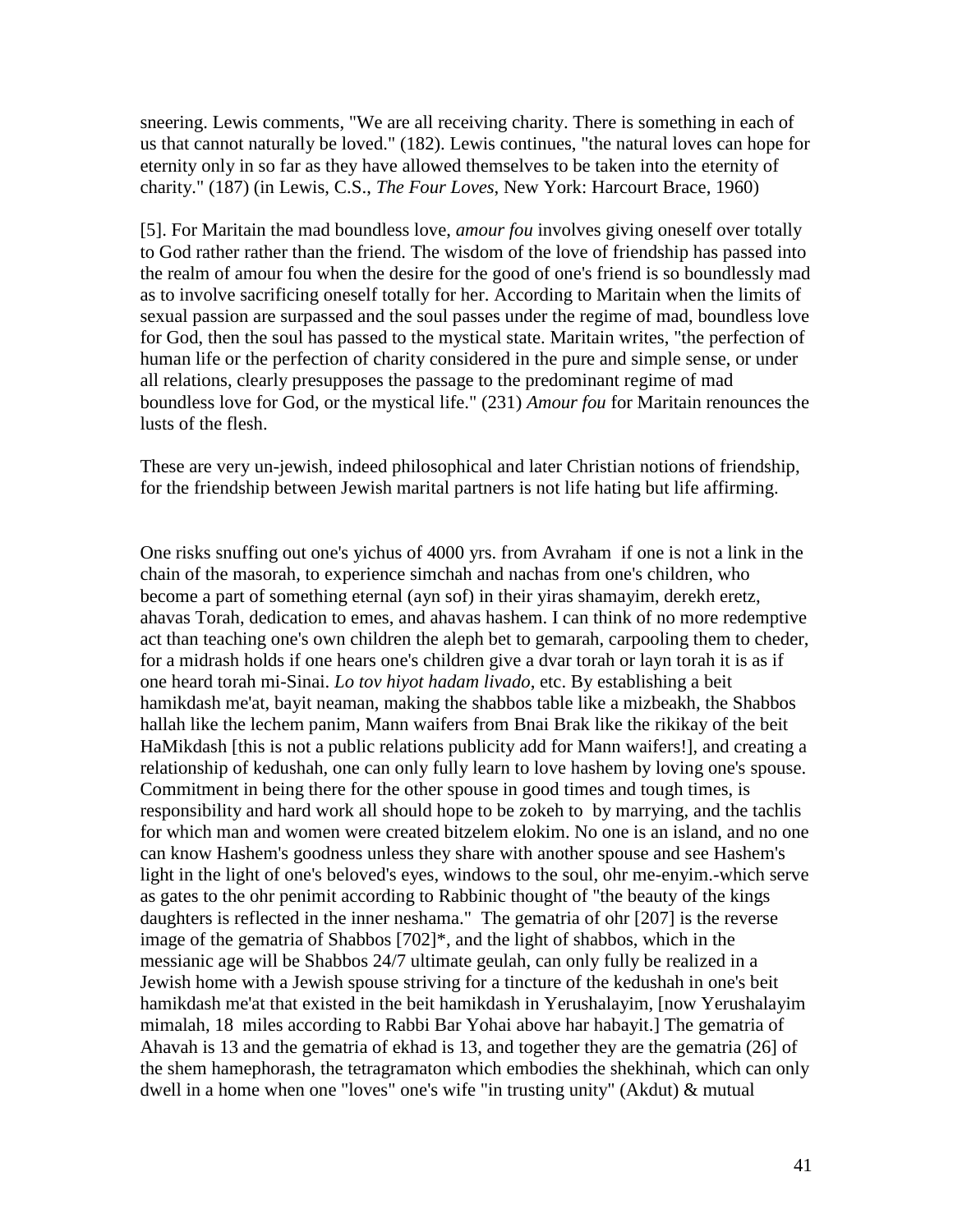sneering. Lewis comments, "We are all receiving charity. There is something in each of us that cannot naturally be loved." (182). Lewis continues, "the natural loves can hope for eternity only in so far as they have allowed themselves to be taken into the eternity of charity." (187) (in Lewis, C.S., *The Four Loves*, New York: Harcourt Brace, 1960)

[5]. For Maritain the mad boundless love, *amour fou* involves giving oneself over totally to God rather rather than the friend. The wisdom of the love of friendship has passed into the realm of amour fou when the desire for the good of one's friend is so boundlessly mad as to involve sacrificing oneself totally for her. According to Maritain when the limits of sexual passion are surpassed and the soul passes under the regime of mad, boundless love for God, then the soul has passed to the mystical state. Maritain writes, "the perfection of human life or the perfection of charity considered in the pure and simple sense, or under all relations, clearly presupposes the passage to the predominant regime of mad boundless love for God, or the mystical life." (231) *Amour fou* for Maritain renounces the lusts of the flesh.

These are very un-jewish, indeed philosophical and later Christian notions of friendship, for the friendship between Jewish marital partners is not life hating but life affirming.

One risks snuffing out one's yichus of 4000 yrs. from Avraham if one is not a link in the chain of the masorah, to experience simchah and nachas from one's children, who become a part of something eternal (ayn sof) in their yiras shamayim, derekh eretz, ahavas Torah, dedication to emes, and ahavas hashem. I can think of no more redemptive act than teaching one's own children the aleph bet to gemarah, carpooling them to cheder, for a midrash holds if one hears one's children give a dvar torah or layn torah it is as if one heard torah mi-Sinai. *Lo tov hiyot hadam livado*, etc. By establishing a beit hamikdash me'at, bayit neaman, making the shabbos table like a mizbeakh, the Shabbos hallah like the lechem panim, Mann waifers from Bnai Brak like the rikikay of the beit HaMikdash [this is not a public relations publicity add for Mann waifers!], and creating a relationship of kedushah, one can only fully learn to love hashem by loving one's spouse. Commitment in being there for the other spouse in good times and tough times, is responsibility and hard work all should hope to be zokeh to by marrying, and the tachlis for which man and women were created bitzelem elokim. No one is an island, and no one can know Hashem's goodness unless they share with another spouse and see Hashem's light in the light of one's beloved's eyes, windows to the soul, ohr me-enyim.-which serve as gates to the ohr penimit according to Rabbinic thought of "the beauty of the kings daughters is reflected in the inner neshama." The gematria of ohr [207] is the reverse image of the gematria of Shabbos [702]\*, and the light of shabbos, which in the messianic age will be Shabbos 24/7 ultimate geulah, can only fully be realized in a Jewish home with a Jewish spouse striving for a tincture of the kedushah in one's beit hamikdash me'at that existed in the beit hamikdash in Yerushalayim, [now Yerushalayim mimalah, 18 miles according to Rabbi Bar Yohai above har habayit.] The gematria of Ahavah is 13 and the gematria of ekhad is 13, and together they are the gematria (26] of the shem hamephorash, the tetragramaton which embodies the shekhinah, which can only dwell in a home when one "loves" one's wife "in trusting unity" (Akdut) & mutual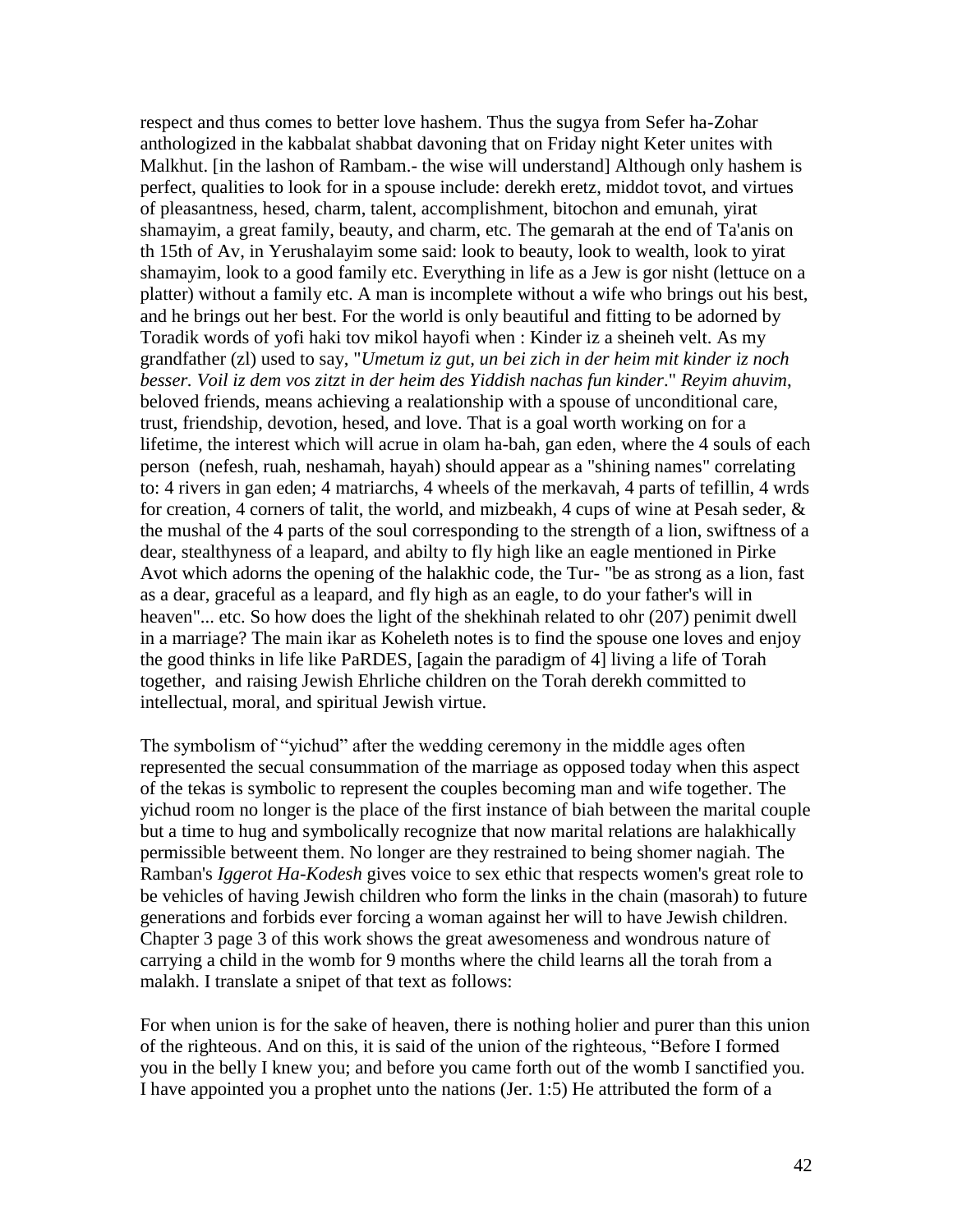respect and thus comes to better love hashem. Thus the sugya from Sefer ha-Zohar anthologized in the kabbalat shabbat davoning that on Friday night Keter unites with Malkhut. [in the lashon of Rambam.- the wise will understand] Although only hashem is perfect, qualities to look for in a spouse include: derekh eretz, middot tovot, and virtues of pleasantness, hesed, charm, talent, accomplishment, bitochon and emunah, yirat shamayim, a great family, beauty, and charm, etc. The gemarah at the end of Ta'anis on th 15th of Av, in Yerushalayim some said: look to beauty, look to wealth, look to yirat shamayim, look to a good family etc. Everything in life as a Jew is gor nisht (lettuce on a platter) without a family etc. A man is incomplete without a wife who brings out his best, and he brings out her best. For the world is only beautiful and fitting to be adorned by Toradik words of yofi haki tov mikol hayofi when : Kinder iz a sheineh velt. As my grandfather (zl) used to say, "*Umetum iz gut, un bei zich in der heim mit kinder iz noch besser. Voil iz dem vos zitzt in der heim des Yiddish nachas fun kinder*." *Reyim ahuvim*, beloved friends, means achieving a realationship with a spouse of unconditional care, trust, friendship, devotion, hesed, and love. That is a goal worth working on for a lifetime, the interest which will acrue in olam ha-bah, gan eden, where the 4 souls of each person (nefesh, ruah, neshamah, hayah) should appear as a "shining names" correlating to: 4 rivers in gan eden; 4 matriarchs, 4 wheels of the merkavah, 4 parts of tefillin, 4 wrds for creation, 4 corners of talit, the world, and mizbeakh, 4 cups of wine at Pesah seder, & the mushal of the 4 parts of the soul corresponding to the strength of a lion, swiftness of a dear, stealthyness of a leapard, and abilty to fly high like an eagle mentioned in Pirke Avot which adorns the opening of the halakhic code, the Tur- "be as strong as a lion, fast as a dear, graceful as a leapard, and fly high as an eagle, to do your father's will in heaven"... etc. So how does the light of the shekhinah related to ohr (207) penimit dwell in a marriage? The main ikar as Koheleth notes is to find the spouse one loves and enjoy the good thinks in life like PaRDES, [again the paradigm of 4] living a life of Torah together, and raising Jewish Ehrliche children on the Torah derekh committed to intellectual, moral, and spiritual Jewish virtue.

The symbolism of "yichud" after the wedding ceremony in the middle ages often represented the secual consummation of the marriage as opposed today when this aspect of the tekas is symbolic to represent the couples becoming man and wife together. The yichud room no longer is the place of the first instance of biah between the marital couple but a time to hug and symbolically recognize that now marital relations are halakhically permissible betweent them. No longer are they restrained to being shomer nagiah. The Ramban's *Iggerot Ha-Kodesh* gives voice to sex ethic that respects women's great role to be vehicles of having Jewish children who form the links in the chain (masorah) to future generations and forbids ever forcing a woman against her will to have Jewish children. Chapter 3 page 3 of this work shows the great awesomeness and wondrous nature of carrying a child in the womb for 9 months where the child learns all the torah from a malakh. I translate a snipet of that text as follows:

For when union is for the sake of heaven, there is nothing holier and purer than this union of the righteous. And on this, it is said of the union of the righteous, "Before I formed you in the belly I knew you; and before you came forth out of the womb I sanctified you. I have appointed you a prophet unto the nations (Jer. 1:5) He attributed the form of a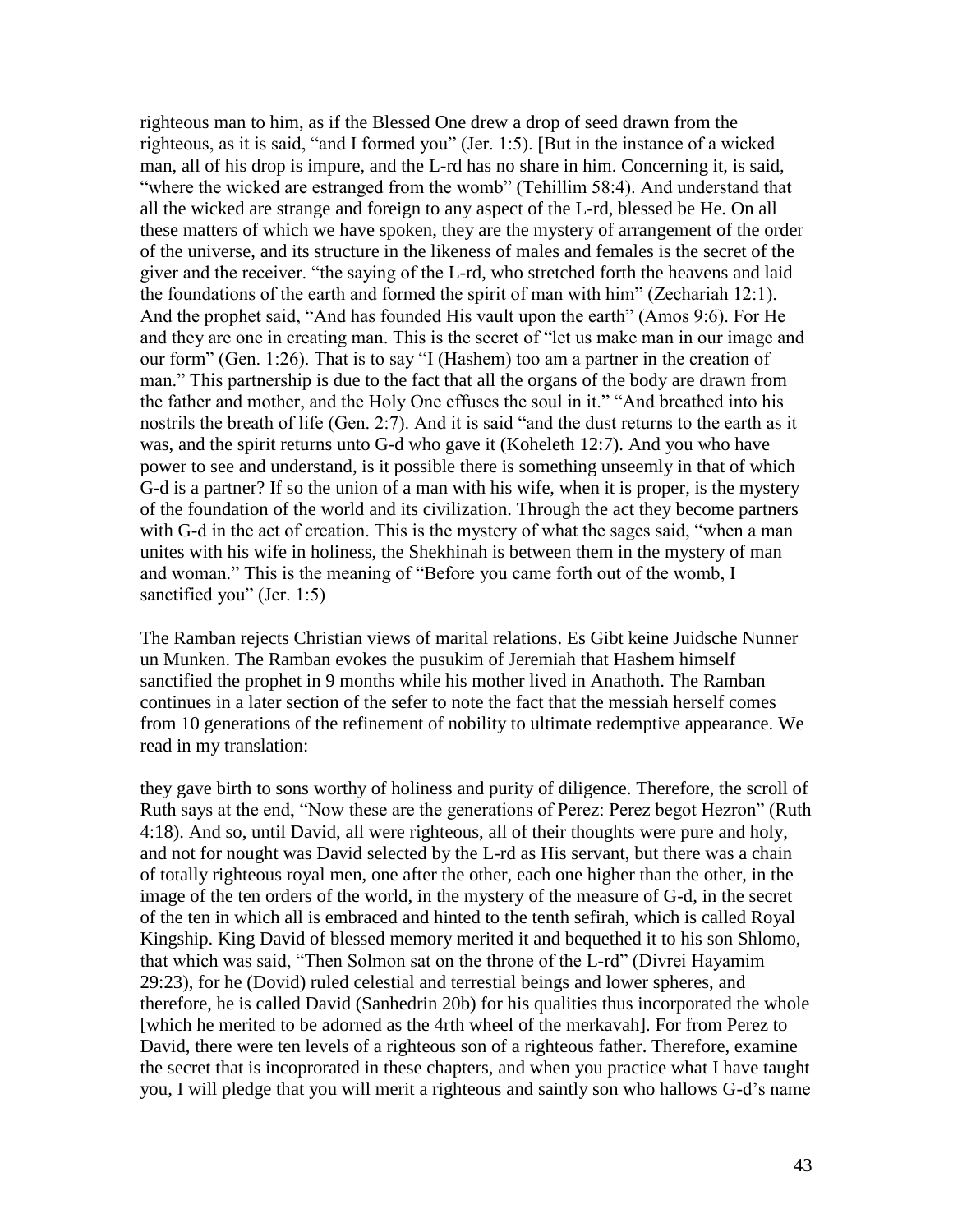righteous man to him, as if the Blessed One drew a drop of seed drawn from the righteous, as it is said, "and I formed you" (Jer. 1:5). [But in the instance of a wicked man, all of his drop is impure, and the L-rd has no share in him. Concerning it, is said, "where the wicked are estranged from the womb" (Tehillim 58:4). And understand that all the wicked are strange and foreign to any aspect of the L-rd, blessed be He. On all these matters of which we have spoken, they are the mystery of arrangement of the order of the universe, and its structure in the likeness of males and females is the secret of the giver and the receiver. "the saying of the L-rd, who stretched forth the heavens and laid the foundations of the earth and formed the spirit of man with him" (Zechariah 12:1). And the prophet said, "And has founded His vault upon the earth" (Amos 9:6). For He and they are one in creating man. This is the secret of "let us make man in our image and our form" (Gen. 1:26). That is to say "I (Hashem) too am a partner in the creation of man." This partnership is due to the fact that all the organs of the body are drawn from the father and mother, and the Holy One effuses the soul in it." "And breathed into his nostrils the breath of life (Gen. 2:7). And it is said "and the dust returns to the earth as it was, and the spirit returns unto G-d who gave it (Koheleth 12:7). And you who have power to see and understand, is it possible there is something unseemly in that of which G-d is a partner? If so the union of a man with his wife, when it is proper, is the mystery of the foundation of the world and its civilization. Through the act they become partners with G-d in the act of creation. This is the mystery of what the sages said, "when a man unites with his wife in holiness, the Shekhinah is between them in the mystery of man and woman." This is the meaning of "Before you came forth out of the womb, I sanctified you" (Jer. 1:5)

The Ramban rejects Christian views of marital relations. Es Gibt keine Juidsche Nunner un Munken. The Ramban evokes the pusukim of Jeremiah that Hashem himself sanctified the prophet in 9 months while his mother lived in Anathoth. The Ramban continues in a later section of the sefer to note the fact that the messiah herself comes from 10 generations of the refinement of nobility to ultimate redemptive appearance. We read in my translation:

they gave birth to sons worthy of holiness and purity of diligence. Therefore, the scroll of Ruth says at the end, "Now these are the generations of Perez: Perez begot Hezron" (Ruth 4:18). And so, until David, all were righteous, all of their thoughts were pure and holy, and not for nought was David selected by the L-rd as His servant, but there was a chain of totally righteous royal men, one after the other, each one higher than the other, in the image of the ten orders of the world, in the mystery of the measure of G-d, in the secret of the ten in which all is embraced and hinted to the tenth sefirah, which is called Royal Kingship. King David of blessed memory merited it and bequethed it to his son Shlomo, that which was said, "Then Solmon sat on the throne of the L-rd" (Divrei Hayamim 29:23), for he (Dovid) ruled celestial and terrestial beings and lower spheres, and therefore, he is called David (Sanhedrin 20b) for his qualities thus incorporated the whole [which he merited to be adorned as the 4rth wheel of the merkavah]. For from Perez to David, there were ten levels of a righteous son of a righteous father. Therefore, examine the secret that is incoprorated in these chapters, and when you practice what I have taught you, I will pledge that you will merit a righteous and saintly son who hallows G-d"s name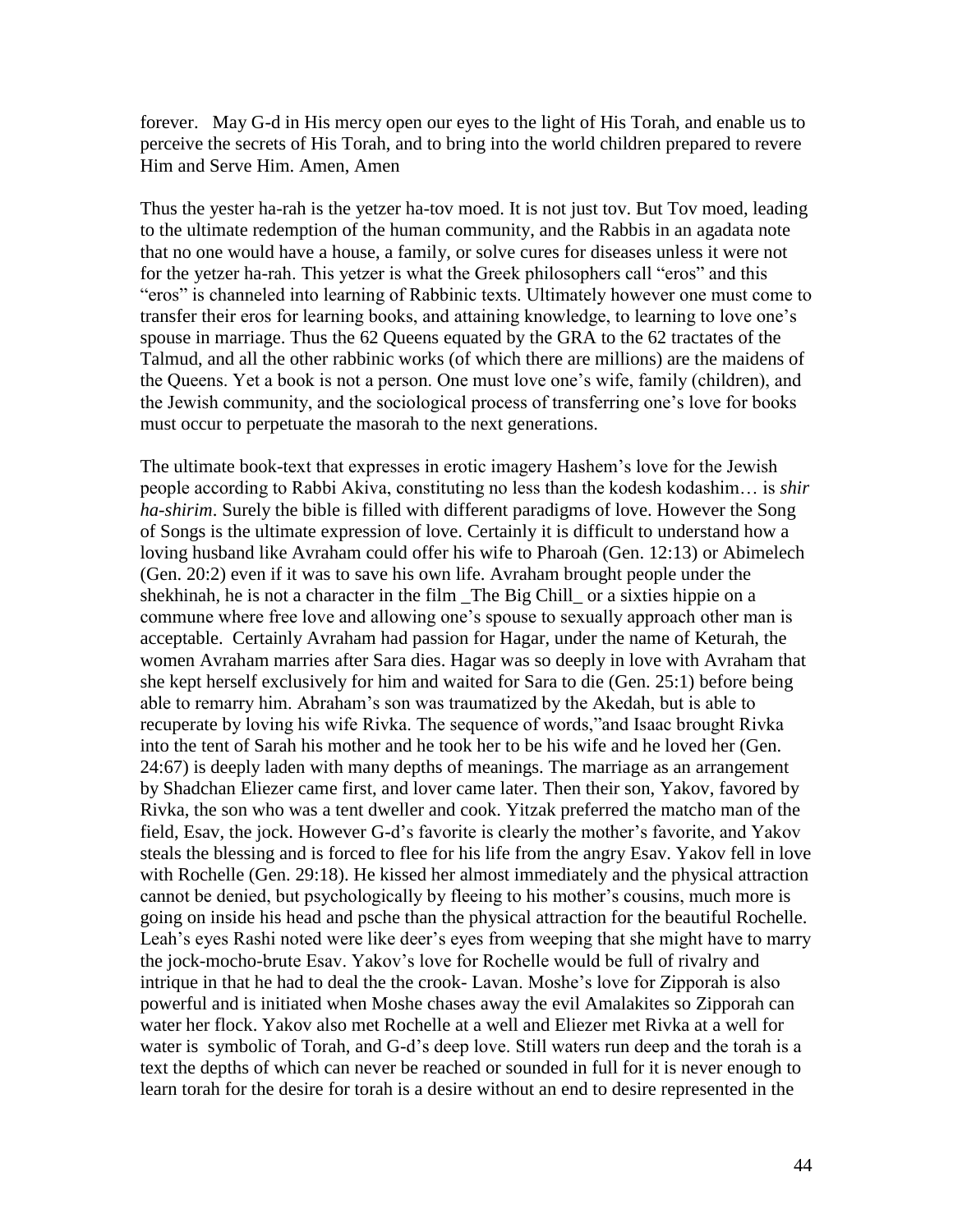forever. May G-d in His mercy open our eyes to the light of His Torah, and enable us to perceive the secrets of His Torah, and to bring into the world children prepared to revere Him and Serve Him. Amen, Amen

Thus the yester ha-rah is the yetzer ha-tov moed. It is not just tov. But Tov moed, leading to the ultimate redemption of the human community, and the Rabbis in an agadata note that no one would have a house, a family, or solve cures for diseases unless it were not for the yetzer ha-rah. This yetzer is what the Greek philosophers call "eros" and this "eros" is channeled into learning of Rabbinic texts. Ultimately however one must come to transfer their eros for learning books, and attaining knowledge, to learning to love one"s spouse in marriage. Thus the 62 Queens equated by the GRA to the 62 tractates of the Talmud, and all the other rabbinic works (of which there are millions) are the maidens of the Queens. Yet a book is not a person. One must love one"s wife, family (children), and the Jewish community, and the sociological process of transferring one"s love for books must occur to perpetuate the masorah to the next generations.

The ultimate book-text that expresses in erotic imagery Hashem"s love for the Jewish people according to Rabbi Akiva, constituting no less than the kodesh kodashim… is *shir ha-shirim*. Surely the bible is filled with different paradigms of love. However the Song of Songs is the ultimate expression of love. Certainly it is difficult to understand how a loving husband like Avraham could offer his wife to Pharoah (Gen. 12:13) or Abimelech (Gen. 20:2) even if it was to save his own life. Avraham brought people under the shekhinah, he is not a character in the film \_The Big Chill\_ or a sixties hippie on a commune where free love and allowing one"s spouse to sexually approach other man is acceptable. Certainly Avraham had passion for Hagar, under the name of Keturah, the women Avraham marries after Sara dies. Hagar was so deeply in love with Avraham that she kept herself exclusively for him and waited for Sara to die (Gen. 25:1) before being able to remarry him. Abraham"s son was traumatized by the Akedah, but is able to recuperate by loving his wife Rivka. The sequence of words,"and Isaac brought Rivka into the tent of Sarah his mother and he took her to be his wife and he loved her (Gen. 24:67) is deeply laden with many depths of meanings. The marriage as an arrangement by Shadchan Eliezer came first, and lover came later. Then their son, Yakov, favored by Rivka, the son who was a tent dweller and cook. Yitzak preferred the matcho man of the field, Esav, the jock. However G-d"s favorite is clearly the mother"s favorite, and Yakov steals the blessing and is forced to flee for his life from the angry Esav. Yakov fell in love with Rochelle (Gen. 29:18). He kissed her almost immediately and the physical attraction cannot be denied, but psychologically by fleeing to his mother"s cousins, much more is going on inside his head and psche than the physical attraction for the beautiful Rochelle. Leah's eyes Rashi noted were like deer's eyes from weeping that she might have to marry the jock-mocho-brute Esav. Yakov"s love for Rochelle would be full of rivalry and intrique in that he had to deal the the crook- Lavan. Moshe's love for Zipporah is also powerful and is initiated when Moshe chases away the evil Amalakites so Zipporah can water her flock. Yakov also met Rochelle at a well and Eliezer met Rivka at a well for water is symbolic of Torah, and G-d"s deep love. Still waters run deep and the torah is a text the depths of which can never be reached or sounded in full for it is never enough to learn torah for the desire for torah is a desire without an end to desire represented in the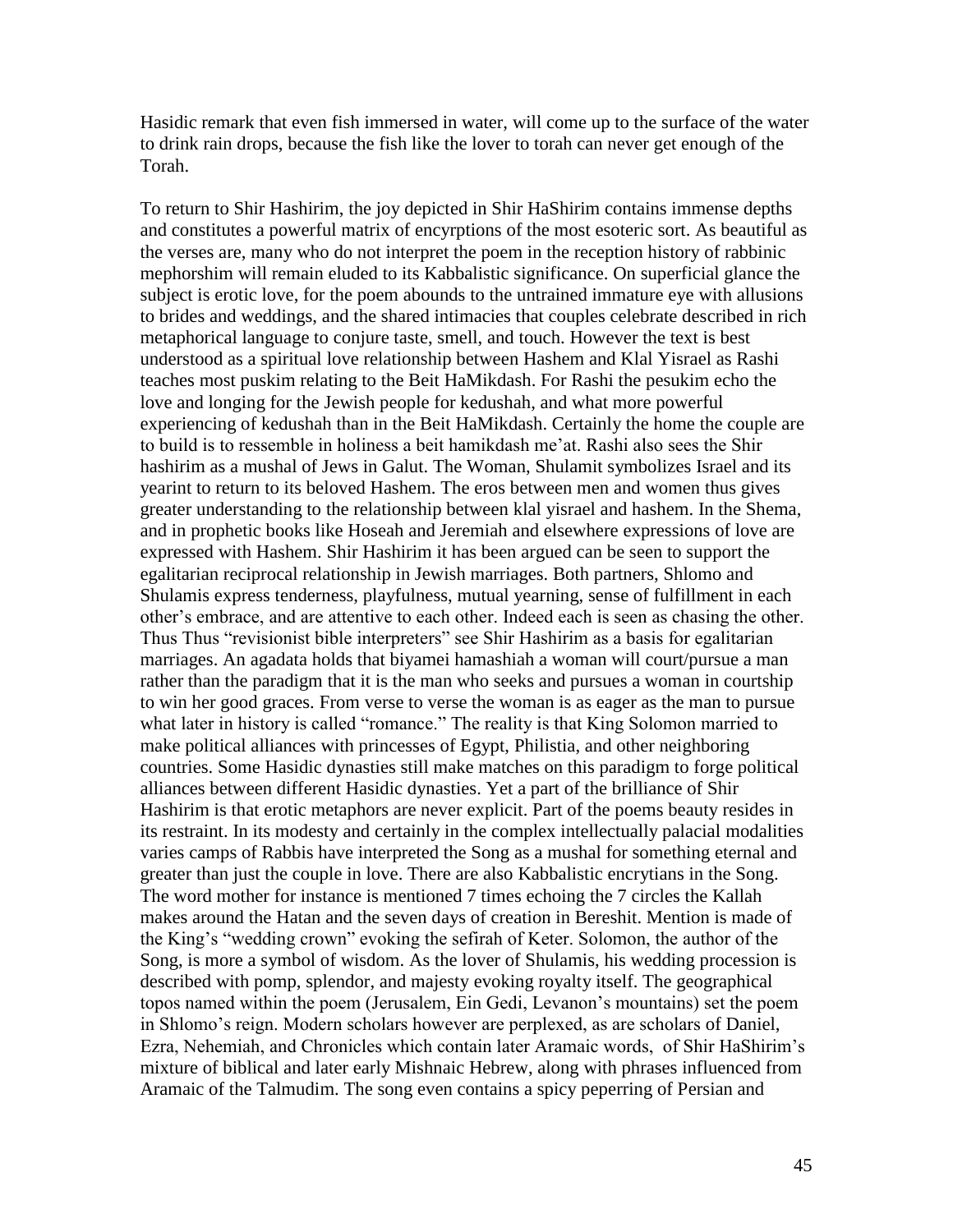Hasidic remark that even fish immersed in water, will come up to the surface of the water to drink rain drops, because the fish like the lover to torah can never get enough of the Torah.

To return to Shir Hashirim, the joy depicted in Shir HaShirim contains immense depths and constitutes a powerful matrix of encyrptions of the most esoteric sort. As beautiful as the verses are, many who do not interpret the poem in the reception history of rabbinic mephorshim will remain eluded to its Kabbalistic significance. On superficial glance the subject is erotic love, for the poem abounds to the untrained immature eye with allusions to brides and weddings, and the shared intimacies that couples celebrate described in rich metaphorical language to conjure taste, smell, and touch. However the text is best understood as a spiritual love relationship between Hashem and Klal Yisrael as Rashi teaches most puskim relating to the Beit HaMikdash. For Rashi the pesukim echo the love and longing for the Jewish people for kedushah, and what more powerful experiencing of kedushah than in the Beit HaMikdash. Certainly the home the couple are to build is to ressemble in holiness a beit hamikdash me"at. Rashi also sees the Shir hashirim as a mushal of Jews in Galut. The Woman, Shulamit symbolizes Israel and its yearint to return to its beloved Hashem. The eros between men and women thus gives greater understanding to the relationship between klal yisrael and hashem. In the Shema, and in prophetic books like Hoseah and Jeremiah and elsewhere expressions of love are expressed with Hashem. Shir Hashirim it has been argued can be seen to support the egalitarian reciprocal relationship in Jewish marriages. Both partners, Shlomo and Shulamis express tenderness, playfulness, mutual yearning, sense of fulfillment in each other"s embrace, and are attentive to each other. Indeed each is seen as chasing the other. Thus Thus "revisionist bible interpreters" see Shir Hashirim as a basis for egalitarian marriages. An agadata holds that biyamei hamashiah a woman will court/pursue a man rather than the paradigm that it is the man who seeks and pursues a woman in courtship to win her good graces. From verse to verse the woman is as eager as the man to pursue what later in history is called "romance." The reality is that King Solomon married to make political alliances with princesses of Egypt, Philistia, and other neighboring countries. Some Hasidic dynasties still make matches on this paradigm to forge political alliances between different Hasidic dynasties. Yet a part of the brilliance of Shir Hashirim is that erotic metaphors are never explicit. Part of the poems beauty resides in its restraint. In its modesty and certainly in the complex intellectually palacial modalities varies camps of Rabbis have interpreted the Song as a mushal for something eternal and greater than just the couple in love. There are also Kabbalistic encrytians in the Song. The word mother for instance is mentioned 7 times echoing the 7 circles the Kallah makes around the Hatan and the seven days of creation in Bereshit. Mention is made of the King"s "wedding crown" evoking the sefirah of Keter. Solomon, the author of the Song, is more a symbol of wisdom. As the lover of Shulamis, his wedding procession is described with pomp, splendor, and majesty evoking royalty itself. The geographical topos named within the poem (Jerusalem, Ein Gedi, Levanon"s mountains) set the poem in Shlomo"s reign. Modern scholars however are perplexed, as are scholars of Daniel, Ezra, Nehemiah, and Chronicles which contain later Aramaic words, of Shir HaShirim"s mixture of biblical and later early Mishnaic Hebrew, along with phrases influenced from Aramaic of the Talmudim. The song even contains a spicy peperring of Persian and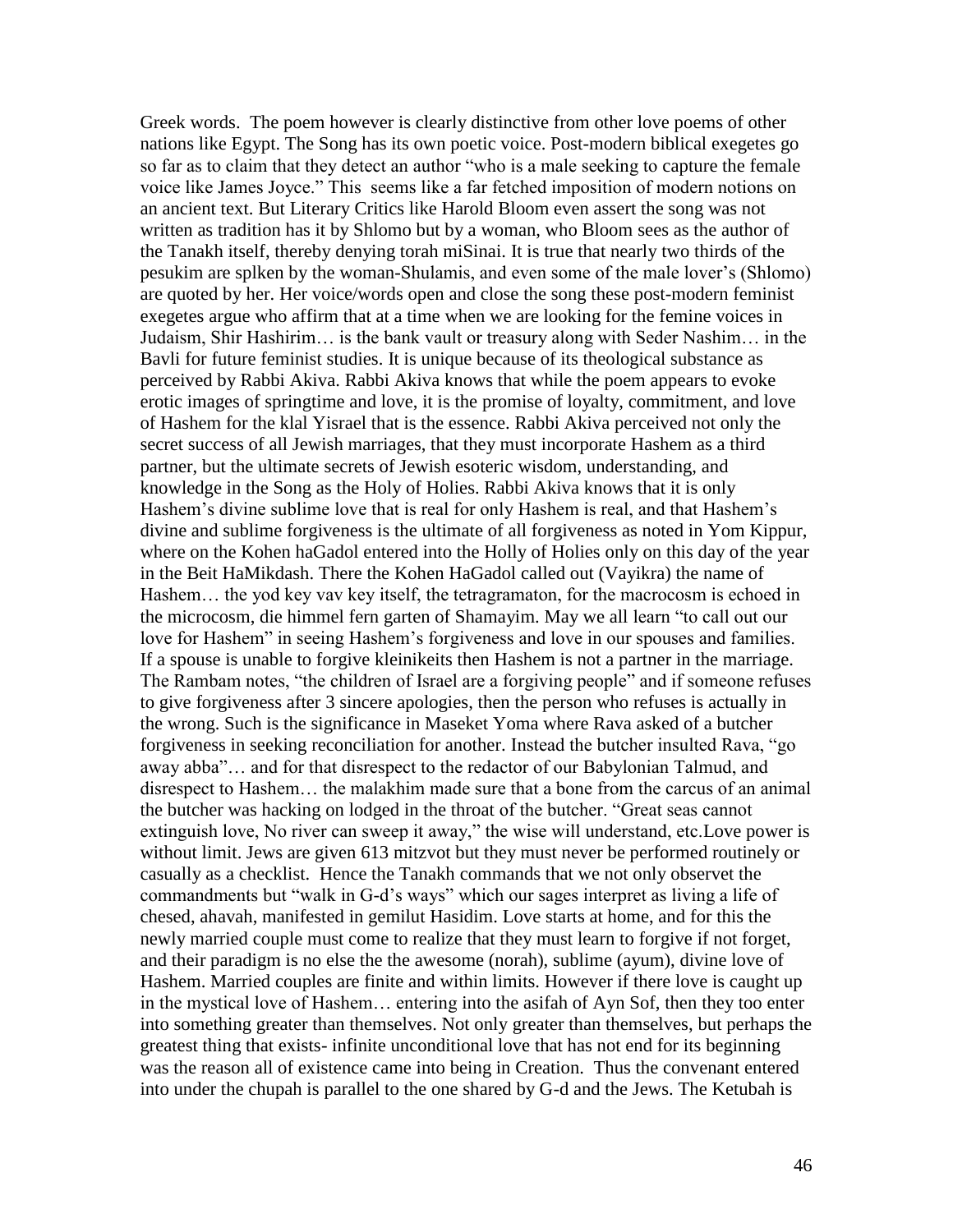Greek words. The poem however is clearly distinctive from other love poems of other nations like Egypt. The Song has its own poetic voice. Post-modern biblical exegetes go so far as to claim that they detect an author "who is a male seeking to capture the female voice like James Joyce." This seems like a far fetched imposition of modern notions on an ancient text. But Literary Critics like Harold Bloom even assert the song was not written as tradition has it by Shlomo but by a woman, who Bloom sees as the author of the Tanakh itself, thereby denying torah miSinai. It is true that nearly two thirds of the pesukim are splken by the woman-Shulamis, and even some of the male lover"s (Shlomo) are quoted by her. Her voice/words open and close the song these post-modern feminist exegetes argue who affirm that at a time when we are looking for the femine voices in Judaism, Shir Hashirim… is the bank vault or treasury along with Seder Nashim… in the Bavli for future feminist studies. It is unique because of its theological substance as perceived by Rabbi Akiva. Rabbi Akiva knows that while the poem appears to evoke erotic images of springtime and love, it is the promise of loyalty, commitment, and love of Hashem for the klal Yisrael that is the essence. Rabbi Akiva perceived not only the secret success of all Jewish marriages, that they must incorporate Hashem as a third partner, but the ultimate secrets of Jewish esoteric wisdom, understanding, and knowledge in the Song as the Holy of Holies. Rabbi Akiva knows that it is only Hashem"s divine sublime love that is real for only Hashem is real, and that Hashem"s divine and sublime forgiveness is the ultimate of all forgiveness as noted in Yom Kippur, where on the Kohen haGadol entered into the Holly of Holies only on this day of the year in the Beit HaMikdash. There the Kohen HaGadol called out (Vayikra) the name of Hashem... the yod key vav key itself, the tetragramaton, for the macrocosm is echoed in the microcosm, die himmel fern garten of Shamayim. May we all learn "to call out our love for Hashem" in seeing Hashem"s forgiveness and love in our spouses and families. If a spouse is unable to forgive kleinikeits then Hashem is not a partner in the marriage. The Rambam notes, "the children of Israel are a forgiving people" and if someone refuses to give forgiveness after 3 sincere apologies, then the person who refuses is actually in the wrong. Such is the significance in Maseket Yoma where Rava asked of a butcher forgiveness in seeking reconciliation for another. Instead the butcher insulted Rava, "go away abba"… and for that disrespect to the redactor of our Babylonian Talmud, and disrespect to Hashem… the malakhim made sure that a bone from the carcus of an animal the butcher was hacking on lodged in the throat of the butcher. "Great seas cannot extinguish love, No river can sweep it away," the wise will understand, etc.Love power is without limit. Jews are given 613 mitzvot but they must never be performed routinely or casually as a checklist. Hence the Tanakh commands that we not only observet the commandments but "walk in G-d"s ways" which our sages interpret as living a life of chesed, ahavah, manifested in gemilut Hasidim. Love starts at home, and for this the newly married couple must come to realize that they must learn to forgive if not forget, and their paradigm is no else the the awesome (norah), sublime (ayum), divine love of Hashem. Married couples are finite and within limits. However if there love is caught up in the mystical love of Hashem… entering into the asifah of Ayn Sof, then they too enter into something greater than themselves. Not only greater than themselves, but perhaps the greatest thing that exists- infinite unconditional love that has not end for its beginning was the reason all of existence came into being in Creation. Thus the convenant entered into under the chupah is parallel to the one shared by G-d and the Jews. The Ketubah is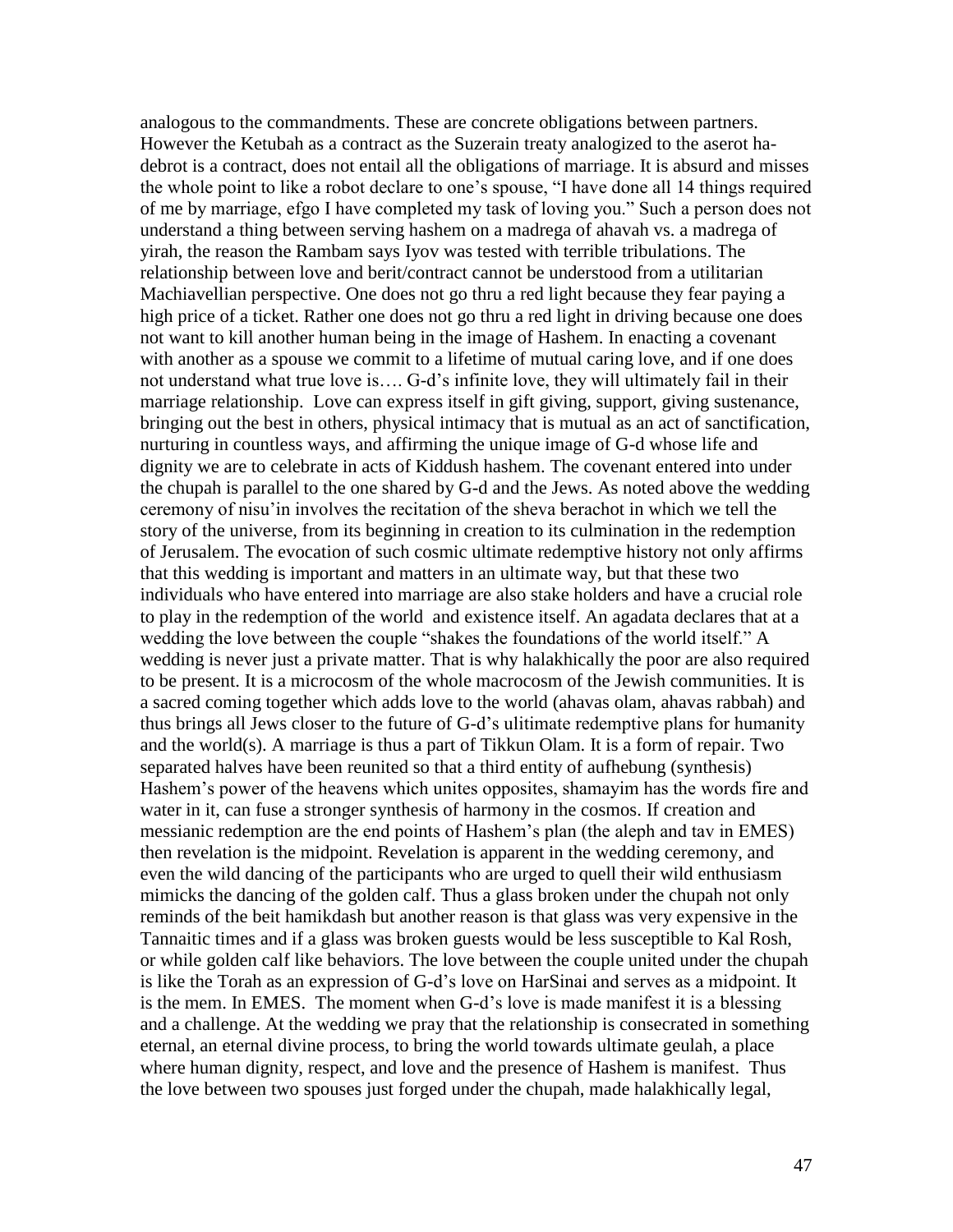analogous to the commandments. These are concrete obligations between partners. However the Ketubah as a contract as the Suzerain treaty analogized to the aserot hadebrot is a contract, does not entail all the obligations of marriage. It is absurd and misses the whole point to like a robot declare to one"s spouse, "I have done all 14 things required of me by marriage, efgo I have completed my task of loving you." Such a person does not understand a thing between serving hashem on a madrega of ahavah vs. a madrega of yirah, the reason the Rambam says Iyov was tested with terrible tribulations. The relationship between love and berit/contract cannot be understood from a utilitarian Machiavellian perspective. One does not go thru a red light because they fear paying a high price of a ticket. Rather one does not go thru a red light in driving because one does not want to kill another human being in the image of Hashem. In enacting a covenant with another as a spouse we commit to a lifetime of mutual caring love, and if one does not understand what true love is…. G-d"s infinite love, they will ultimately fail in their marriage relationship. Love can express itself in gift giving, support, giving sustenance, bringing out the best in others, physical intimacy that is mutual as an act of sanctification, nurturing in countless ways, and affirming the unique image of G-d whose life and dignity we are to celebrate in acts of Kiddush hashem. The covenant entered into under the chupah is parallel to the one shared by G-d and the Jews. As noted above the wedding ceremony of nisu"in involves the recitation of the sheva berachot in which we tell the story of the universe, from its beginning in creation to its culmination in the redemption of Jerusalem. The evocation of such cosmic ultimate redemptive history not only affirms that this wedding is important and matters in an ultimate way, but that these two individuals who have entered into marriage are also stake holders and have a crucial role to play in the redemption of the world and existence itself. An agadata declares that at a wedding the love between the couple "shakes the foundations of the world itself." A wedding is never just a private matter. That is why halakhically the poor are also required to be present. It is a microcosm of the whole macrocosm of the Jewish communities. It is a sacred coming together which adds love to the world (ahavas olam, ahavas rabbah) and thus brings all Jews closer to the future of G-d"s ulitimate redemptive plans for humanity and the world(s). A marriage is thus a part of Tikkun Olam. It is a form of repair. Two separated halves have been reunited so that a third entity of aufhebung (synthesis) Hashem"s power of the heavens which unites opposites, shamayim has the words fire and water in it, can fuse a stronger synthesis of harmony in the cosmos. If creation and messianic redemption are the end points of Hashem"s plan (the aleph and tav in EMES) then revelation is the midpoint. Revelation is apparent in the wedding ceremony, and even the wild dancing of the participants who are urged to quell their wild enthusiasm mimicks the dancing of the golden calf. Thus a glass broken under the chupah not only reminds of the beit hamikdash but another reason is that glass was very expensive in the Tannaitic times and if a glass was broken guests would be less susceptible to Kal Rosh, or while golden calf like behaviors. The love between the couple united under the chupah is like the Torah as an expression of G-d"s love on HarSinai and serves as a midpoint. It is the mem. In EMES. The moment when G-d"s love is made manifest it is a blessing and a challenge. At the wedding we pray that the relationship is consecrated in something eternal, an eternal divine process, to bring the world towards ultimate geulah, a place where human dignity, respect, and love and the presence of Hashem is manifest. Thus the love between two spouses just forged under the chupah, made halakhically legal,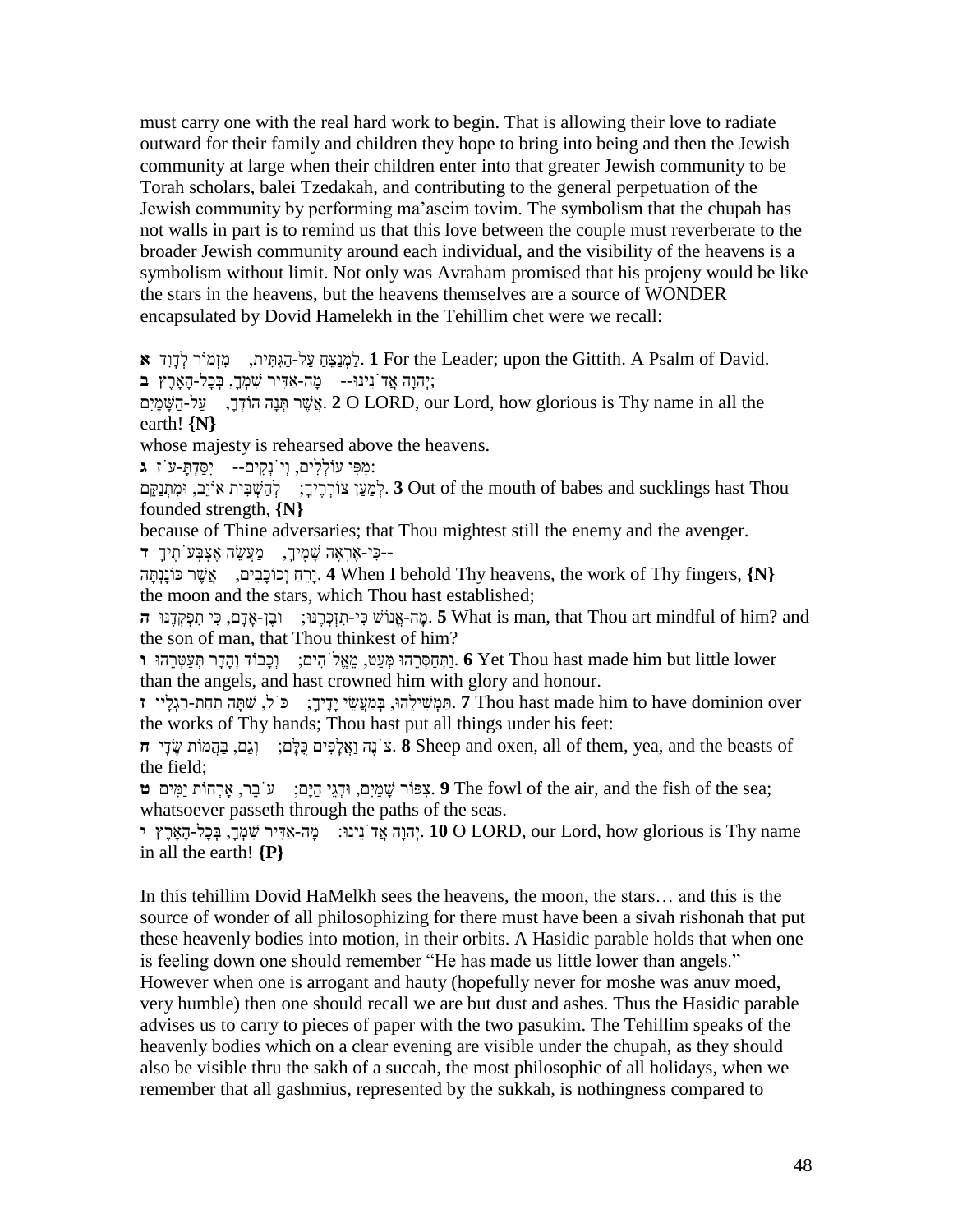must carry one with the real hard work to begin. That is allowing their love to radiate outward for their family and children they hope to bring into being and then the Jewish community at large when their children enter into that greater Jewish community to be Torah scholars, balei Tzedakah, and contributing to the general perpetuation of the Jewish community by performing ma"aseim tovim. The symbolism that the chupah has not walls in part is to remind us that this love between the couple must reverberate to the broader Jewish community around each individual, and the visibility of the heavens is a symbolism without limit. Not only was Avraham promised that his projeny would be like the stars in the heavens, but the heavens themselves are a source of WONDER encapsulated by Dovid Hamelekh in the Tehillim chet were we recall:

.David of Psalm A .Gittith the upon; Leader the For **1** .לַּמְנַּצֵּחַּ עַּל-הַּגִּתִית, מִזְמֹור לְדָּוִד **א** ;יְהוָּה אֲדֹּנֵּינו-- מָּהַ-אדִיר ׁשִ מְךָּ , בְכָּל-הָָּארֶּץ **ב**

עֲל<sub>ו</sub>ּהַ הוֹדְךָ, עַל-הַשֶּׁמָיִם (2 O LORD, our Lord, how glorious is Thy name in all the earth! **{N}**

whose majesty is rehearsed above the heavens.

:מִפִי עֹולְלִים, וְיֹּנְקִים-- יִסַּדְּתָּ -עֹּז **ג**

 Thou hast sucklings and babes of mouth the of Out **3** .לְמַּעַּן צֹורְרֶּיךָּ : לְהַּׁשְ בִית אֹויֵּב, ומִתְנַּקֵּם founded strength, **{N}**

because of Thine adversaries; that Thou mightest still the enemy and the avenger. ּ--כִי-אֶּרְאֶּה ׁשָּ מֶּיךָּ , מַּעֲׂשֵּ ה אֶּצְבְעֹּתֶּיךָּ **ד**

**{N {**,fingers Thy of work the ,heavens Thy behold I When **4** .יָּרֵּחַּ וְכֹוכָּבִים, אֲׁשֶּ ר ּכֹונָּנְּתָּה the moon and the stars, which Thou hast established;

 and? him of mindful art Thou that ,man is What **5** .מָּה-אֱנֹוׁש ּכִי-תִזְּכְרֶּּנו: ובֶּןָ-אדָּם, ּכִי תִפְקְדֶּּנו **ה** the son of man, that Thou thinkest of him?

 lower little but him made hast Thou Yet **6** .וַּּתְחַּסְרֵּהו מְעַּט, מֵּאֱלֹּהִים: וְכָּבֹוד וְהָּדָּר ּתְ עַּטְרֵּהו **ו** than the angels, and hast crowned him with glory and honour.

יָתֵּמְּשִׁילֵהוּ, בְּמֵעֲשֵׂי יַדֵּיךָ, וּכֹּל, שַׁתַּה תַחַת-רַגְלִיו **ז** Thou hast made him to have dominion over the works of Thy hands; Thou hast put all things under his feet:

 of beasts the and ,yea ,them of all ,oxen and Sheep **8** .צֹּנֶּה וַּאֲלָּפִים ּכֺּלָּם: וְגַּם, בַּהֲמֹות ׂשָּ דָּי **ח** the field;

 ;sea the of fish the and ,air the of fowl The **9** .צִפֹור ׁשָּ מַּיִם, ודְגֵּי הַּיָּם: עֹּבֵּר, ָארְחֹות יַּמִים **ט** whatsoever passeth through the paths of the seas.

יְהוִה אֲד<sup>ָ</sup>נִינוּ: מה-אדּיר שִׁמְךָ בְּכַל-הָארֶץ י $\sim 10$  O LORD, our Lord, how glorious is Thy name in all the earth! **{P}**

In this tehillim Dovid HaMelkh sees the heavens, the moon, the stars… and this is the source of wonder of all philosophizing for there must have been a sivah rishonah that put these heavenly bodies into motion, in their orbits. A Hasidic parable holds that when one is feeling down one should remember "He has made us little lower than angels." However when one is arrogant and hauty (hopefully never for moshe was anuv moed, very humble) then one should recall we are but dust and ashes. Thus the Hasidic parable advises us to carry to pieces of paper with the two pasukim. The Tehillim speaks of the heavenly bodies which on a clear evening are visible under the chupah, as they should also be visible thru the sakh of a succah, the most philosophic of all holidays, when we remember that all gashmius, represented by the sukkah, is nothingness compared to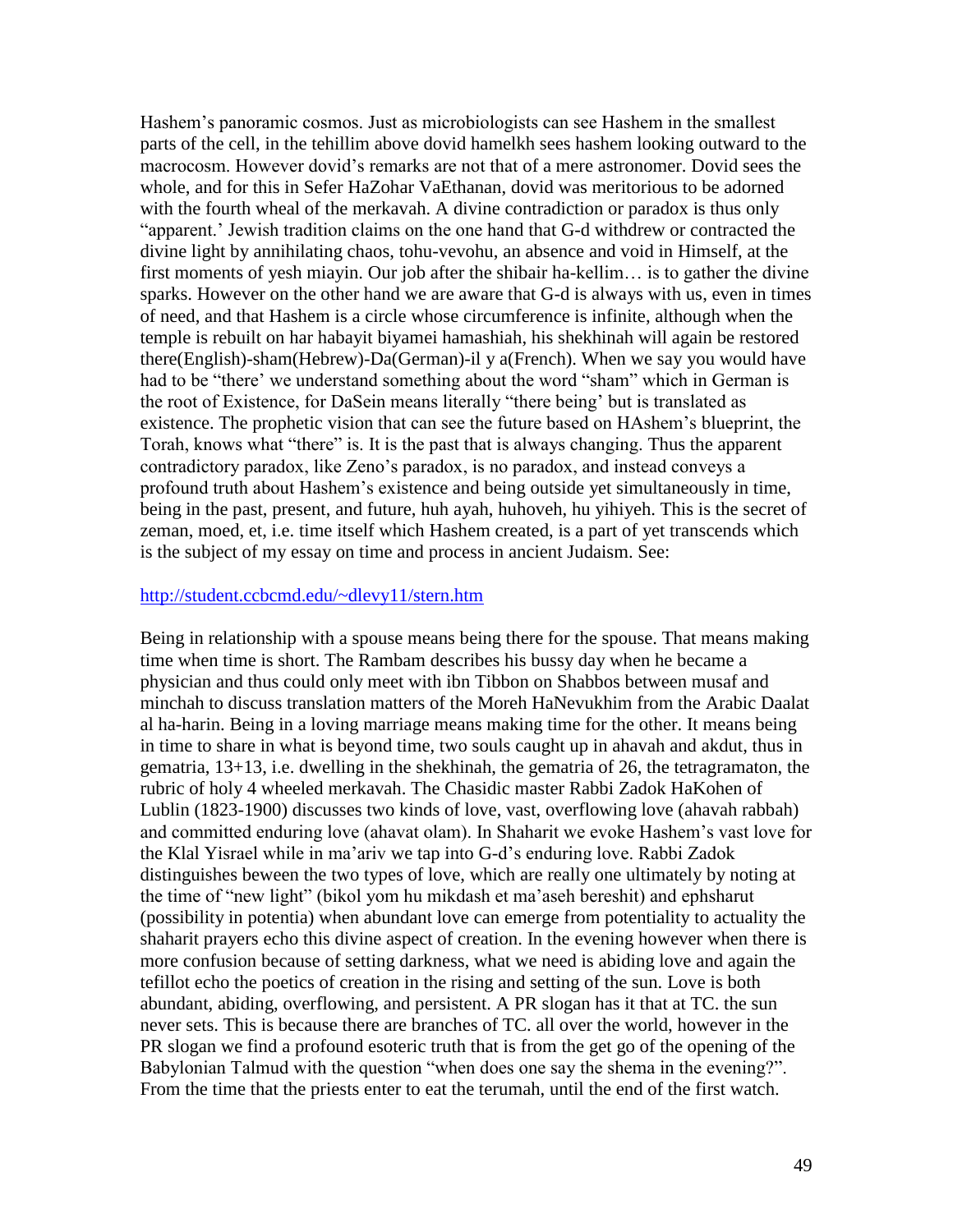Hashem"s panoramic cosmos. Just as microbiologists can see Hashem in the smallest parts of the cell, in the tehillim above dovid hamelkh sees hashem looking outward to the macrocosm. However dovid"s remarks are not that of a mere astronomer. Dovid sees the whole, and for this in Sefer HaZohar VaEthanan, dovid was meritorious to be adorned with the fourth wheal of the merkavah. A divine contradiction or paradox is thus only "apparent." Jewish tradition claims on the one hand that G-d withdrew or contracted the divine light by annihilating chaos, tohu-vevohu, an absence and void in Himself, at the first moments of yesh miayin. Our job after the shibair ha-kellim… is to gather the divine sparks. However on the other hand we are aware that G-d is always with us, even in times of need, and that Hashem is a circle whose circumference is infinite, although when the temple is rebuilt on har habayit biyamei hamashiah, his shekhinah will again be restored there(English)-sham(Hebrew)-Da(German)-il y a(French). When we say you would have had to be "there" we understand something about the word "sham" which in German is the root of Existence, for DaSein means literally "there being" but is translated as existence. The prophetic vision that can see the future based on HAshem"s blueprint, the Torah, knows what "there" is. It is the past that is always changing. Thus the apparent contradictory paradox, like Zeno"s paradox, is no paradox, and instead conveys a profound truth about Hashem"s existence and being outside yet simultaneously in time, being in the past, present, and future, huh ayah, huhoveh, hu yihiyeh. This is the secret of zeman, moed, et, i.e. time itself which Hashem created, is a part of yet transcends which is the subject of my essay on time and process in ancient Judaism. See:

### <http://student.ccbcmd.edu/~dlevy11/stern.htm>

Being in relationship with a spouse means being there for the spouse. That means making time when time is short. The Rambam describes his bussy day when he became a physician and thus could only meet with ibn Tibbon on Shabbos between musaf and minchah to discuss translation matters of the Moreh HaNevukhim from the Arabic Daalat al ha-harin. Being in a loving marriage means making time for the other. It means being in time to share in what is beyond time, two souls caught up in ahavah and akdut, thus in gematria, 13+13, i.e. dwelling in the shekhinah, the gematria of 26, the tetragramaton, the rubric of holy 4 wheeled merkavah. The Chasidic master Rabbi Zadok HaKohen of Lublin (1823-1900) discusses two kinds of love, vast, overflowing love (ahavah rabbah) and committed enduring love (ahavat olam). In Shaharit we evoke Hashem"s vast love for the Klal Yisrael while in ma"ariv we tap into G-d"s enduring love. Rabbi Zadok distinguishes beween the two types of love, which are really one ultimately by noting at the time of "new light" (bikol yom hu mikdash et ma"aseh bereshit) and ephsharut (possibility in potentia) when abundant love can emerge from potentiality to actuality the shaharit prayers echo this divine aspect of creation. In the evening however when there is more confusion because of setting darkness, what we need is abiding love and again the tefillot echo the poetics of creation in the rising and setting of the sun. Love is both abundant, abiding, overflowing, and persistent. A PR slogan has it that at TC. the sun never sets. This is because there are branches of TC. all over the world, however in the PR slogan we find a profound esoteric truth that is from the get go of the opening of the Babylonian Talmud with the question "when does one say the shema in the evening?". From the time that the priests enter to eat the terumah, until the end of the first watch.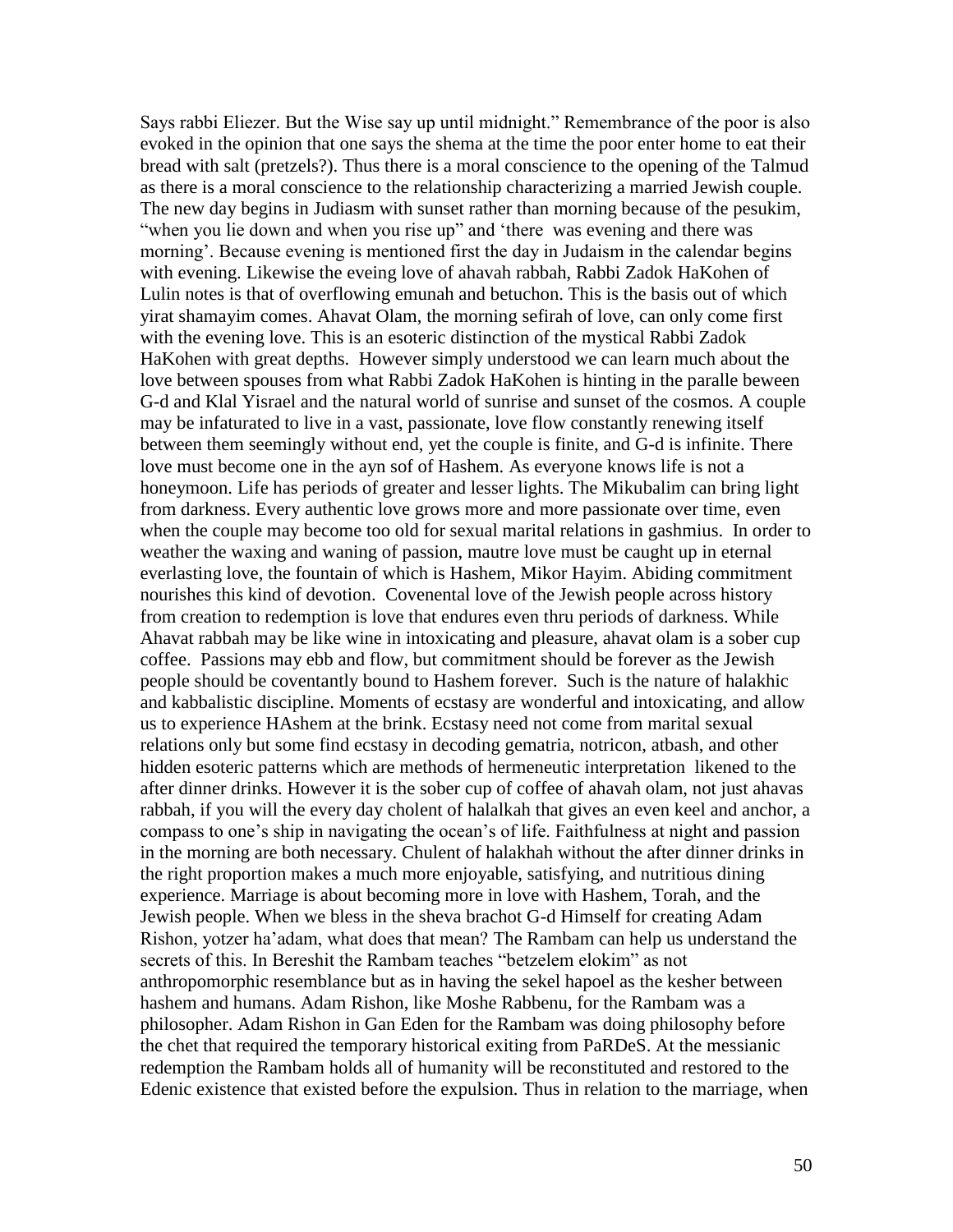Says rabbi Eliezer. But the Wise say up until midnight." Remembrance of the poor is also evoked in the opinion that one says the shema at the time the poor enter home to eat their bread with salt (pretzels?). Thus there is a moral conscience to the opening of the Talmud as there is a moral conscience to the relationship characterizing a married Jewish couple. The new day begins in Judiasm with sunset rather than morning because of the pesukim, "when you lie down and when you rise up" and "there was evening and there was morning'. Because evening is mentioned first the day in Judaism in the calendar begins with evening. Likewise the eveing love of ahavah rabbah, Rabbi Zadok HaKohen of Lulin notes is that of overflowing emunah and betuchon. This is the basis out of which yirat shamayim comes. Ahavat Olam, the morning sefirah of love, can only come first with the evening love. This is an esoteric distinction of the mystical Rabbi Zadok HaKohen with great depths. However simply understood we can learn much about the love between spouses from what Rabbi Zadok HaKohen is hinting in the paralle beween G-d and Klal Yisrael and the natural world of sunrise and sunset of the cosmos. A couple may be infaturated to live in a vast, passionate, love flow constantly renewing itself between them seemingly without end, yet the couple is finite, and G-d is infinite. There love must become one in the ayn sof of Hashem. As everyone knows life is not a honeymoon. Life has periods of greater and lesser lights. The Mikubalim can bring light from darkness. Every authentic love grows more and more passionate over time, even when the couple may become too old for sexual marital relations in gashmius. In order to weather the waxing and waning of passion, mautre love must be caught up in eternal everlasting love, the fountain of which is Hashem, Mikor Hayim. Abiding commitment nourishes this kind of devotion. Covenental love of the Jewish people across history from creation to redemption is love that endures even thru periods of darkness. While Ahavat rabbah may be like wine in intoxicating and pleasure, ahavat olam is a sober cup coffee. Passions may ebb and flow, but commitment should be forever as the Jewish people should be coventantly bound to Hashem forever. Such is the nature of halakhic and kabbalistic discipline. Moments of ecstasy are wonderful and intoxicating, and allow us to experience HAshem at the brink. Ecstasy need not come from marital sexual relations only but some find ecstasy in decoding gematria, notricon, atbash, and other hidden esoteric patterns which are methods of hermeneutic interpretation likened to the after dinner drinks. However it is the sober cup of coffee of ahavah olam, not just ahavas rabbah, if you will the every day cholent of halalkah that gives an even keel and anchor, a compass to one"s ship in navigating the ocean"s of life. Faithfulness at night and passion in the morning are both necessary. Chulent of halakhah without the after dinner drinks in the right proportion makes a much more enjoyable, satisfying, and nutritious dining experience. Marriage is about becoming more in love with Hashem, Torah, and the Jewish people. When we bless in the sheva brachot G-d Himself for creating Adam Rishon, yotzer ha"adam, what does that mean? The Rambam can help us understand the secrets of this. In Bereshit the Rambam teaches "betzelem elokim" as not anthropomorphic resemblance but as in having the sekel hapoel as the kesher between hashem and humans. Adam Rishon, like Moshe Rabbenu, for the Rambam was a philosopher. Adam Rishon in Gan Eden for the Rambam was doing philosophy before the chet that required the temporary historical exiting from PaRDeS. At the messianic redemption the Rambam holds all of humanity will be reconstituted and restored to the Edenic existence that existed before the expulsion. Thus in relation to the marriage, when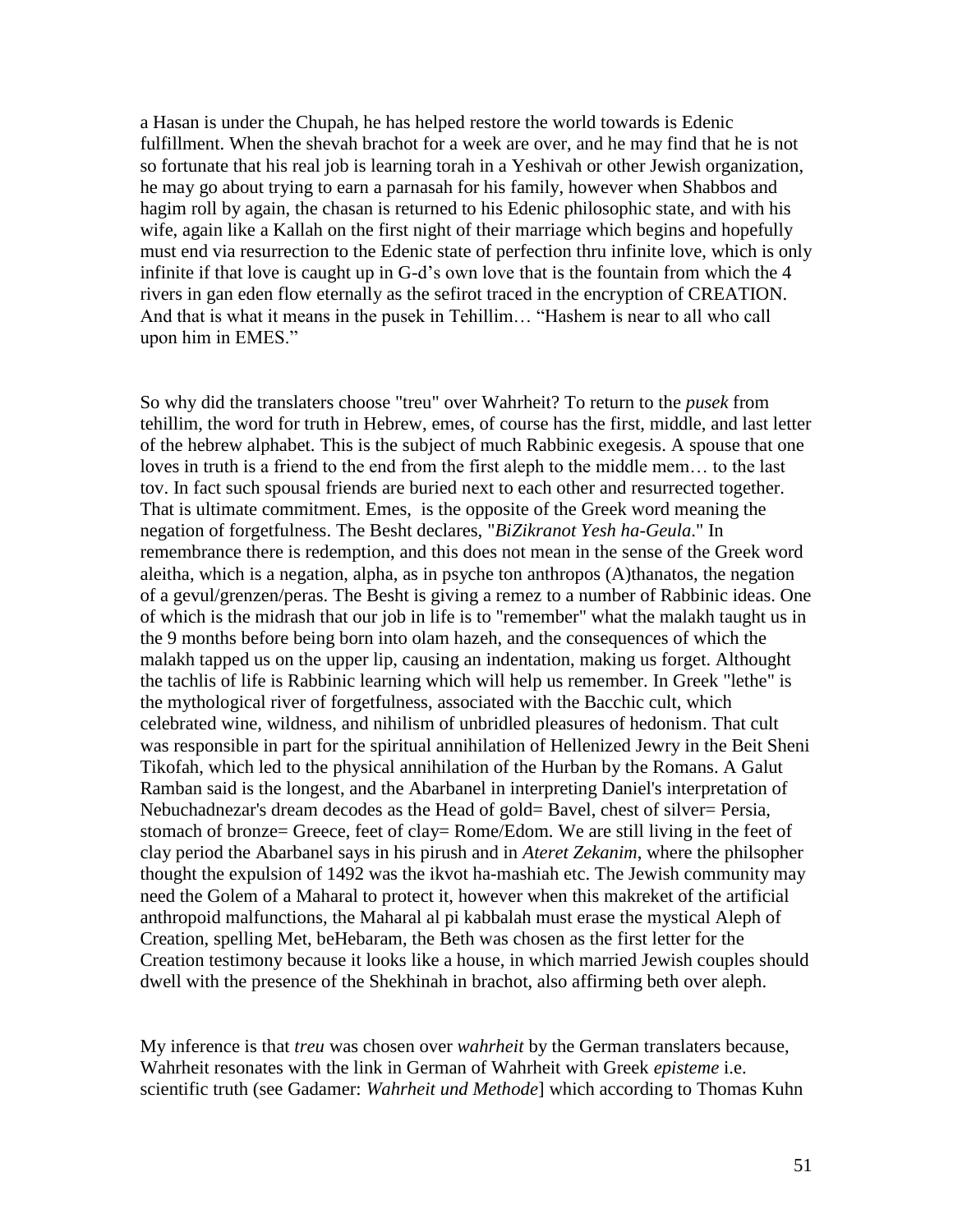a Hasan is under the Chupah, he has helped restore the world towards is Edenic fulfillment. When the shevah brachot for a week are over, and he may find that he is not so fortunate that his real job is learning torah in a Yeshivah or other Jewish organization, he may go about trying to earn a parnasah for his family, however when Shabbos and hagim roll by again, the chasan is returned to his Edenic philosophic state, and with his wife, again like a Kallah on the first night of their marriage which begins and hopefully must end via resurrection to the Edenic state of perfection thru infinite love, which is only infinite if that love is caught up in G-d"s own love that is the fountain from which the 4 rivers in gan eden flow eternally as the sefirot traced in the encryption of CREATION. And that is what it means in the pusek in Tehillim… "Hashem is near to all who call upon him in EMES."

So why did the translaters choose "treu" over Wahrheit? To return to the *pusek* from tehillim, the word for truth in Hebrew, emes, of course has the first, middle, and last letter of the hebrew alphabet. This is the subject of much Rabbinic exegesis. A spouse that one loves in truth is a friend to the end from the first aleph to the middle mem… to the last tov. In fact such spousal friends are buried next to each other and resurrected together. That is ultimate commitment. Emes, is the opposite of the Greek word meaning the negation of forgetfulness. The Besht declares, "*BiZikranot Yesh ha-Geula*." In remembrance there is redemption, and this does not mean in the sense of the Greek word aleitha, which is a negation, alpha, as in psyche ton anthropos (A)thanatos, the negation of a gevul/grenzen/peras. The Besht is giving a remez to a number of Rabbinic ideas. One of which is the midrash that our job in life is to "remember" what the malakh taught us in the 9 months before being born into olam hazeh, and the consequences of which the malakh tapped us on the upper lip, causing an indentation, making us forget. Althought the tachlis of life is Rabbinic learning which will help us remember. In Greek "lethe" is the mythological river of forgetfulness, associated with the Bacchic cult, which celebrated wine, wildness, and nihilism of unbridled pleasures of hedonism. That cult was responsible in part for the spiritual annihilation of Hellenized Jewry in the Beit Sheni Tikofah, which led to the physical annihilation of the Hurban by the Romans. A Galut Ramban said is the longest, and the Abarbanel in interpreting Daniel's interpretation of Nebuchadnezar's dream decodes as the Head of gold= Bavel, chest of silver= Persia, stomach of bronze= Greece, feet of clay= Rome/Edom. We are still living in the feet of clay period the Abarbanel says in his pirush and in *Ateret Zekanim*, where the philsopher thought the expulsion of 1492 was the ikvot ha-mashiah etc. The Jewish community may need the Golem of a Maharal to protect it, however when this makreket of the artificial anthropoid malfunctions, the Maharal al pi kabbalah must erase the mystical Aleph of Creation, spelling Met, beHebaram, the Beth was chosen as the first letter for the Creation testimony because it looks like a house, in which married Jewish couples should dwell with the presence of the Shekhinah in brachot, also affirming beth over aleph.

My inference is that *treu* was chosen over *wahrheit* by the German translaters because, Wahrheit resonates with the link in German of Wahrheit with Greek *episteme* i.e. scientific truth (see Gadamer: *Wahrheit und Methode*] which according to Thomas Kuhn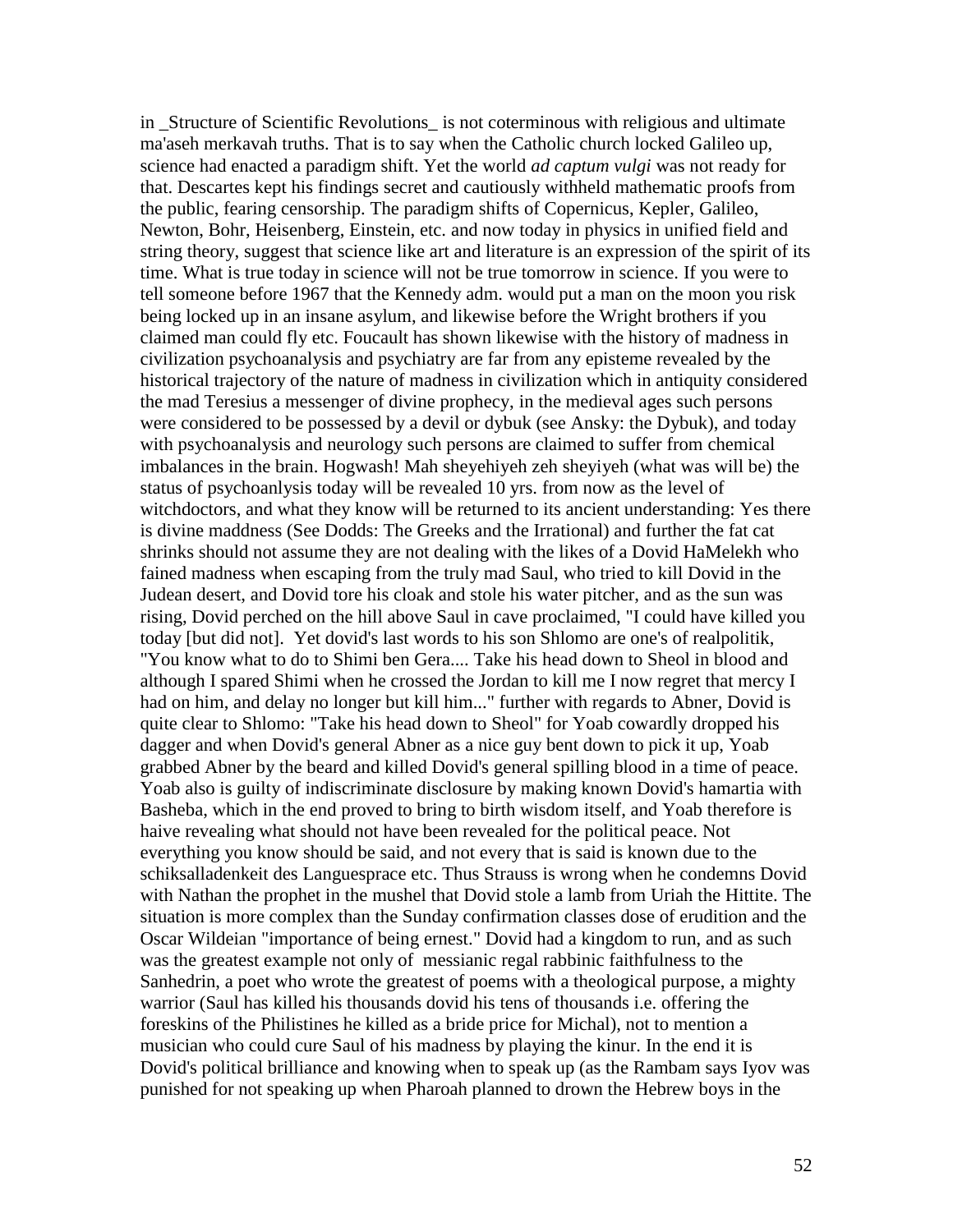in Structure of Scientific Revolutions is not coterminous with religious and ultimate ma'aseh merkavah truths. That is to say when the Catholic church locked Galileo up, science had enacted a paradigm shift. Yet the world *ad captum vulgi* was not ready for that. Descartes kept his findings secret and cautiously withheld mathematic proofs from the public, fearing censorship. The paradigm shifts of Copernicus, Kepler, Galileo, Newton, Bohr, Heisenberg, Einstein, etc. and now today in physics in unified field and string theory, suggest that science like art and literature is an expression of the spirit of its time. What is true today in science will not be true tomorrow in science. If you were to tell someone before 1967 that the Kennedy adm. would put a man on the moon you risk being locked up in an insane asylum, and likewise before the Wright brothers if you claimed man could fly etc. Foucault has shown likewise with the history of madness in civilization psychoanalysis and psychiatry are far from any episteme revealed by the historical trajectory of the nature of madness in civilization which in antiquity considered the mad Teresius a messenger of divine prophecy, in the medieval ages such persons were considered to be possessed by a devil or dybuk (see Ansky: the Dybuk), and today with psychoanalysis and neurology such persons are claimed to suffer from chemical imbalances in the brain. Hogwash! Mah sheyehiyeh zeh sheyiyeh (what was will be) the status of psychoanlysis today will be revealed 10 yrs. from now as the level of witchdoctors, and what they know will be returned to its ancient understanding: Yes there is divine maddness (See Dodds: The Greeks and the Irrational) and further the fat cat shrinks should not assume they are not dealing with the likes of a Dovid HaMelekh who fained madness when escaping from the truly mad Saul, who tried to kill Dovid in the Judean desert, and Dovid tore his cloak and stole his water pitcher, and as the sun was rising, Dovid perched on the hill above Saul in cave proclaimed, "I could have killed you today [but did not]. Yet dovid's last words to his son Shlomo are one's of realpolitik, "You know what to do to Shimi ben Gera.... Take his head down to Sheol in blood and although I spared Shimi when he crossed the Jordan to kill me I now regret that mercy I had on him, and delay no longer but kill him..." further with regards to Abner, Dovid is quite clear to Shlomo: "Take his head down to Sheol" for Yoab cowardly dropped his dagger and when Dovid's general Abner as a nice guy bent down to pick it up, Yoab grabbed Abner by the beard and killed Dovid's general spilling blood in a time of peace. Yoab also is guilty of indiscriminate disclosure by making known Dovid's hamartia with Basheba, which in the end proved to bring to birth wisdom itself, and Yoab therefore is haive revealing what should not have been revealed for the political peace. Not everything you know should be said, and not every that is said is known due to the schiksalladenkeit des Languesprace etc. Thus Strauss is wrong when he condemns Dovid with Nathan the prophet in the mushel that Dovid stole a lamb from Uriah the Hittite. The situation is more complex than the Sunday confirmation classes dose of erudition and the Oscar Wildeian "importance of being ernest." Dovid had a kingdom to run, and as such was the greatest example not only of messianic regal rabbinic faithfulness to the Sanhedrin, a poet who wrote the greatest of poems with a theological purpose, a mighty warrior (Saul has killed his thousands dovid his tens of thousands i.e. offering the foreskins of the Philistines he killed as a bride price for Michal), not to mention a musician who could cure Saul of his madness by playing the kinur. In the end it is Dovid's political brilliance and knowing when to speak up (as the Rambam says Iyov was punished for not speaking up when Pharoah planned to drown the Hebrew boys in the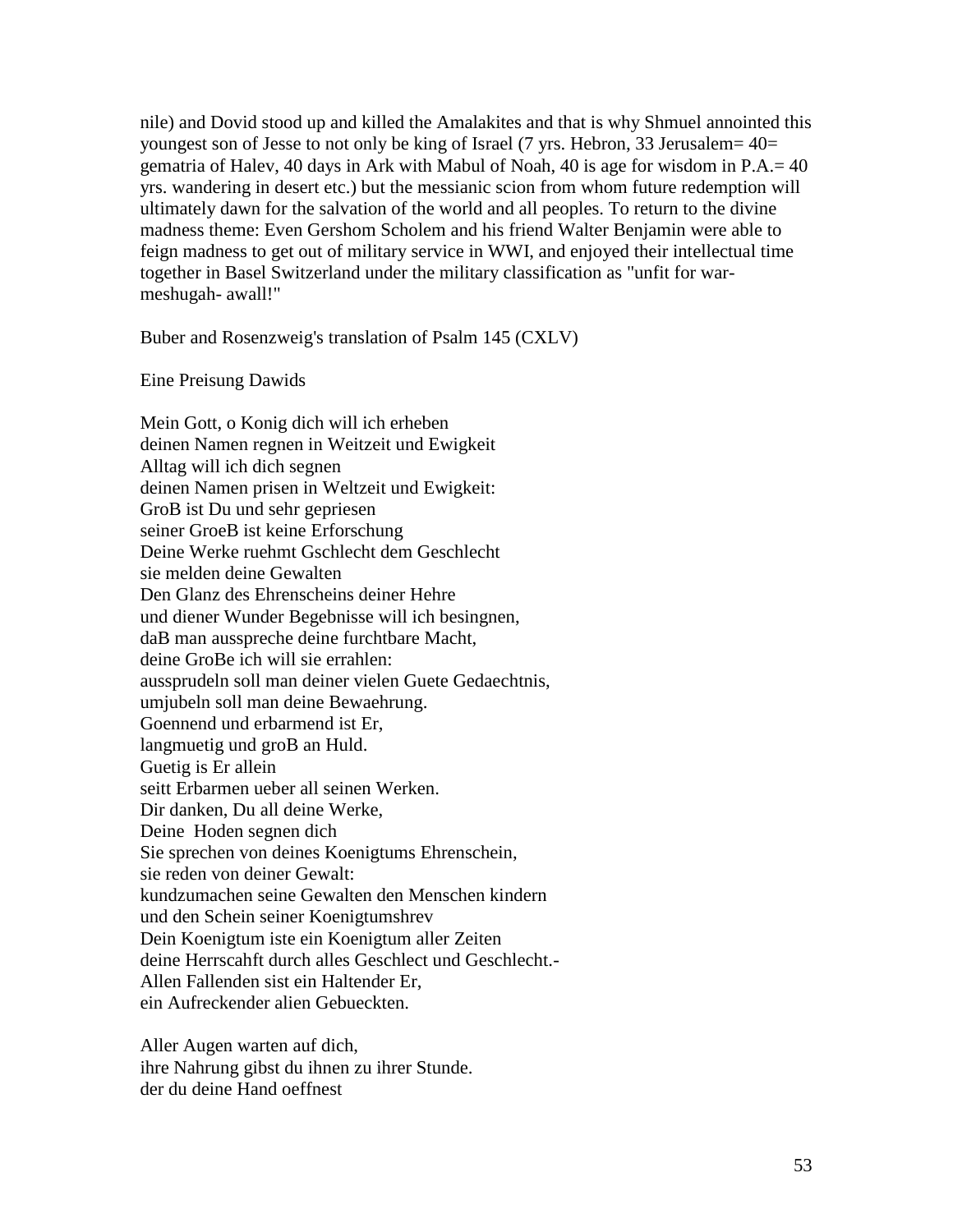nile) and Dovid stood up and killed the Amalakites and that is why Shmuel annointed this youngest son of Jesse to not only be king of Israel (7 yrs. Hebron, 33 Jerusalem= 40= gematria of Halev, 40 days in Ark with Mabul of Noah, 40 is age for wisdom in P.A.= 40 yrs. wandering in desert etc.) but the messianic scion from whom future redemption will ultimately dawn for the salvation of the world and all peoples. To return to the divine madness theme: Even Gershom Scholem and his friend Walter Benjamin were able to feign madness to get out of military service in WWI, and enjoyed their intellectual time together in Basel Switzerland under the military classification as "unfit for warmeshugah- awall!"

Buber and Rosenzweig's translation of Psalm 145 (CXLV)

Eine Preisung Dawids

Mein Gott, o Konig dich will ich erheben deinen Namen regnen in Weitzeit und Ewigkeit Alltag will ich dich segnen deinen Namen prisen in Weltzeit und Ewigkeit: GroB ist Du und sehr gepriesen seiner GroeB ist keine Erforschung Deine Werke ruehmt Gschlecht dem Geschlecht sie melden deine Gewalten Den Glanz des Ehrenscheins deiner Hehre und diener Wunder Begebnisse will ich besingnen, daB man ausspreche deine furchtbare Macht, deine GroBe ich will sie errahlen: aussprudeln soll man deiner vielen Guete Gedaechtnis, umjubeln soll man deine Bewaehrung. Goennend und erbarmend ist Er, langmuetig und groB an Huld. Guetig is Er allein seitt Erbarmen ueber all seinen Werken. Dir danken, Du all deine Werke, Deine Hoden segnen dich Sie sprechen von deines Koenigtums Ehrenschein, sie reden von deiner Gewalt: kundzumachen seine Gewalten den Menschen kindern und den Schein seiner Koenigtumshrev Dein Koenigtum iste ein Koenigtum aller Zeiten deine Herrscahft durch alles Geschlect und Geschlecht.- Allen Fallenden sist ein Haltender Er, ein Aufreckender alien Gebueckten.

Aller Augen warten auf dich, ihre Nahrung gibst du ihnen zu ihrer Stunde. der du deine Hand oeffnest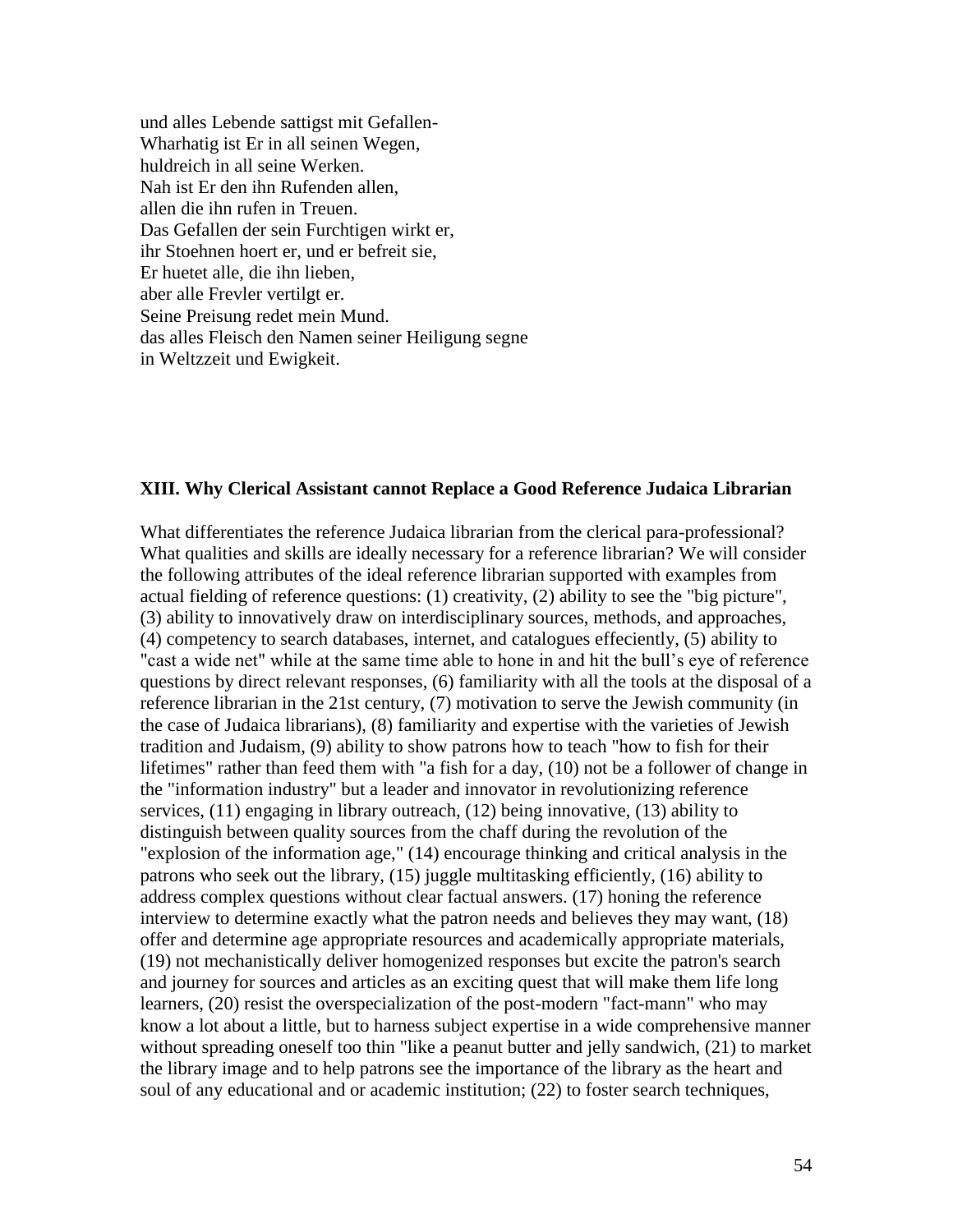und alles Lebende sattigst mit Gefallen-Wharhatig ist Er in all seinen Wegen, huldreich in all seine Werken. Nah ist Er den ihn Rufenden allen, allen die ihn rufen in Treuen. Das Gefallen der sein Furchtigen wirkt er, ihr Stoehnen hoert er, und er befreit sie, Er huetet alle, die ihn lieben, aber alle Frevler vertilgt er. Seine Preisung redet mein Mund. das alles Fleisch den Namen seiner Heiligung segne in Weltzzeit und Ewigkeit.

### **XIII. Why Clerical Assistant cannot Replace a Good Reference Judaica Librarian**

What differentiates the reference Judaica librarian from the clerical para-professional? What qualities and skills are ideally necessary for a reference librarian? We will consider the following attributes of the ideal reference librarian supported with examples from actual fielding of reference questions: (1) creativity, (2) ability to see the "big picture", (3) ability to innovatively draw on interdisciplinary sources, methods, and approaches, (4) competency to search databases, internet, and catalogues effeciently, (5) ability to "cast a wide net" while at the same time able to hone in and hit the bull"s eye of reference questions by direct relevant responses, (6) familiarity with all the tools at the disposal of a reference librarian in the 21st century, (7) motivation to serve the Jewish community (in the case of Judaica librarians), (8) familiarity and expertise with the varieties of Jewish tradition and Judaism, (9) ability to show patrons how to teach "how to fish for their lifetimes" rather than feed them with "a fish for a day, (10) not be a follower of change in the "information industry" but a leader and innovator in revolutionizing reference services, (11) engaging in library outreach, (12) being innovative, (13) ability to distinguish between quality sources from the chaff during the revolution of the "explosion of the information age," (14) encourage thinking and critical analysis in the patrons who seek out the library, (15) juggle multitasking efficiently, (16) ability to address complex questions without clear factual answers. (17) honing the reference interview to determine exactly what the patron needs and believes they may want, (18) offer and determine age appropriate resources and academically appropriate materials, (19) not mechanistically deliver homogenized responses but excite the patron's search and journey for sources and articles as an exciting quest that will make them life long learners, (20) resist the overspecialization of the post-modern "fact-mann" who may know a lot about a little, but to harness subject expertise in a wide comprehensive manner without spreading oneself too thin "like a peanut butter and jelly sandwich, (21) to market the library image and to help patrons see the importance of the library as the heart and soul of any educational and or academic institution; (22) to foster search techniques,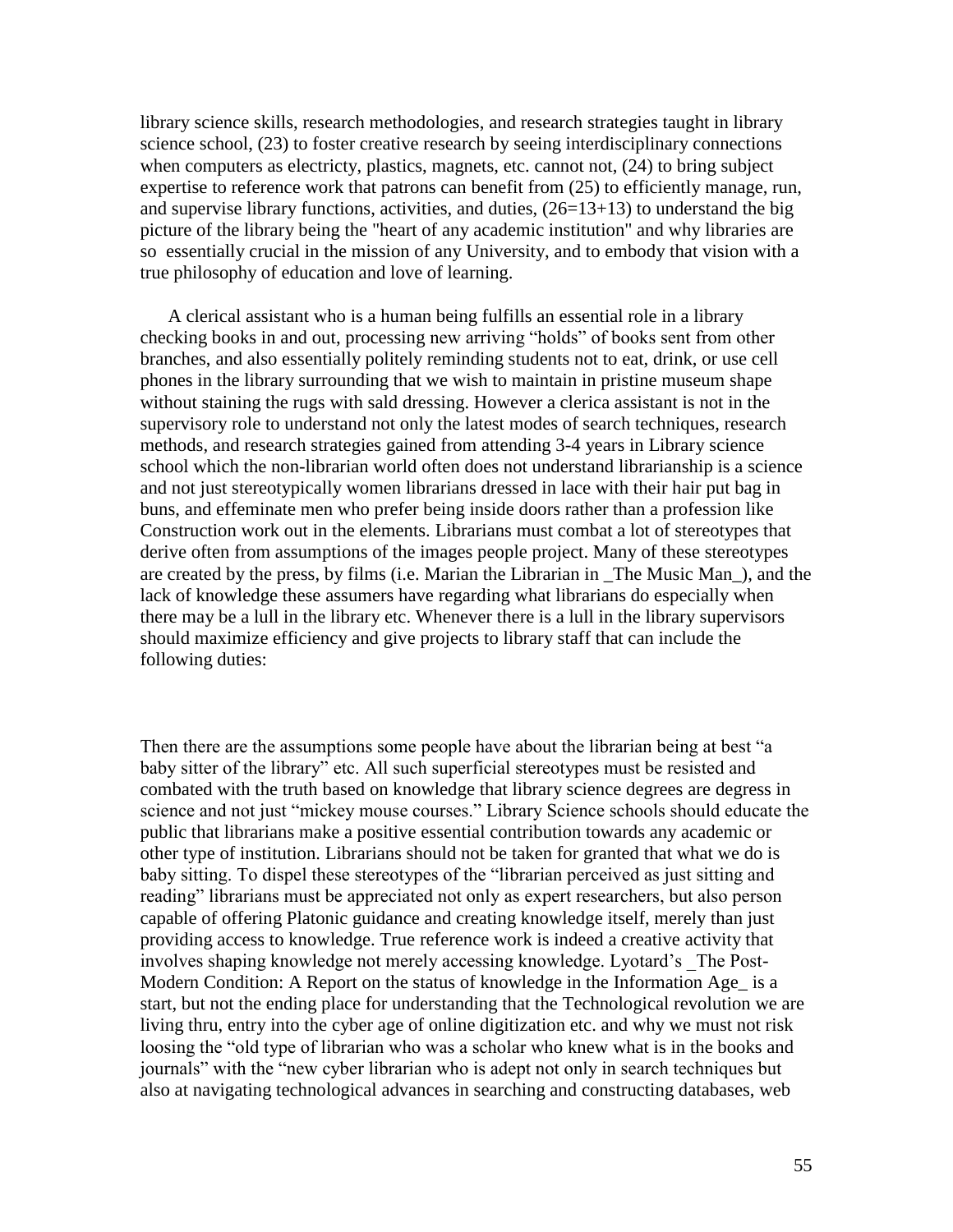library science skills, research methodologies, and research strategies taught in library science school, (23) to foster creative research by seeing interdisciplinary connections when computers as electricty, plastics, magnets, etc. cannot not,  $(24)$  to bring subject expertise to reference work that patrons can benefit from (25) to efficiently manage, run, and supervise library functions, activities, and duties,  $(26=13+13)$  to understand the big picture of the library being the "heart of any academic institution" and why libraries are so essentially crucial in the mission of any University, and to embody that vision with a true philosophy of education and love of learning.

 A clerical assistant who is a human being fulfills an essential role in a library checking books in and out, processing new arriving "holds" of books sent from other branches, and also essentially politely reminding students not to eat, drink, or use cell phones in the library surrounding that we wish to maintain in pristine museum shape without staining the rugs with sald dressing. However a clerica assistant is not in the supervisory role to understand not only the latest modes of search techniques, research methods, and research strategies gained from attending 3-4 years in Library science school which the non-librarian world often does not understand librarianship is a science and not just stereotypically women librarians dressed in lace with their hair put bag in buns, and effeminate men who prefer being inside doors rather than a profession like Construction work out in the elements. Librarians must combat a lot of stereotypes that derive often from assumptions of the images people project. Many of these stereotypes are created by the press, by films (i.e. Marian the Librarian in \_The Music Man\_), and the lack of knowledge these assumers have regarding what librarians do especially when there may be a lull in the library etc. Whenever there is a lull in the library supervisors should maximize efficiency and give projects to library staff that can include the following duties:

Then there are the assumptions some people have about the librarian being at best "a baby sitter of the library" etc. All such superficial stereotypes must be resisted and combated with the truth based on knowledge that library science degrees are degress in science and not just "mickey mouse courses." Library Science schools should educate the public that librarians make a positive essential contribution towards any academic or other type of institution. Librarians should not be taken for granted that what we do is baby sitting. To dispel these stereotypes of the "librarian perceived as just sitting and reading" librarians must be appreciated not only as expert researchers, but also person capable of offering Platonic guidance and creating knowledge itself, merely than just providing access to knowledge. True reference work is indeed a creative activity that involves shaping knowledge not merely accessing knowledge. Lyotard"s \_The Post-Modern Condition: A Report on the status of knowledge in the Information Age\_ is a start, but not the ending place for understanding that the Technological revolution we are living thru, entry into the cyber age of online digitization etc. and why we must not risk loosing the "old type of librarian who was a scholar who knew what is in the books and journals" with the "new cyber librarian who is adept not only in search techniques but also at navigating technological advances in searching and constructing databases, web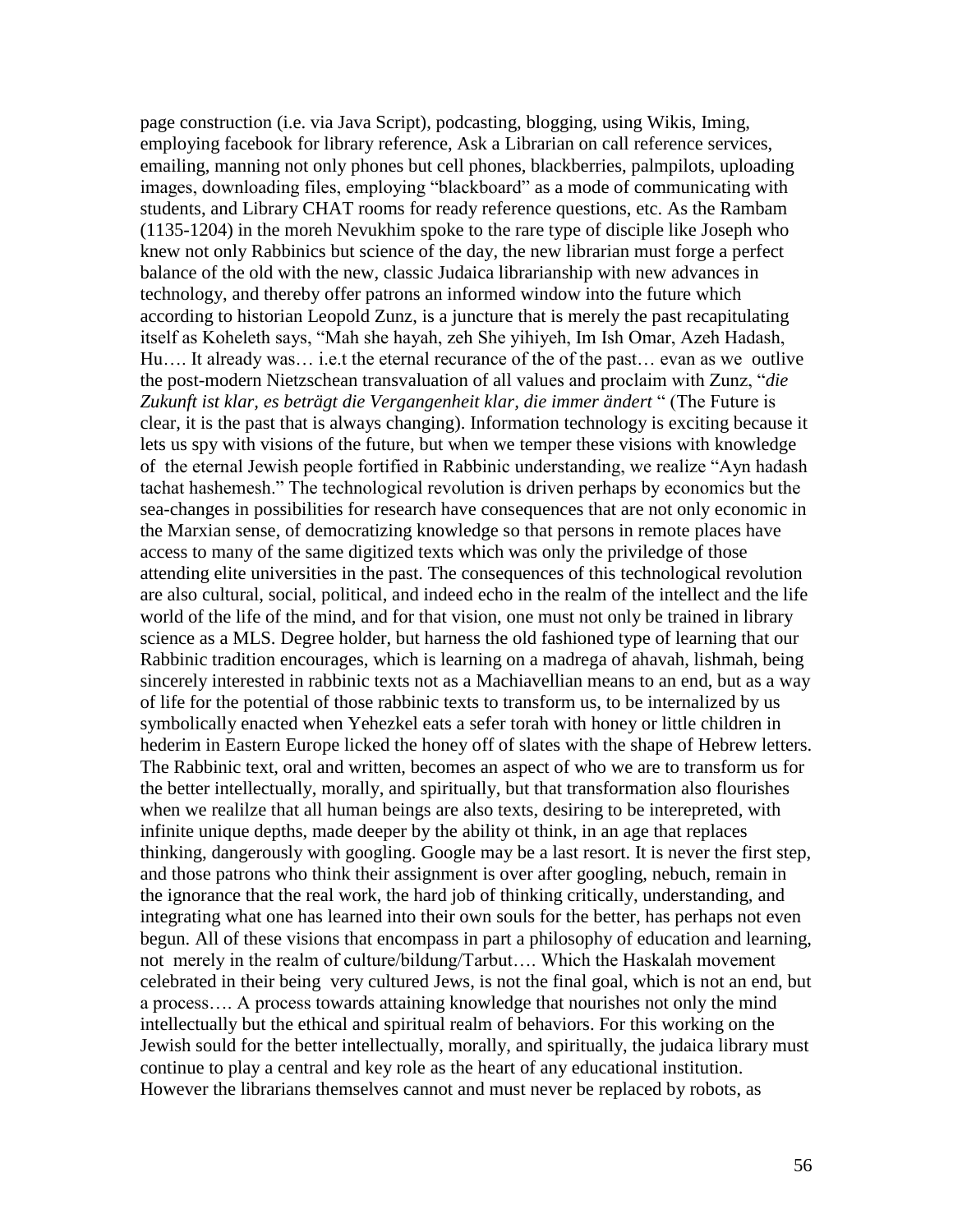page construction (i.e. via Java Script), podcasting, blogging, using Wikis, Iming, employing facebook for library reference, Ask a Librarian on call reference services, emailing, manning not only phones but cell phones, blackberries, palmpilots, uploading images, downloading files, employing "blackboard" as a mode of communicating with students, and Library CHAT rooms for ready reference questions, etc. As the Rambam (1135-1204) in the moreh Nevukhim spoke to the rare type of disciple like Joseph who knew not only Rabbinics but science of the day, the new librarian must forge a perfect balance of the old with the new, classic Judaica librarianship with new advances in technology, and thereby offer patrons an informed window into the future which according to historian Leopold Zunz, is a juncture that is merely the past recapitulating itself as Koheleth says, "Mah she hayah, zeh She yihiyeh, Im Ish Omar, Azeh Hadash, Hu…. It already was… i.e.t the eternal recurance of the of the past… evan as we outlive the post-modern Nietzschean transvaluation of all values and proclaim with Zunz, "*die Zukunft ist klar, es beträgt die Vergangenheit klar, die immer ändert* " (The Future is clear, it is the past that is always changing). Information technology is exciting because it lets us spy with visions of the future, but when we temper these visions with knowledge of the eternal Jewish people fortified in Rabbinic understanding, we realize "Ayn hadash tachat hashemesh." The technological revolution is driven perhaps by economics but the sea-changes in possibilities for research have consequences that are not only economic in the Marxian sense, of democratizing knowledge so that persons in remote places have access to many of the same digitized texts which was only the priviledge of those attending elite universities in the past. The consequences of this technological revolution are also cultural, social, political, and indeed echo in the realm of the intellect and the life world of the life of the mind, and for that vision, one must not only be trained in library science as a MLS. Degree holder, but harness the old fashioned type of learning that our Rabbinic tradition encourages, which is learning on a madrega of ahavah, lishmah, being sincerely interested in rabbinic texts not as a Machiavellian means to an end, but as a way of life for the potential of those rabbinic texts to transform us, to be internalized by us symbolically enacted when Yehezkel eats a sefer torah with honey or little children in hederim in Eastern Europe licked the honey off of slates with the shape of Hebrew letters. The Rabbinic text, oral and written, becomes an aspect of who we are to transform us for the better intellectually, morally, and spiritually, but that transformation also flourishes when we realilze that all human beings are also texts, desiring to be interepreted, with infinite unique depths, made deeper by the ability ot think, in an age that replaces thinking, dangerously with googling. Google may be a last resort. It is never the first step, and those patrons who think their assignment is over after googling, nebuch, remain in the ignorance that the real work, the hard job of thinking critically, understanding, and integrating what one has learned into their own souls for the better, has perhaps not even begun. All of these visions that encompass in part a philosophy of education and learning, not merely in the realm of culture/bildung/Tarbut…. Which the Haskalah movement celebrated in their being very cultured Jews, is not the final goal, which is not an end, but a process…. A process towards attaining knowledge that nourishes not only the mind intellectually but the ethical and spiritual realm of behaviors. For this working on the Jewish sould for the better intellectually, morally, and spiritually, the judaica library must continue to play a central and key role as the heart of any educational institution. However the librarians themselves cannot and must never be replaced by robots, as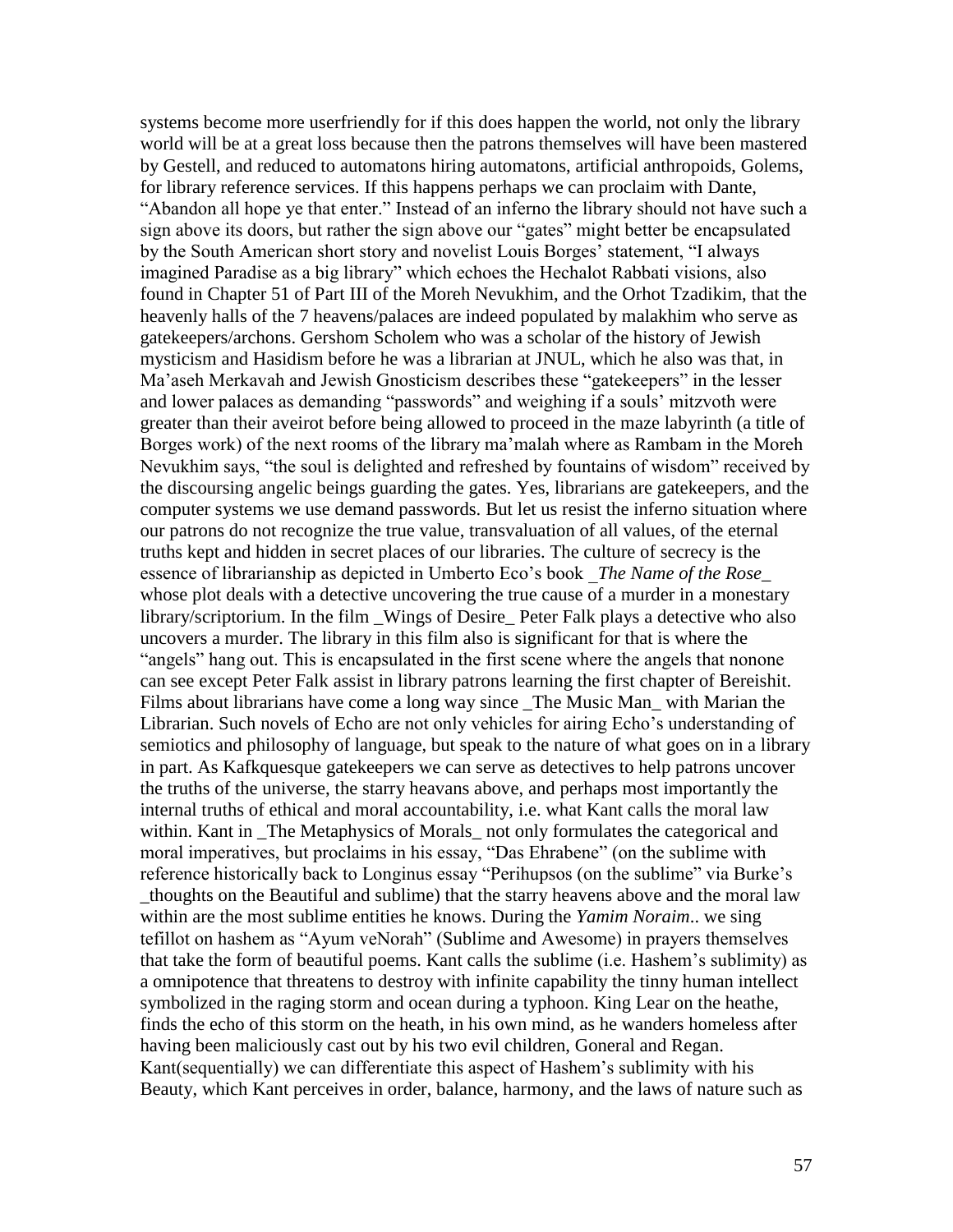systems become more userfriendly for if this does happen the world, not only the library world will be at a great loss because then the patrons themselves will have been mastered by Gestell, and reduced to automatons hiring automatons, artificial anthropoids, Golems, for library reference services. If this happens perhaps we can proclaim with Dante, "Abandon all hope ye that enter." Instead of an inferno the library should not have such a sign above its doors, but rather the sign above our "gates" might better be encapsulated by the South American short story and novelist Louis Borges" statement, "I always imagined Paradise as a big library" which echoes the Hechalot Rabbati visions, also found in Chapter 51 of Part III of the Moreh Nevukhim, and the Orhot Tzadikim, that the heavenly halls of the 7 heavens/palaces are indeed populated by malakhim who serve as gatekeepers/archons. Gershom Scholem who was a scholar of the history of Jewish mysticism and Hasidism before he was a librarian at JNUL, which he also was that, in Ma"aseh Merkavah and Jewish Gnosticism describes these "gatekeepers" in the lesser and lower palaces as demanding "passwords" and weighing if a souls" mitzvoth were greater than their aveirot before being allowed to proceed in the maze labyrinth (a title of Borges work) of the next rooms of the library ma"malah where as Rambam in the Moreh Nevukhim says, "the soul is delighted and refreshed by fountains of wisdom" received by the discoursing angelic beings guarding the gates. Yes, librarians are gatekeepers, and the computer systems we use demand passwords. But let us resist the inferno situation where our patrons do not recognize the true value, transvaluation of all values, of the eternal truths kept and hidden in secret places of our libraries. The culture of secrecy is the essence of librarianship as depicted in Umberto Eco"s book \_*The Name of the Rose*\_ whose plot deals with a detective uncovering the true cause of a murder in a monestary library/scriptorium. In the film \_Wings of Desire\_ Peter Falk plays a detective who also uncovers a murder. The library in this film also is significant for that is where the "angels" hang out. This is encapsulated in the first scene where the angels that nonone can see except Peter Falk assist in library patrons learning the first chapter of Bereishit. Films about librarians have come a long way since The Music Man with Marian the Librarian. Such novels of Echo are not only vehicles for airing Echo"s understanding of semiotics and philosophy of language, but speak to the nature of what goes on in a library in part. As Kafkquesque gatekeepers we can serve as detectives to help patrons uncover the truths of the universe, the starry heavans above, and perhaps most importantly the internal truths of ethical and moral accountability, i.e. what Kant calls the moral law within. Kant in The Metaphysics of Morals not only formulates the categorical and moral imperatives, but proclaims in his essay, "Das Ehrabene" (on the sublime with reference historically back to Longinus essay "Perihupsos (on the sublime" via Burke"s \_thoughts on the Beautiful and sublime) that the starry heavens above and the moral law within are the most sublime entities he knows. During the *Yamim Noraim*.. we sing tefillot on hashem as "Ayum veNorah" (Sublime and Awesome) in prayers themselves that take the form of beautiful poems. Kant calls the sublime (i.e. Hashem"s sublimity) as a omnipotence that threatens to destroy with infinite capability the tinny human intellect symbolized in the raging storm and ocean during a typhoon. King Lear on the heathe, finds the echo of this storm on the heath, in his own mind, as he wanders homeless after having been maliciously cast out by his two evil children, Goneral and Regan. Kant(sequentially) we can differentiate this aspect of Hashem"s sublimity with his Beauty, which Kant perceives in order, balance, harmony, and the laws of nature such as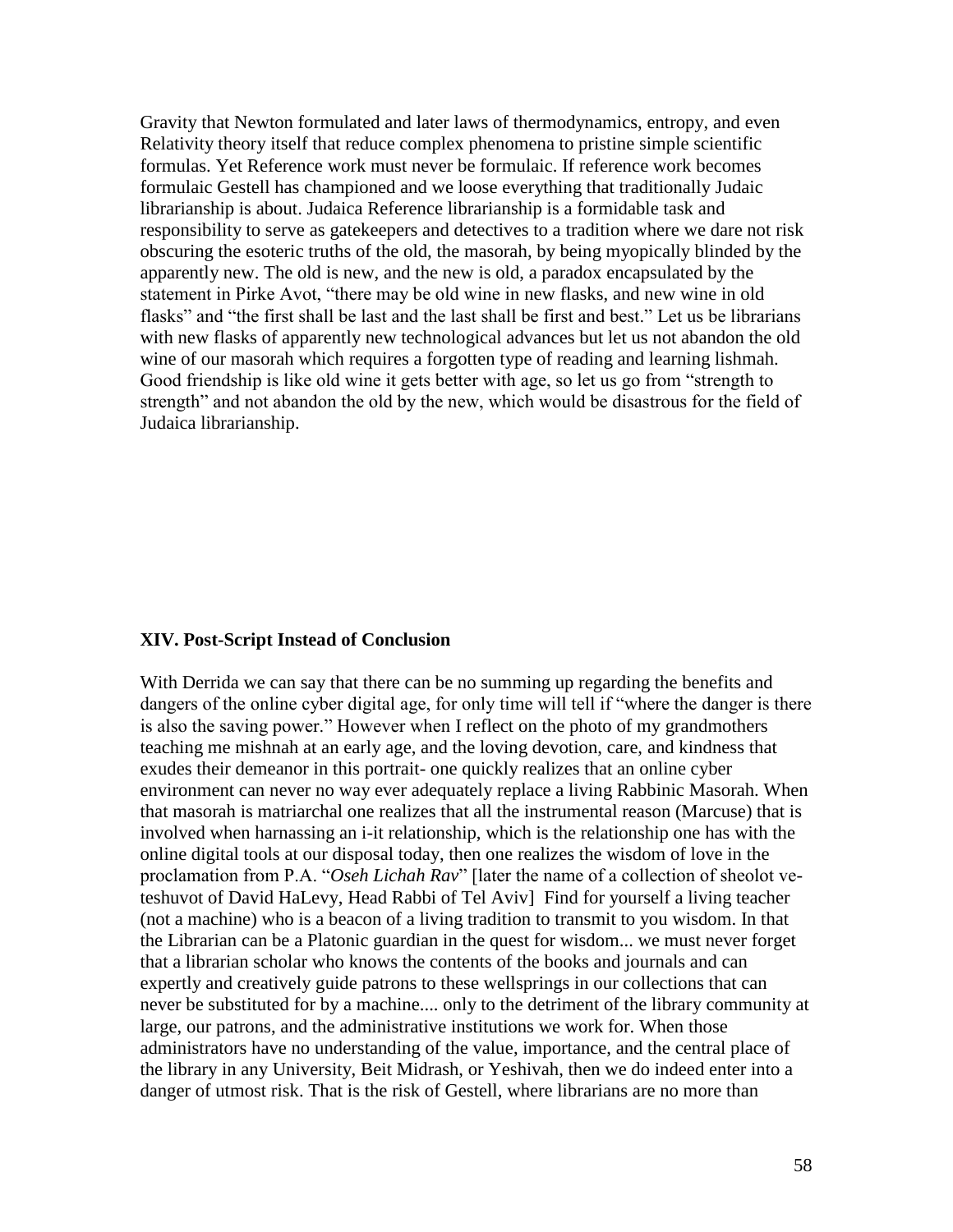Gravity that Newton formulated and later laws of thermodynamics, entropy, and even Relativity theory itself that reduce complex phenomena to pristine simple scientific formulas. Yet Reference work must never be formulaic. If reference work becomes formulaic Gestell has championed and we loose everything that traditionally Judaic librarianship is about. Judaica Reference librarianship is a formidable task and responsibility to serve as gatekeepers and detectives to a tradition where we dare not risk obscuring the esoteric truths of the old, the masorah, by being myopically blinded by the apparently new. The old is new, and the new is old, a paradox encapsulated by the statement in Pirke Avot, "there may be old wine in new flasks, and new wine in old flasks" and "the first shall be last and the last shall be first and best." Let us be librarians with new flasks of apparently new technological advances but let us not abandon the old wine of our masorah which requires a forgotten type of reading and learning lishmah. Good friendship is like old wine it gets better with age, so let us go from "strength to strength" and not abandon the old by the new, which would be disastrous for the field of Judaica librarianship.

### **XIV. Post-Script Instead of Conclusion**

With Derrida we can say that there can be no summing up regarding the benefits and dangers of the online cyber digital age, for only time will tell if "where the danger is there is also the saving power." However when I reflect on the photo of my grandmothers teaching me mishnah at an early age, and the loving devotion, care, and kindness that exudes their demeanor in this portrait- one quickly realizes that an online cyber environment can never no way ever adequately replace a living Rabbinic Masorah. When that masorah is matriarchal one realizes that all the instrumental reason (Marcuse) that is involved when harnassing an i-it relationship, which is the relationship one has with the online digital tools at our disposal today, then one realizes the wisdom of love in the proclamation from P.A. "*Oseh Lichah Rav*" [later the name of a collection of sheolot veteshuvot of David HaLevy, Head Rabbi of Tel Aviv] Find for yourself a living teacher (not a machine) who is a beacon of a living tradition to transmit to you wisdom. In that the Librarian can be a Platonic guardian in the quest for wisdom... we must never forget that a librarian scholar who knows the contents of the books and journals and can expertly and creatively guide patrons to these wellsprings in our collections that can never be substituted for by a machine.... only to the detriment of the library community at large, our patrons, and the administrative institutions we work for. When those administrators have no understanding of the value, importance, and the central place of the library in any University, Beit Midrash, or Yeshivah, then we do indeed enter into a danger of utmost risk. That is the risk of Gestell, where librarians are no more than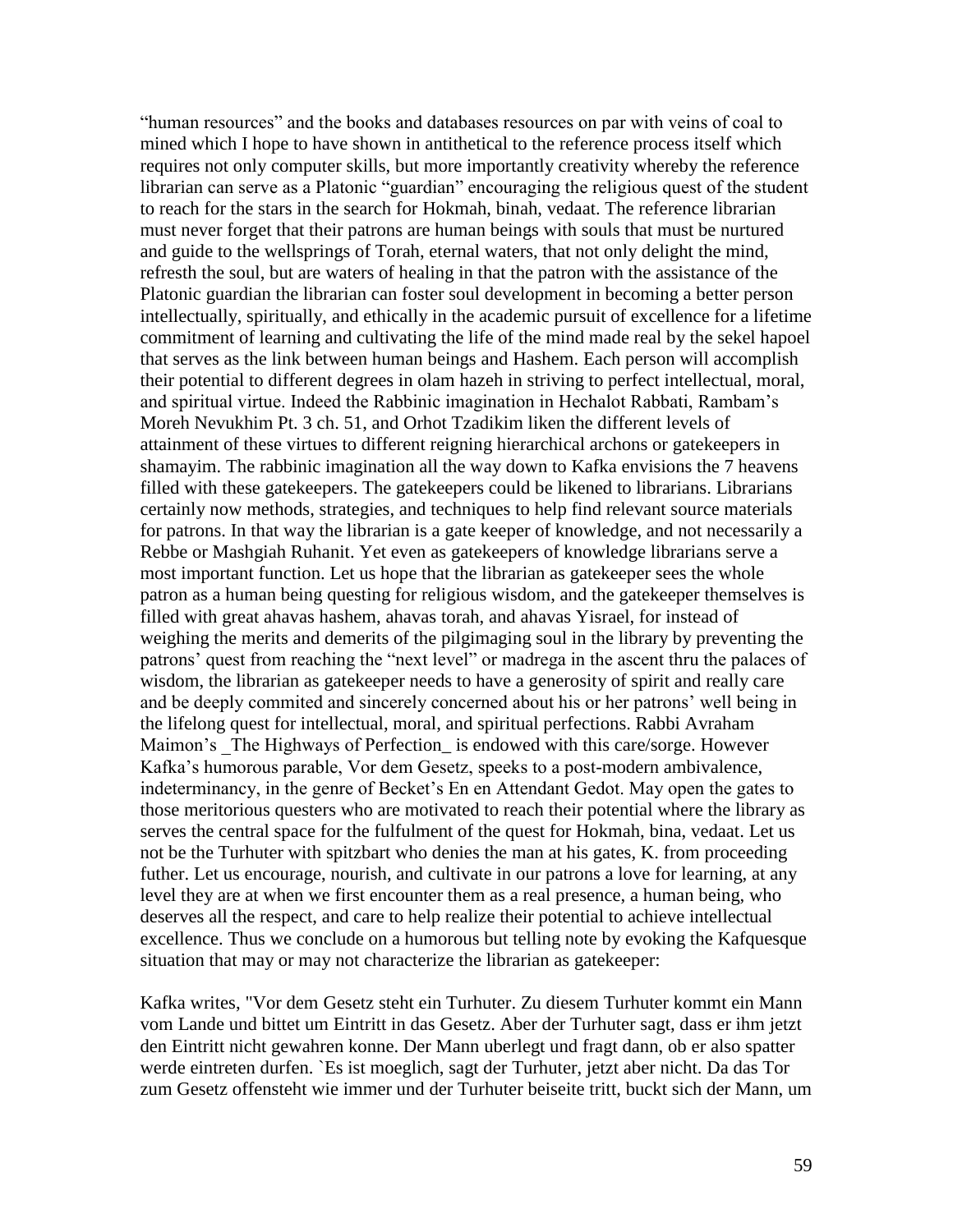"human resources" and the books and databases resources on par with veins of coal to mined which I hope to have shown in antithetical to the reference process itself which requires not only computer skills, but more importantly creativity whereby the reference librarian can serve as a Platonic "guardian" encouraging the religious quest of the student to reach for the stars in the search for Hokmah, binah, vedaat. The reference librarian must never forget that their patrons are human beings with souls that must be nurtured and guide to the wellsprings of Torah, eternal waters, that not only delight the mind, refresth the soul, but are waters of healing in that the patron with the assistance of the Platonic guardian the librarian can foster soul development in becoming a better person intellectually, spiritually, and ethically in the academic pursuit of excellence for a lifetime commitment of learning and cultivating the life of the mind made real by the sekel hapoel that serves as the link between human beings and Hashem. Each person will accomplish their potential to different degrees in olam hazeh in striving to perfect intellectual, moral, and spiritual virtue. Indeed the Rabbinic imagination in Hechalot Rabbati, Rambam"s Moreh Nevukhim Pt. 3 ch. 51, and Orhot Tzadikim liken the different levels of attainment of these virtues to different reigning hierarchical archons or gatekeepers in shamayim. The rabbinic imagination all the way down to Kafka envisions the 7 heavens filled with these gatekeepers. The gatekeepers could be likened to librarians. Librarians certainly now methods, strategies, and techniques to help find relevant source materials for patrons. In that way the librarian is a gate keeper of knowledge, and not necessarily a Rebbe or Mashgiah Ruhanit. Yet even as gatekeepers of knowledge librarians serve a most important function. Let us hope that the librarian as gatekeeper sees the whole patron as a human being questing for religious wisdom, and the gatekeeper themselves is filled with great ahavas hashem, ahavas torah, and ahavas Yisrael, for instead of weighing the merits and demerits of the pilgimaging soul in the library by preventing the patrons" quest from reaching the "next level" or madrega in the ascent thru the palaces of wisdom, the librarian as gatekeeper needs to have a generosity of spirit and really care and be deeply commited and sincerely concerned about his or her patrons' well being in the lifelong quest for intellectual, moral, and spiritual perfections. Rabbi Avraham Maimon's The Highways of Perfection is endowed with this care/sorge. However Kafka"s humorous parable, Vor dem Gesetz, speeks to a post-modern ambivalence, indeterminancy, in the genre of Becket"s En en Attendant Gedot. May open the gates to those meritorious questers who are motivated to reach their potential where the library as serves the central space for the fulfulment of the quest for Hokmah, bina, vedaat. Let us not be the Turhuter with spitzbart who denies the man at his gates, K. from proceeding futher. Let us encourage, nourish, and cultivate in our patrons a love for learning, at any level they are at when we first encounter them as a real presence, a human being, who deserves all the respect, and care to help realize their potential to achieve intellectual excellence. Thus we conclude on a humorous but telling note by evoking the Kafquesque situation that may or may not characterize the librarian as gatekeeper:

Kafka writes, "Vor dem Gesetz steht ein Turhuter. Zu diesem Turhuter kommt ein Mann vom Lande und bittet um Eintritt in das Gesetz. Aber der Turhuter sagt, dass er ihm jetzt den Eintritt nicht gewahren konne. Der Mann uberlegt und fragt dann, ob er also spatter werde eintreten durfen. `Es ist moeglich, sagt der Turhuter, jetzt aber nicht. Da das Tor zum Gesetz offensteht wie immer und der Turhuter beiseite tritt, buckt sich der Mann, um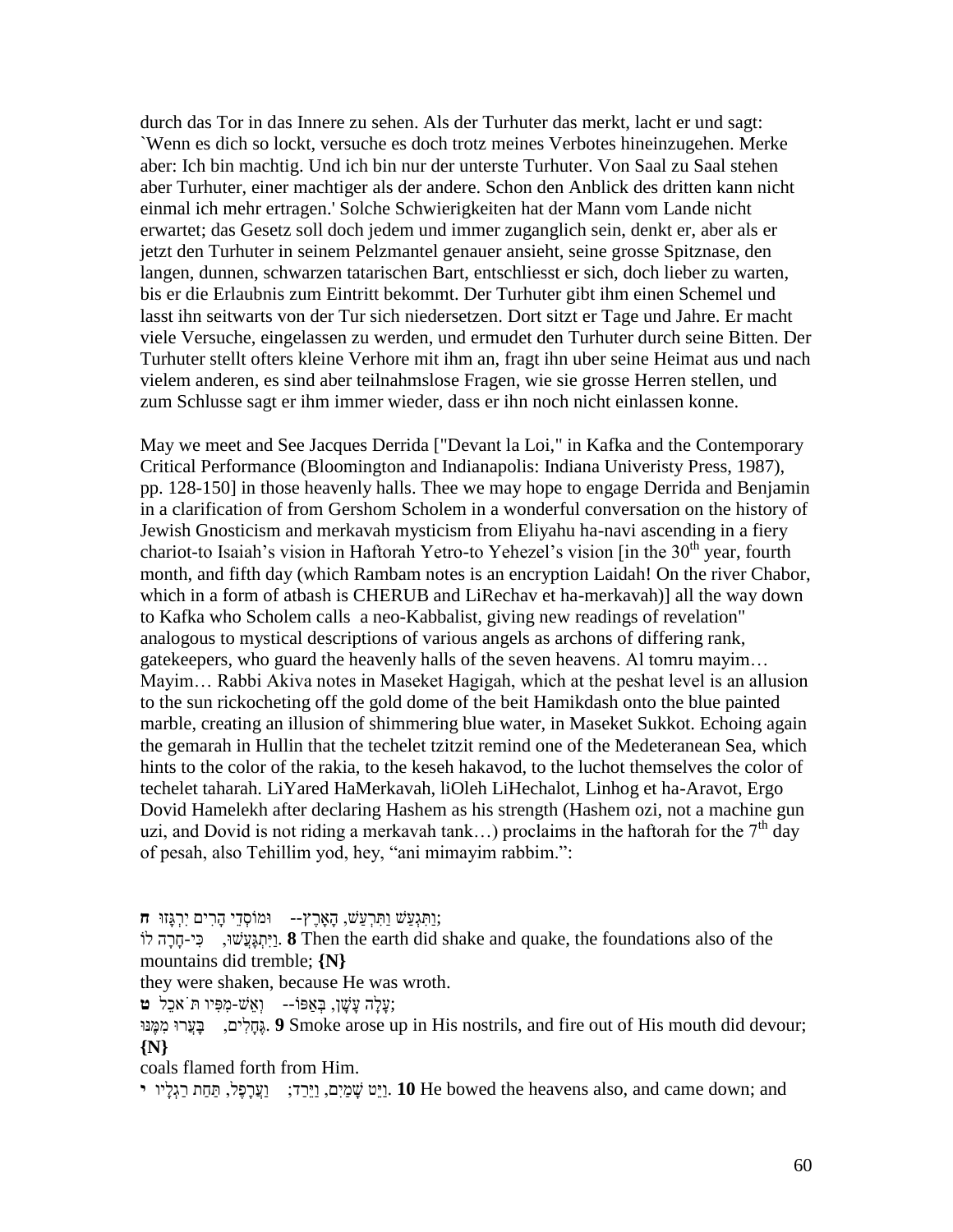durch das Tor in das Innere zu sehen. Als der Turhuter das merkt, lacht er und sagt: `Wenn es dich so lockt, versuche es doch trotz meines Verbotes hineinzugehen. Merke aber: Ich bin machtig. Und ich bin nur der unterste Turhuter. Von Saal zu Saal stehen aber Turhuter, einer machtiger als der andere. Schon den Anblick des dritten kann nicht einmal ich mehr ertragen.' Solche Schwierigkeiten hat der Mann vom Lande nicht erwartet; das Gesetz soll doch jedem und immer zuganglich sein, denkt er, aber als er jetzt den Turhuter in seinem Pelzmantel genauer ansieht, seine grosse Spitznase, den langen, dunnen, schwarzen tatarischen Bart, entschliesst er sich, doch lieber zu warten, bis er die Erlaubnis zum Eintritt bekommt. Der Turhuter gibt ihm einen Schemel und lasst ihn seitwarts von der Tur sich niedersetzen. Dort sitzt er Tage und Jahre. Er macht viele Versuche, eingelassen zu werden, und ermudet den Turhuter durch seine Bitten. Der Turhuter stellt ofters kleine Verhore mit ihm an, fragt ihn uber seine Heimat aus und nach vielem anderen, es sind aber teilnahmslose Fragen, wie sie grosse Herren stellen, und zum Schlusse sagt er ihm immer wieder, dass er ihn noch nicht einlassen konne.

May we meet and See Jacques Derrida ["Devant la Loi," in Kafka and the Contemporary Critical Performance (Bloomington and Indianapolis: Indiana Univeristy Press, 1987), pp. 128-150] in those heavenly halls. Thee we may hope to engage Derrida and Benjamin in a clarification of from Gershom Scholem in a wonderful conversation on the history of Jewish Gnosticism and merkavah mysticism from Eliyahu ha-navi ascending in a fiery chariot-to Isaiah's vision in Haftorah Yetro-to Yehezel's vision [in the  $30<sup>th</sup>$  year, fourth month, and fifth day (which Rambam notes is an encryption Laidah! On the river Chabor, which in a form of atbash is CHERUB and LiRechav et ha-merkavah)] all the way down to Kafka who Scholem calls a neo-Kabbalist, giving new readings of revelation" analogous to mystical descriptions of various angels as archons of differing rank, gatekeepers, who guard the heavenly halls of the seven heavens. Al tomru mayim… Mayim… Rabbi Akiva notes in Maseket Hagigah, which at the peshat level is an allusion to the sun rickocheting off the gold dome of the beit Hamikdash onto the blue painted marble, creating an illusion of shimmering blue water, in Maseket Sukkot. Echoing again the gemarah in Hullin that the techelet tzitzit remind one of the Medeteranean Sea, which hints to the color of the rakia, to the keseh hakavod, to the luchot themselves the color of techelet taharah. LiYared HaMerkavah, liOleh LiHechalot, Linhog et ha-Aravot, Ergo Dovid Hamelekh after declaring Hashem as his strength (Hashem ozi, not a machine gun uzi, and Dovid is not riding a merkavah tank...) proclaims in the haftorah for the  $7<sup>th</sup>$  day of pesah, also Tehillim yod, hey, "ani mimayim rabbim.":

;וַּּתִגְעַּׁש וַּּתִרְעַּׁש, הָָּארֶּץ-- ומֹוסְדֵּי הָּרִים יִרְגָּזו **ח**

וֹיִתְגָּעֲשׁוּ, **3** . (**A** Then the earth did shake and quake, the foundations also of the mountains did tremble; **{N}**

they were shaken, because He was wroth.

;עָּלָּה עָּׁשָּ ן, בְַאפֹו-- וְאֵּׁש-מִפִיו ּתֹּאכֵּל **ט**

נְתֵּלִים, בַּעֲרוּ מִמֵּנוּ **9** Smoke arose up in His nostrils, and fire out of His mouth did devour; **{N}**

coals flamed forth from Him.

יַיָּט שָׁמַיִם, וַיֵּרַד; נַעֲרָפֶּל, תַּחַת רַגְלָ<sup>י</sup>ו **י** .10 He bowed the heavens also, and came down; and